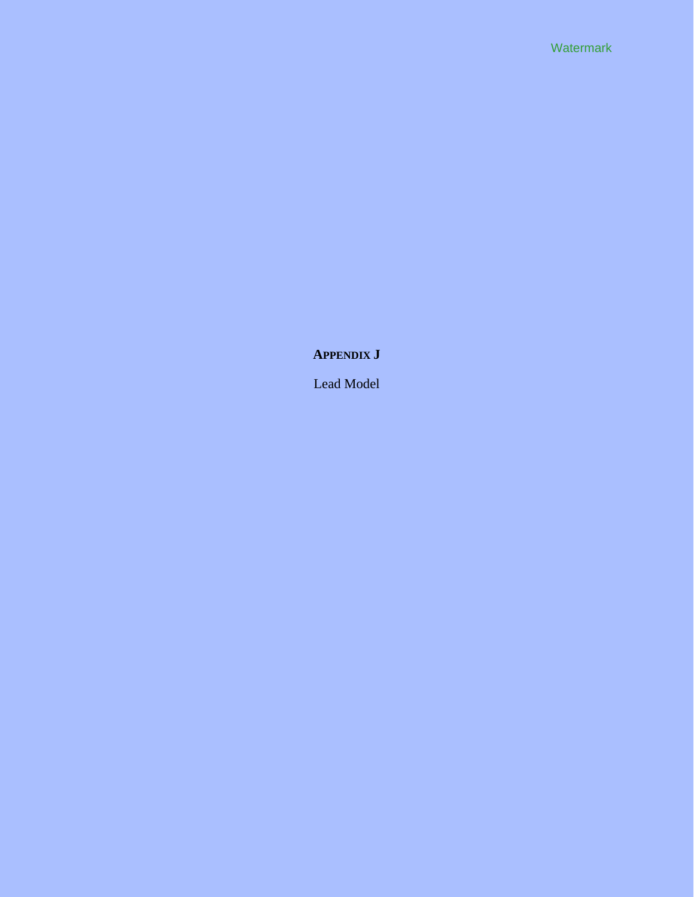**APPENDIX J** 

Lead Model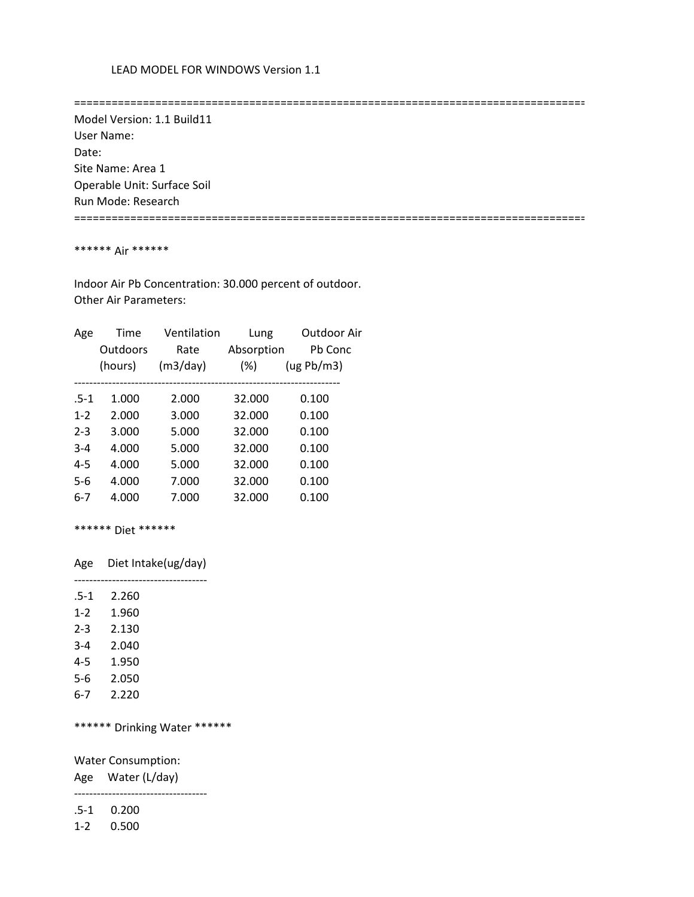==================================================================================

 Model Version: 1.1 Build11 User Name: Date: Site Name: Area 1 Operable Unit: Surface Soil Run Mode: Research ==================================================================================

### \*\*\*\*\*\* Air \*\*\*\*\*\*

 Indoor Air Pb Concentration: 30.000 percent of outdoor. Other Air Parameters:

| Age     | Time     | Ventilation | Lung       | Outdoor Air |
|---------|----------|-------------|------------|-------------|
|         | Outdoors | Rate        | Absorption | Pb Conc     |
|         | (hours)  | (m3/day)    | $(\%)$     | (ug Pb/m3)  |
|         |          |             |            |             |
| $.5-1$  | 1.000    | 2.000       | 32.000     | 0.100       |
| $1 - 2$ | 2.000    | 3.000       | 32.000     | 0.100       |
| $2 - 3$ | 3.000    | 5.000       | 32.000     | 0.100       |
| $3 - 4$ | 4.000    | 5.000       | 32.000     | 0.100       |
| $4 - 5$ | 4.000    | 5.000       | 32.000     | 0.100       |
| $5-6$   | 4.000    | 7.000       | 32.000     | 0.100       |
| 6-7     | 4.000    | 7.000       | 32.000     | 0.100       |
|         |          |             |            |             |

\*\*\*\*\*\* Diet \*\*\*\*\*\*

Age Diet Intake(ug/day)

-----------------------------------

| $.5-1$  | 2.260 |
|---------|-------|
| $1 - 2$ | 1.960 |
| $2 - 3$ | 2.130 |
| $3 - 4$ | 2.040 |
| $4 - 5$ | 1.950 |
| 5-6     | 2.050 |
| 6-7     | 2.220 |

\*\*\*\*\*\* Drinking Water \*\*\*\*\*\*

Water Consumption:

Age Water (L/day)

-----------------------------------

.5-1 0.200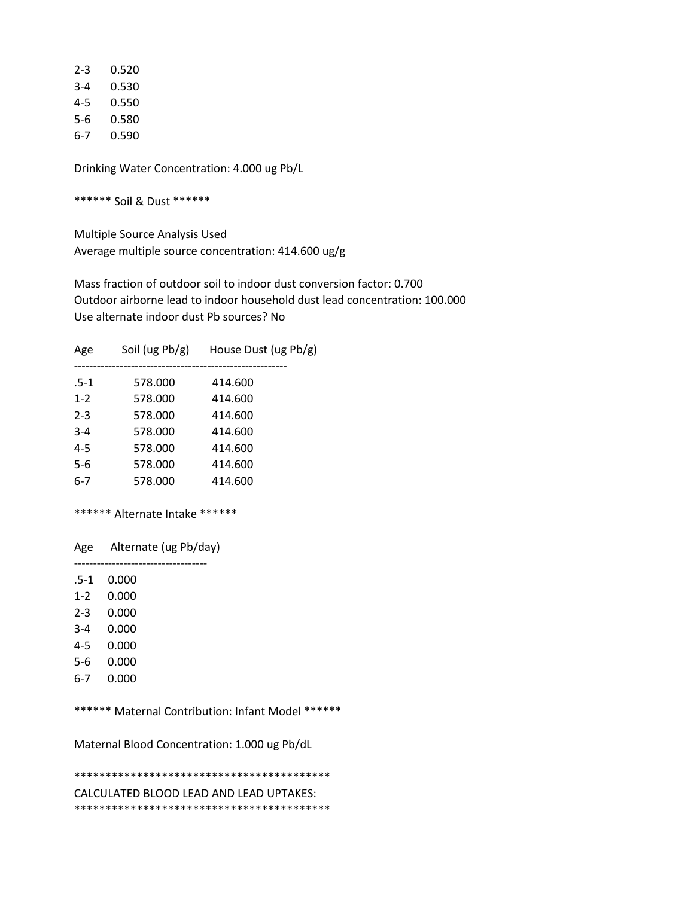| 2-3 | 0.520 |
|-----|-------|
| 3-4 | 0.530 |
| 4-5 | 0.550 |
| 5-6 | 0.580 |
| 6-7 | 0.590 |

\*\*\*\*\*\* Soil & Dust \*\*\*\*\*\*

 Multiple Source Analysis Used Average multiple source concentration: 414.600 ug/g

 Mass fraction of outdoor soil to indoor dust conversion factor: 0.700 Outdoor airborne lead to indoor household dust lead concentration: 100.000 Use alternate indoor dust Pb sources? No

| Age     | Soil (ug $Pb/g$ ) | House Dust (ug Pb/g) |
|---------|-------------------|----------------------|
| $.5-1$  | 578.000           | 414.600              |
| $1 - 2$ | 578.000           | 414.600              |
| $2 - 3$ | 578.000           | 414.600              |
| $3 - 4$ | 578.000           | 414.600              |
| $4 - 5$ | 578.000           | 414.600              |
| 5-6     | 578.000           | 414.600              |
| $6 - 7$ | 578.000           | 414.600              |
|         |                   |                      |

## \*\*\*\*\*\* Alternate Intake \*\*\*\*\*\*

 Age Alternate (ug Pb/day) -----------------------------------

.5-1 0.000

1-2 0.000

- 2-3 0.000
- 3-4 0.000
- 4-5 0.000
- 5-6 0.000
- 6-7 0.000
- 

\*\*\*\*\*\* Maternal Contribution: Infant Model \*\*\*\*\*\*

Maternal Blood Concentration: 1.000 ug Pb/dL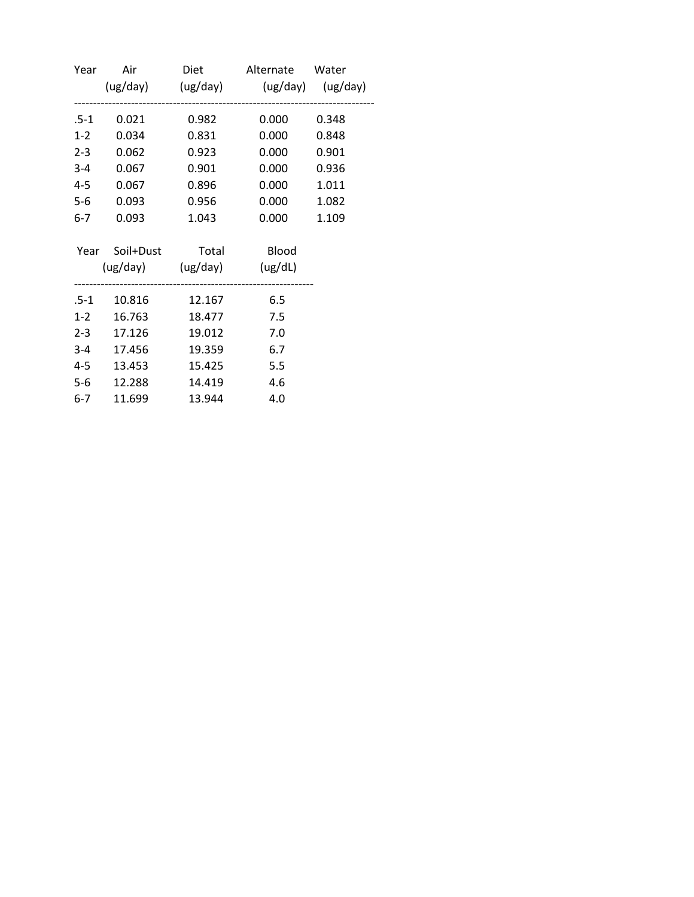| Year  |                            |        | Air Diet Alternate Water            |       |
|-------|----------------------------|--------|-------------------------------------|-------|
|       |                            |        | (ug/day) (ug/day) (ug/day) (ug/day) |       |
| .5-1  | 0.021                      | 0.982  | 0.000                               | 0.348 |
| $1-2$ | 0.034                      | 0.831  | 0.000                               | 0.848 |
|       | $2-3$ 0.062                | 0.923  | 0.000                               | 0.901 |
|       | 3-4 0.067                  | 0.901  | 0.000                               | 0.936 |
|       | 4-5 0.067                  | 0.896  | 0.000                               | 1.011 |
| $5-6$ | 0.093                      | 0.956  | 0.000                               | 1.082 |
| $6-7$ | 0.093                      | 1.043  | 0.000                               | 1.109 |
|       | Year Soil+Dust Total Blood |        |                                     |       |
|       | (ug/day) (ug/day) (ug/dL)  |        |                                     |       |
|       | .5-1  10.816  12.167       |        | 6.5                                 |       |
|       | 1-2 16.763                 |        | 18.477 7.5                          |       |
|       | 2-3 17.126                 | 19.012 | 7.0                                 |       |
|       | 3-4 17.456                 | 19.359 | 6.7                                 |       |
|       | 4-5 13.453                 | 15.425 | 5.5                                 |       |
| $5-6$ | 12.288                     | 14.419 | 4.6                                 |       |
| $6-7$ | 11.699                     | 13.944 | 4.0                                 |       |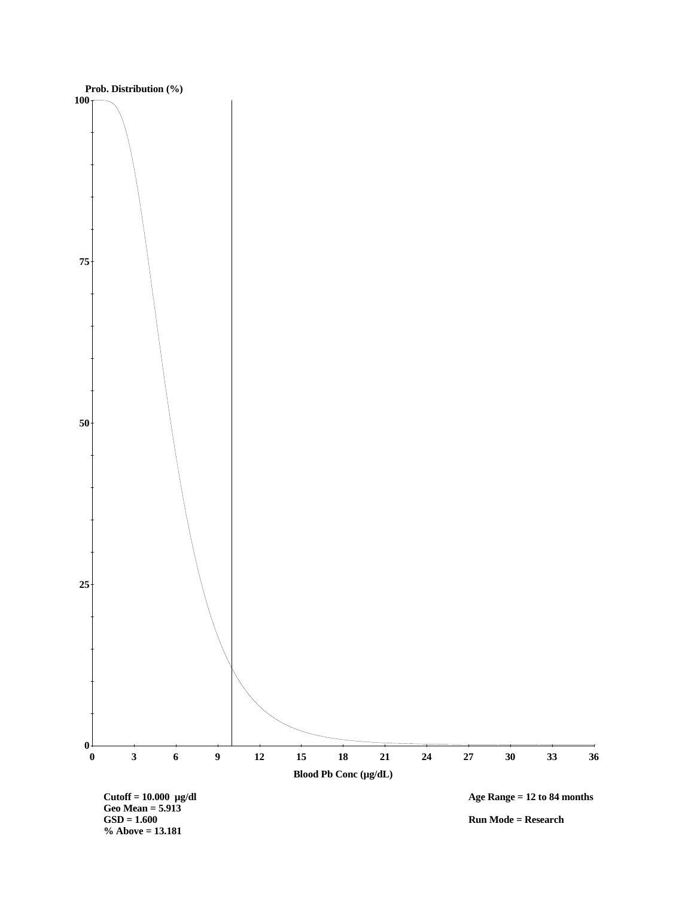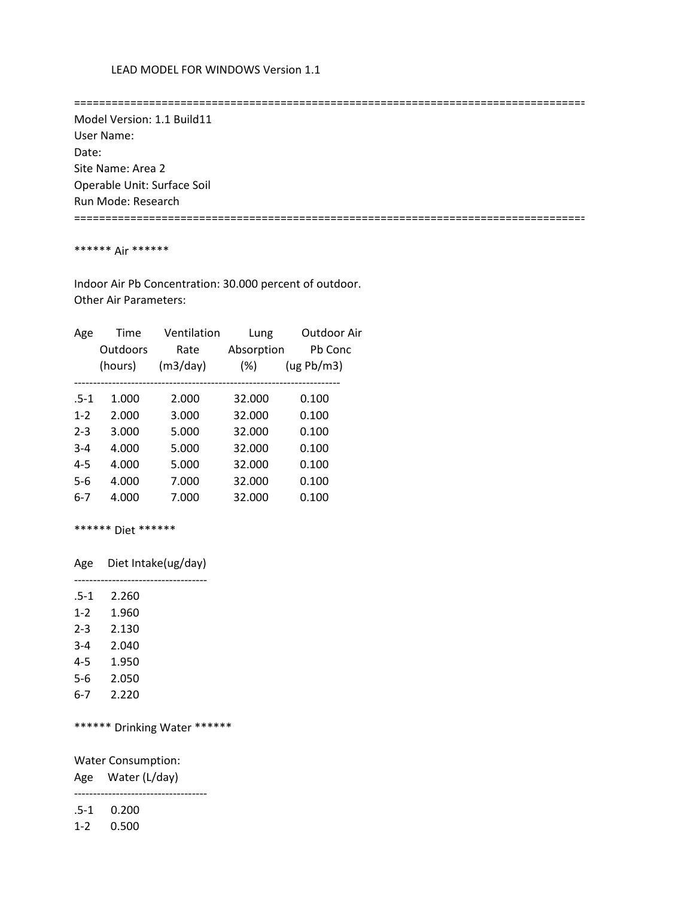==================================================================================

 Model Version: 1.1 Build11 User Name: Date: Site Name: Area 2 Operable Unit: Surface Soil Run Mode: Research ==================================================================================

### \*\*\*\*\*\* Air \*\*\*\*\*\*

 Indoor Air Pb Concentration: 30.000 percent of outdoor. Other Air Parameters:

| Age     | Time     | Ventilation | Lung       | Outdoor Air |
|---------|----------|-------------|------------|-------------|
|         | Outdoors | Rate        | Absorption | Pb Conc     |
|         | (hours)  | (m3/day)    | $(\%)$     | (ug Pb/m3)  |
|         |          |             |            |             |
| $.5-1$  | 1.000    | 2.000       | 32.000     | 0.100       |
| $1 - 2$ | 2.000    | 3.000       | 32.000     | 0.100       |
| $2 - 3$ | 3.000    | 5.000       | 32.000     | 0.100       |
| $3 - 4$ | 4.000    | 5.000       | 32.000     | 0.100       |
| $4 - 5$ | 4.000    | 5.000       | 32.000     | 0.100       |
| $5-6$   | 4.000    | 7.000       | 32.000     | 0.100       |
| 6-7     | 4.000    | 7.000       | 32.000     | 0.100       |
|         |          |             |            |             |

\*\*\*\*\*\* Diet \*\*\*\*\*\*

Age Diet Intake(ug/day)

-----------------------------------

| $.5-1$  | 2.260 |
|---------|-------|
| $1 - 2$ | 1.960 |
| $2 - 3$ | 2.130 |
| $3 - 4$ | 2.040 |
| $4 - 5$ | 1.950 |
| 5-6     | 2.050 |
| 6-7     | 2.220 |

\*\*\*\*\*\* Drinking Water \*\*\*\*\*\*

Water Consumption:

Age Water (L/day)

-----------------------------------

.5-1 0.200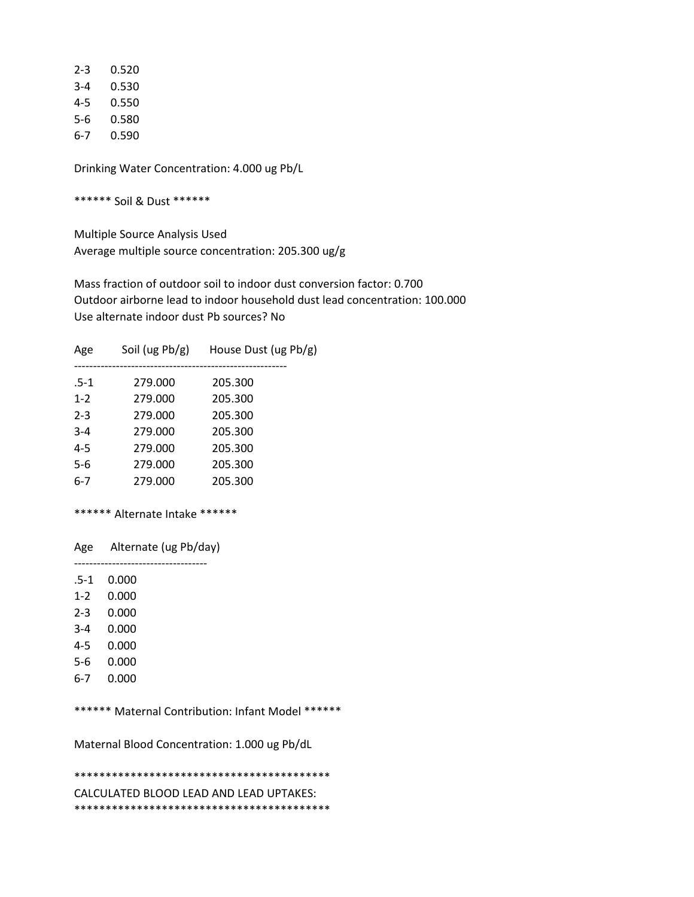| 2-3 | 0.520 |
|-----|-------|
| 3-4 | 0.530 |
| 4-5 | 0.550 |
| 5-6 | 0.580 |
| 6-7 | 0.590 |

\*\*\*\*\*\* Soil & Dust \*\*\*\*\*\*

 Multiple Source Analysis Used Average multiple source concentration: 205.300 ug/g

 Mass fraction of outdoor soil to indoor dust conversion factor: 0.700 Outdoor airborne lead to indoor household dust lead concentration: 100.000 Use alternate indoor dust Pb sources? No

| $.5-1$<br>279.000<br>205.300<br>205.300<br>$1 - 2$<br>279.000<br>205.300<br>$2 - 3$<br>279.000<br>205.300<br>$3 - 4$<br>279.000<br>$4 - 5$<br>279.000<br>205.300<br>$5-6$<br>205.300<br>279.000<br>$6-7$<br>205.300<br>279.000 | Age | Soil (ug $Pb/g$ ) | House Dust (ug Pb/g) |
|--------------------------------------------------------------------------------------------------------------------------------------------------------------------------------------------------------------------------------|-----|-------------------|----------------------|
|                                                                                                                                                                                                                                |     |                   |                      |
|                                                                                                                                                                                                                                |     |                   |                      |
|                                                                                                                                                                                                                                |     |                   |                      |
|                                                                                                                                                                                                                                |     |                   |                      |
|                                                                                                                                                                                                                                |     |                   |                      |
|                                                                                                                                                                                                                                |     |                   |                      |
|                                                                                                                                                                                                                                |     |                   |                      |

## \*\*\*\*\*\* Alternate Intake \*\*\*\*\*\*

 Age Alternate (ug Pb/day) -----------------------------------

.5-1 0.000

- 1-2 0.000
- 2-3 0.000
- 3-4 0.000
- 4-5 0.000
- 
- 5-6 0.000
- 6-7 0.000

\*\*\*\*\*\* Maternal Contribution: Infant Model \*\*\*\*\*\*

Maternal Blood Concentration: 1.000 ug Pb/dL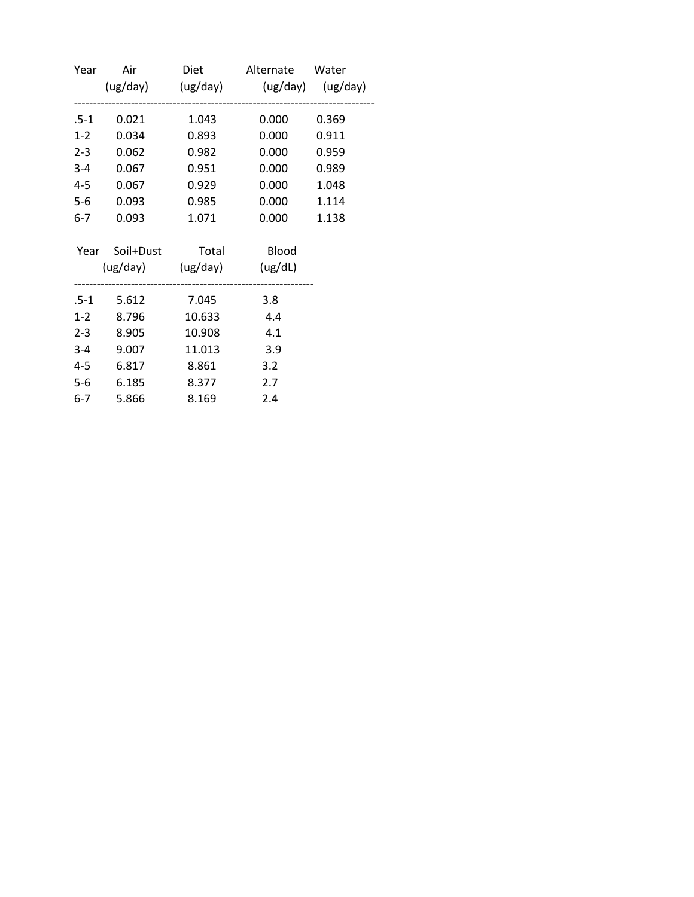| Year    |                            |        | Air Diet Alternate Water<br>(ug/day) (ug/day) (ug/day) (ug/day) |       |
|---------|----------------------------|--------|-----------------------------------------------------------------|-------|
|         |                            |        |                                                                 |       |
| .5-1    | 0.021                      | 1.043  | 0.000                                                           | 0.369 |
| $1-2$   | 0.034                      | 0.893  | 0.000                                                           | 0.911 |
| $2 - 3$ | 0.062                      | 0.982  | 0.000                                                           | 0.959 |
| $3-4$   | 0.067                      | 0.951  | 0.000                                                           | 0.989 |
| $4 - 5$ | 0.067                      | 0.929  | 0.000                                                           | 1.048 |
| $5-6$   | 0.093                      | 0.985  | 0.000                                                           | 1.114 |
| 6-7     | 0.093                      | 1.071  | 0.000                                                           | 1.138 |
|         | Year Soil+Dust Total Blood |        |                                                                 |       |
|         | (ug/day) (ug/day) (ug/dL)  |        |                                                                 |       |
|         | .5-1 5.612 7.045           |        | 3.8                                                             |       |
| $1-2$   | 8.796                      | 10.633 | 4.4                                                             |       |
| $2 - 3$ | 8.905                      | 10.908 | 4.1                                                             |       |
|         | 3-4 9.007                  | 11.013 | 3.9                                                             |       |
| 4-5     | 6.817                      | 8.861  | 3.2                                                             |       |
| $5-6$   | 6.185                      | 8.377  | 2.7                                                             |       |
| $6-7$   | 5.866                      | 8.169  | 2.4                                                             |       |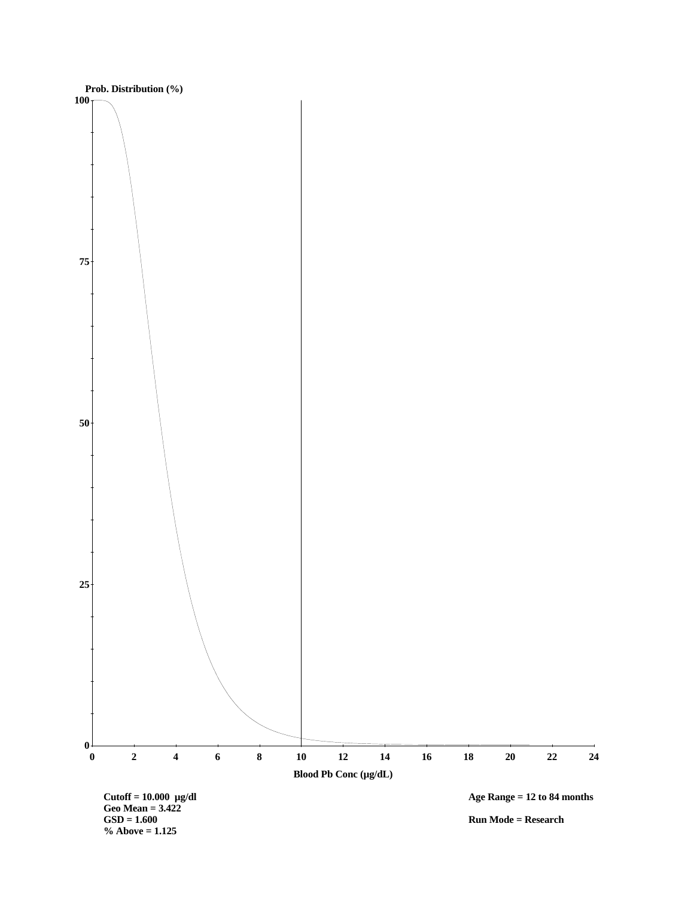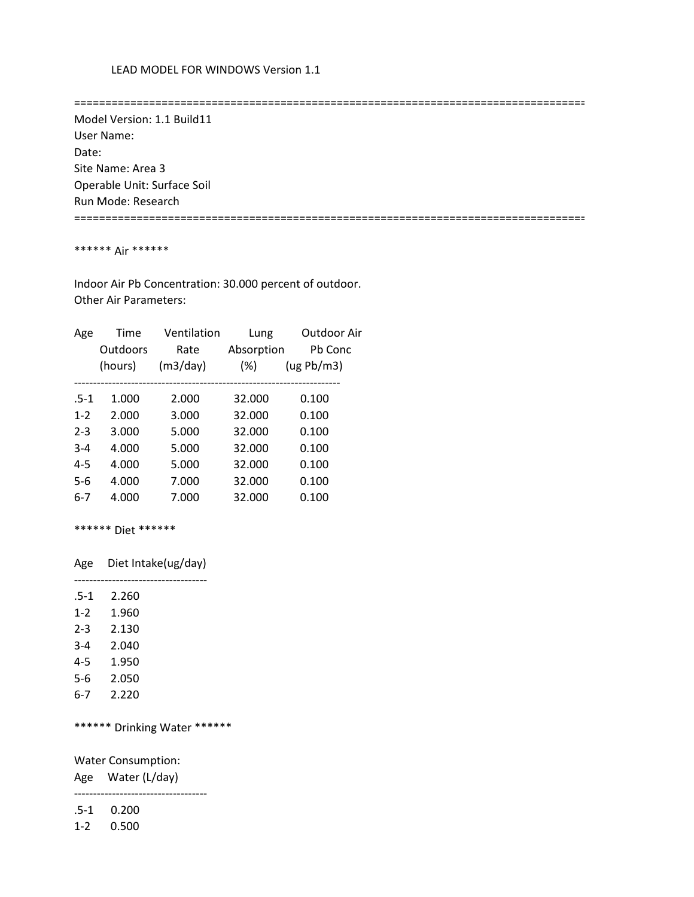==================================================================================

 Model Version: 1.1 Build11 User Name: Date: Site Name: Area 3 Operable Unit: Surface Soil Run Mode: Research ==================================================================================

### \*\*\*\*\*\* Air \*\*\*\*\*\*

 Indoor Air Pb Concentration: 30.000 percent of outdoor. Other Air Parameters:

| Age     | Time     | Ventilation | Lung       | Outdoor Air |
|---------|----------|-------------|------------|-------------|
|         | Outdoors | Rate        | Absorption | Pb Conc     |
|         | (hours)  | (m3/day)    | $(\%)$     | (ug Pb/m3)  |
|         |          |             |            |             |
| $.5-1$  | 1.000    | 2.000       | 32.000     | 0.100       |
| $1 - 2$ | 2.000    | 3.000       | 32.000     | 0.100       |
| $2 - 3$ | 3.000    | 5.000       | 32.000     | 0.100       |
| $3 - 4$ | 4.000    | 5.000       | 32.000     | 0.100       |
| $4 - 5$ | 4.000    | 5.000       | 32.000     | 0.100       |
| $5-6$   | 4.000    | 7.000       | 32.000     | 0.100       |
| 6-7     | 4.000    | 7.000       | 32.000     | 0.100       |
|         |          |             |            |             |

\*\*\*\*\*\* Diet \*\*\*\*\*\*

Age Diet Intake(ug/day)

-----------------------------------

| .5-1    | 2.260 |
|---------|-------|
| $1 - 2$ | 1.960 |
| $2 - 3$ | 2.130 |
| $3 - 4$ | 2.040 |
| $4 - 5$ | 1.950 |
| 5-6     | 2.050 |
| 6-7     | 2.220 |

\*\*\*\*\*\* Drinking Water \*\*\*\*\*\*

Water Consumption:

Age Water (L/day)

 ----------------------------------- .5-1 0.200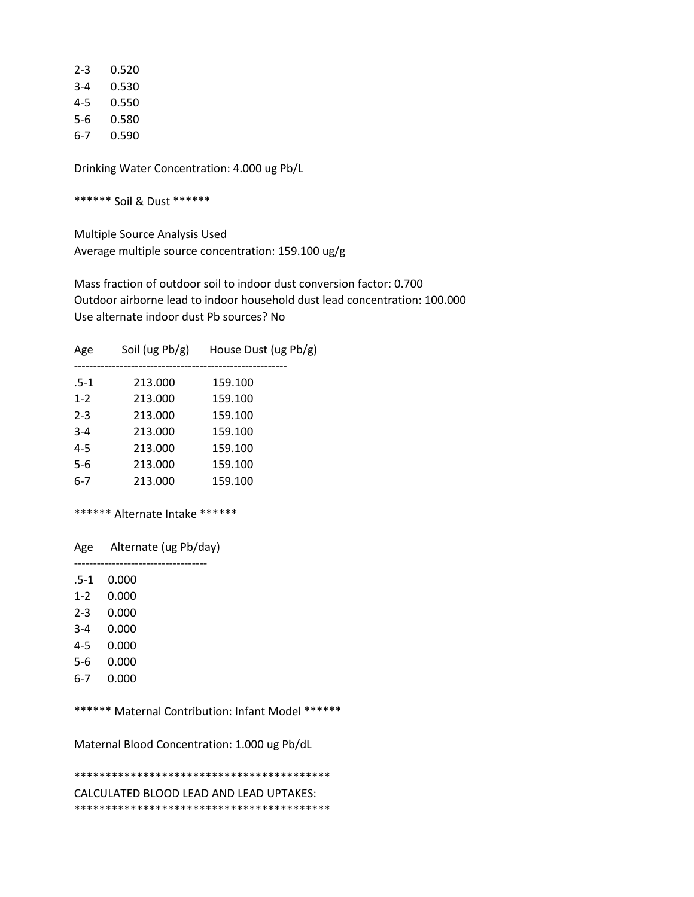| 2-3 | 0.520 |
|-----|-------|
| 3-4 | 0.530 |
| 4-5 | 0.550 |
| 5-6 | 0.580 |
| 6-7 | 0.590 |

\*\*\*\*\*\* Soil & Dust \*\*\*\*\*\*

 Multiple Source Analysis Used Average multiple source concentration: 159.100 ug/g

 Mass fraction of outdoor soil to indoor dust conversion factor: 0.700 Outdoor airborne lead to indoor household dust lead concentration: 100.000 Use alternate indoor dust Pb sources? No

| Age     | Soil (ug $Pb/g$ ) | House Dust (ug Pb/g) |
|---------|-------------------|----------------------|
| $.5-1$  | 213.000           | 159.100              |
| $1 - 2$ | 213.000           | 159.100              |
| $2 - 3$ | 213.000           | 159.100              |
| $3 - 4$ | 213.000           | 159.100              |
| $4 - 5$ | 213.000           | 159.100              |
| 5-6     | 213.000           | 159.100              |
| $6-7$   | 213.000           | 159.100              |

## \*\*\*\*\*\* Alternate Intake \*\*\*\*\*\*

 Age Alternate (ug Pb/day) -----------------------------------

.5-1 0.000

1-2 0.000

- 2-3 0.000
- 3-4 0.000
- 4-5 0.000
- 5-6 0.000
- 6-7 0.000

\*\*\*\*\*\* Maternal Contribution: Infant Model \*\*\*\*\*\*

Maternal Blood Concentration: 1.000 ug Pb/dL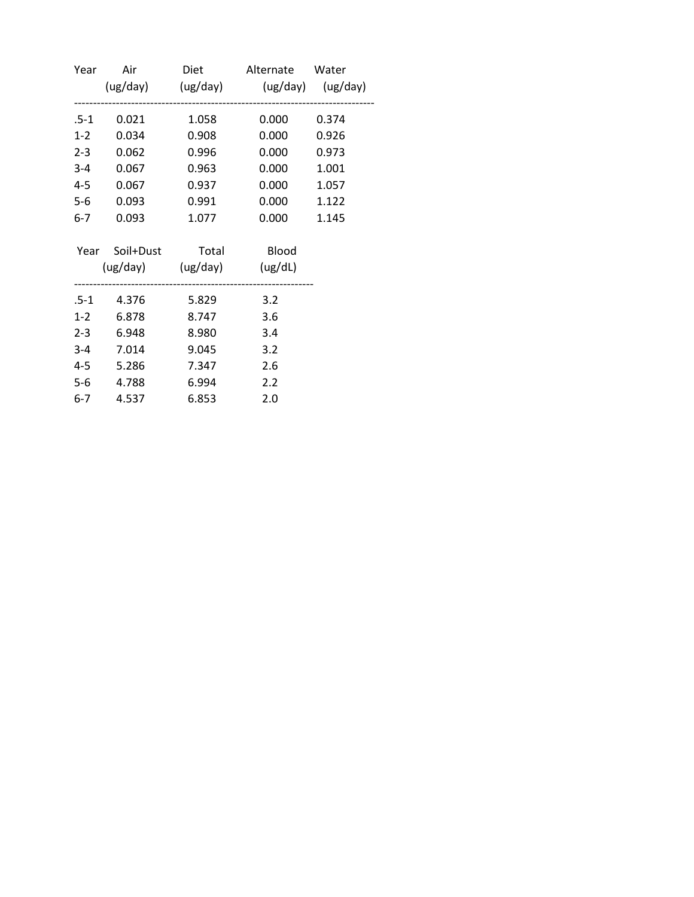| Year    |                            |       | Air Diet Alternate Water<br>(ug/day) (ug/day) (ug/day) (ug/day) |       |
|---------|----------------------------|-------|-----------------------------------------------------------------|-------|
| .5-1    | 0.021                      | 1.058 | 0.000                                                           | 0.374 |
| $1-2$   | 0.034                      | 0.908 | 0.000                                                           | 0.926 |
| $2 - 3$ | 0.062                      | 0.996 | 0.000                                                           | 0.973 |
| $3 - 4$ | 0.067                      | 0.963 | 0.000                                                           | 1.001 |
| 4-5     | 0.067                      | 0.937 | 0.000                                                           | 1.057 |
| $5-6$   | 0.093                      | 0.991 | 0.000                                                           | 1.122 |
| $6-7$   | 0.093                      | 1.077 | 0.000                                                           | 1.145 |
|         | Year Soil+Dust Total Blood |       |                                                                 |       |
|         | (ug/day) (ug/day) (ug/dL)  |       |                                                                 |       |
|         | .5-1 4.376                 | 5.829 | 3.2                                                             |       |
| $1-2$   | 6.878                      | 8.747 | 3.6                                                             |       |
| $2 - 3$ | 6.948                      | 8.980 | 3.4                                                             |       |
|         | 3-4 7.014                  | 9.045 | 3.2                                                             |       |
| 4-5     | 5.286                      | 7.347 | 2.6                                                             |       |
| $5-6$   | 4.788                      | 6.994 | 2.2                                                             |       |
| $6-7$   | 4.537                      | 6.853 | 2.0                                                             |       |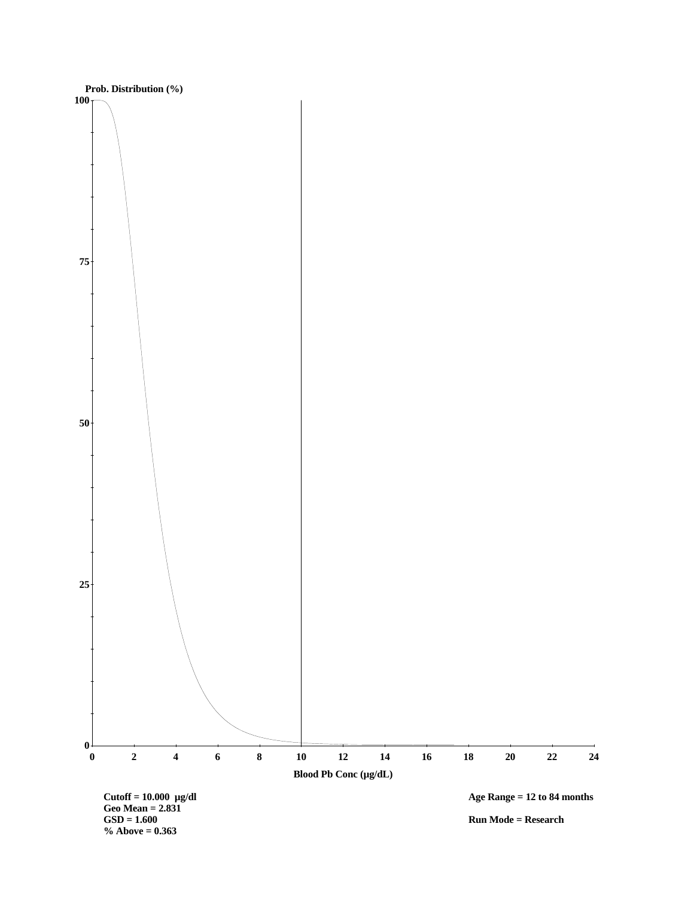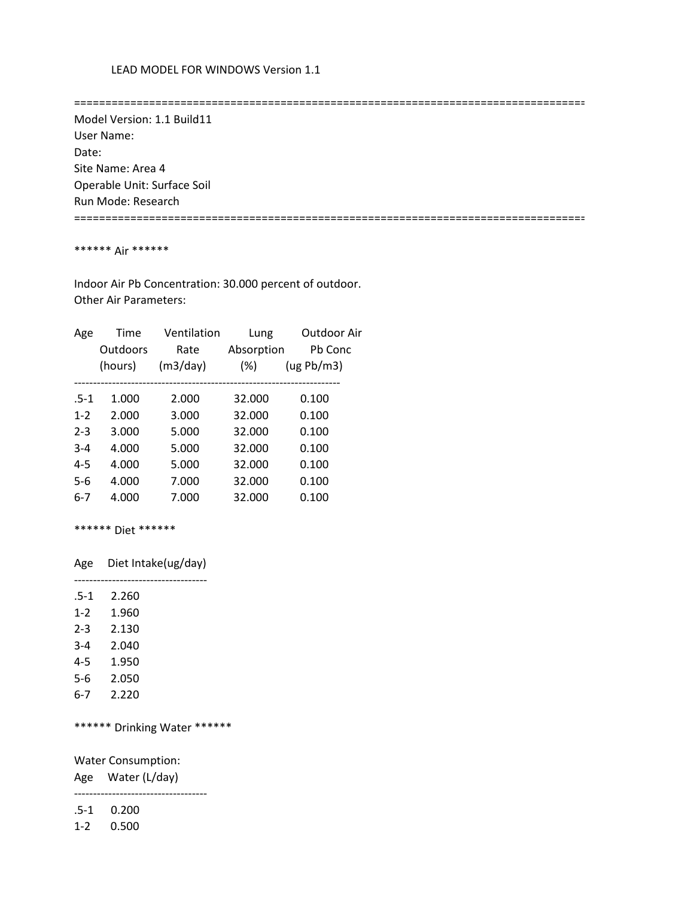==================================================================================

 Model Version: 1.1 Build11 User Name: Date: Site Name: Area 4 Operable Unit: Surface Soil Run Mode: Research ==================================================================================

### \*\*\*\*\*\* Air \*\*\*\*\*\*

 Indoor Air Pb Concentration: 30.000 percent of outdoor. Other Air Parameters:

| Age     | Time     | Ventilation | Lung       | Outdoor Air |
|---------|----------|-------------|------------|-------------|
|         | Outdoors | Rate        | Absorption | Pb Conc     |
|         | (hours)  | (m3/day)    | $(\%)$     | (ug Pb/m3)  |
|         |          |             |            |             |
| $.5-1$  | 1.000    | 2.000       | 32.000     | 0.100       |
| $1 - 2$ | 2.000    | 3.000       | 32.000     | 0.100       |
| $2 - 3$ | 3.000    | 5.000       | 32.000     | 0.100       |
| $3 - 4$ | 4.000    | 5.000       | 32.000     | 0.100       |
| $4 - 5$ | 4.000    | 5.000       | 32.000     | 0.100       |
| $5-6$   | 4.000    | 7.000       | 32.000     | 0.100       |
| 6-7     | 4.000    | 7.000       | 32.000     | 0.100       |
|         |          |             |            |             |

\*\*\*\*\*\* Diet \*\*\*\*\*\*

Age Diet Intake(ug/day)

-----------------------------------

| $.5-1$  | 2.260 |
|---------|-------|
| $1 - 2$ | 1.960 |
| $2 - 3$ | 2.130 |
| $3 - 4$ | 2.040 |
| $4 - 5$ | 1.950 |
| 5-6     | 2.050 |
| 6-7     | 2.220 |

\*\*\*\*\*\* Drinking Water \*\*\*\*\*\*

Water Consumption:

Age Water (L/day)

-----------------------------------

.5-1 0.200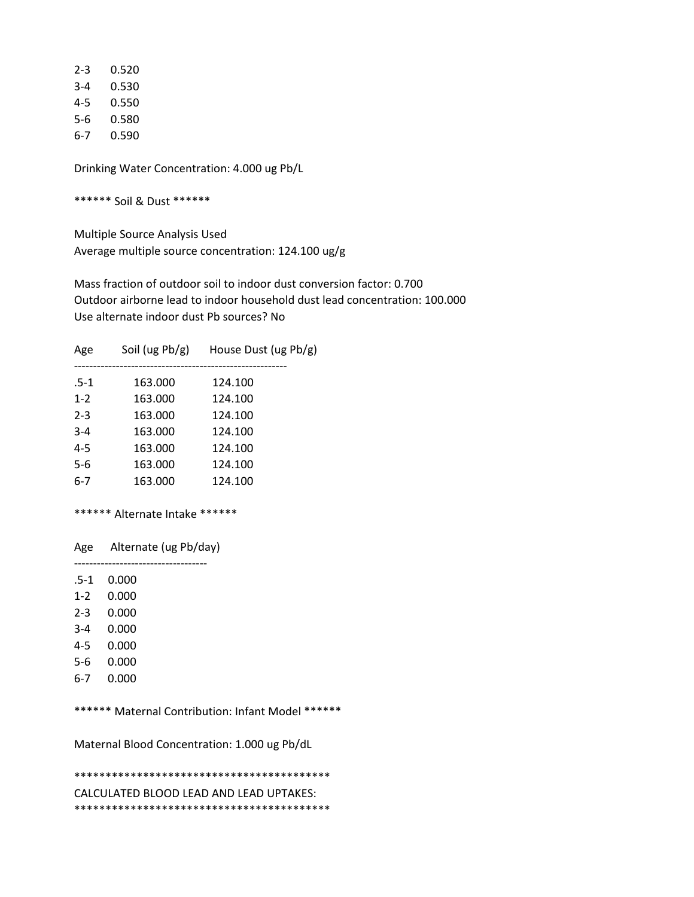| 2-3 | 0.520 |
|-----|-------|
| 3-4 | 0.530 |
| 4-5 | 0.550 |
| 5-6 | 0.580 |
| 6-7 | 0.590 |

\*\*\*\*\*\* Soil & Dust \*\*\*\*\*\*

 Multiple Source Analysis Used Average multiple source concentration: 124.100 ug/g

 Mass fraction of outdoor soil to indoor dust conversion factor: 0.700 Outdoor airborne lead to indoor household dust lead concentration: 100.000 Use alternate indoor dust Pb sources? No

| Age     | Soil (ug $Pb/g$ ) | House Dust (ug Pb/g) |
|---------|-------------------|----------------------|
| $.5-1$  | 163.000           | 124.100              |
| $1 - 2$ | 163.000           | 124.100              |
| $2 - 3$ | 163.000           | 124.100              |
| $3 - 4$ | 163.000           | 124.100              |
| $4 - 5$ | 163.000           | 124.100              |
| 5-6     | 163.000           | 124.100              |
| $6-7$   | 163.000           | 124.100              |

## \*\*\*\*\*\* Alternate Intake \*\*\*\*\*\*

Age Alternate (ug Pb/day)

 ----------------------------------- .5-1 0.000

- 1-2 0.000
- 
- 2-3 0.000
- 3-4 0.000
- 4-5 0.000
- 5-6 0.000
- 6-7 0.000

\*\*\*\*\*\* Maternal Contribution: Infant Model \*\*\*\*\*\*

Maternal Blood Concentration: 1.000 ug Pb/dL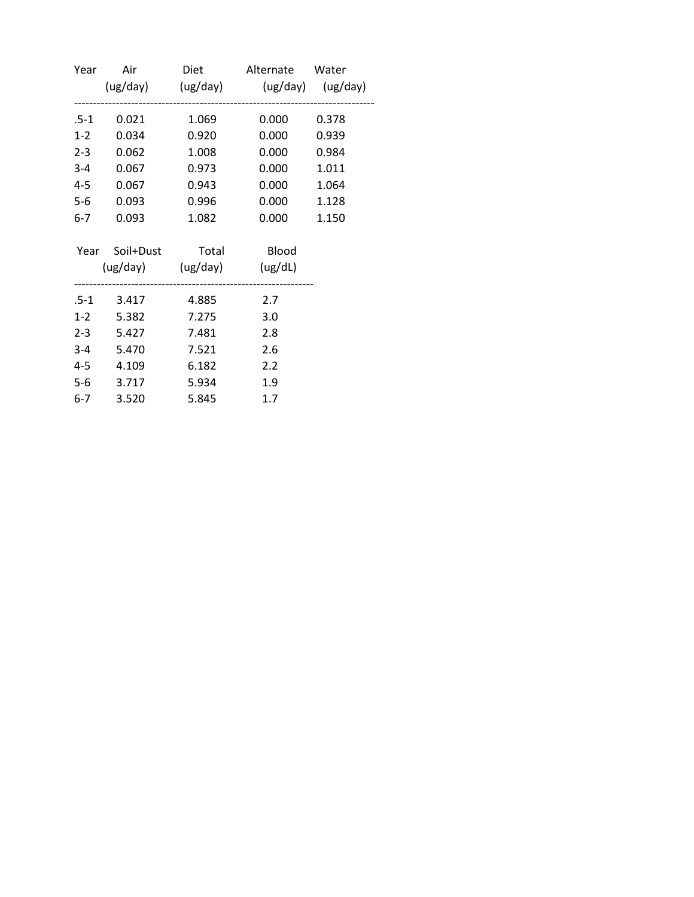| Year    |                            |       | Air Diet Alternate Water<br>(ug/day) (ug/day) (ug/day) (ug/day) |       |
|---------|----------------------------|-------|-----------------------------------------------------------------|-------|
| .5-1    | 0.021                      | 1.069 | 0.000                                                           | 0.378 |
| $1-2$   | 0.034                      | 0.920 | 0.000                                                           | 0.939 |
| $2 - 3$ | 0.062                      | 1.008 | 0.000                                                           | 0.984 |
| $3-4$   | 0.067                      | 0.973 | 0.000                                                           | 1.011 |
| $4 - 5$ | 0.067                      | 0.943 | 0.000                                                           | 1.064 |
| $5-6$   | 0.093                      | 0.996 | 0.000                                                           | 1.128 |
| $6-7$   | 0.093                      | 1.082 | 0.000                                                           | 1.150 |
|         | Year Soil+Dust Total Blood |       |                                                                 |       |
|         | (ug/day) (ug/day) (ug/dL)  |       |                                                                 |       |
|         | .5-1 3.417 4.885           |       | 2.7                                                             |       |
|         | 1-2 5.382                  | 7.275 | 3.0                                                             |       |
|         | 2-3 5.427                  | 7.481 | 2.8                                                             |       |
|         | 3-4 5.470                  | 7.521 | 2.6                                                             |       |
|         | 4-5 4.109                  | 6.182 | 2.2                                                             |       |
|         | 5-6 3.717                  | 5.934 | 1.9                                                             |       |
| $6-7$   | 3.520                      | 5.845 | 1.7                                                             |       |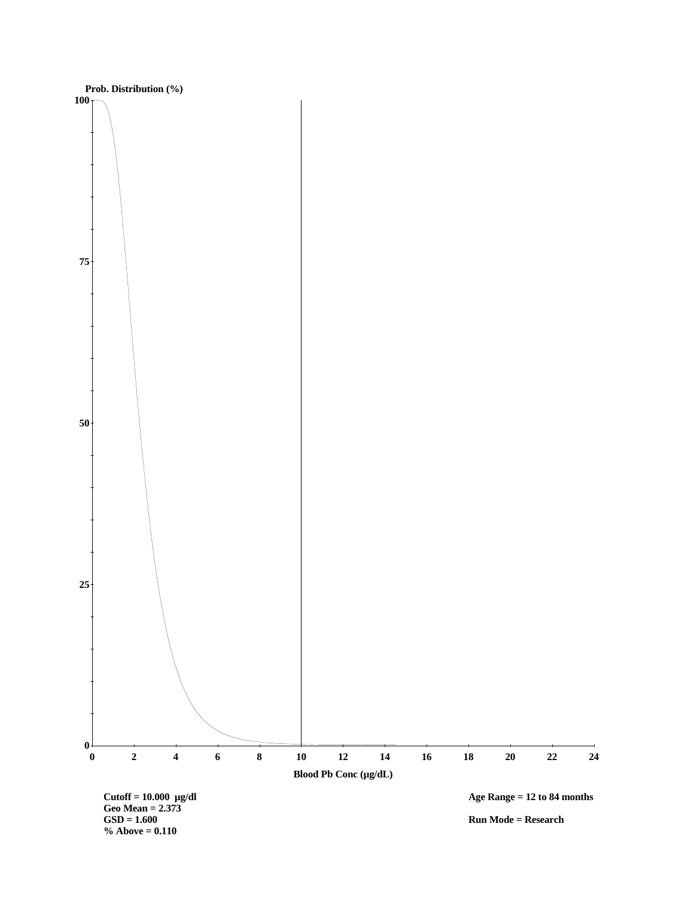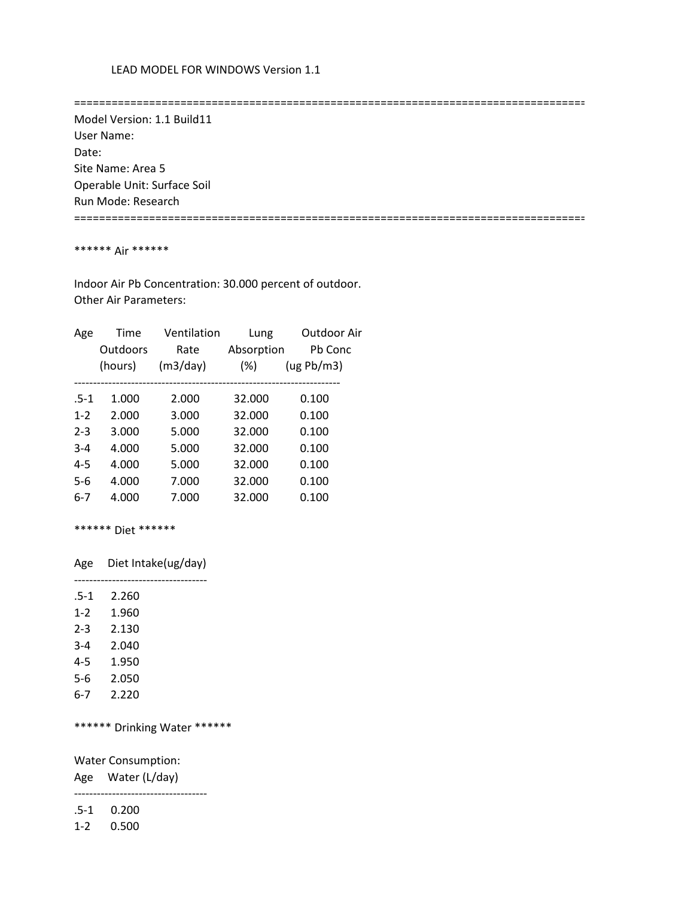==================================================================================

 Model Version: 1.1 Build11 User Name: Date: Site Name: Area 5 Operable Unit: Surface Soil Run Mode: Research ==================================================================================

### \*\*\*\*\*\* Air \*\*\*\*\*\*

 Indoor Air Pb Concentration: 30.000 percent of outdoor. Other Air Parameters:

| Age     | Time     | Ventilation | Lung       | Outdoor Air |
|---------|----------|-------------|------------|-------------|
|         | Outdoors | Rate        | Absorption | Pb Conc     |
|         | (hours)  | (m3/day)    | $(\%)$     | (ug Pb/m3)  |
|         |          |             |            |             |
| $.5-1$  | 1.000    | 2.000       | 32.000     | 0.100       |
| $1 - 2$ | 2.000    | 3.000       | 32.000     | 0.100       |
| $2 - 3$ | 3.000    | 5.000       | 32.000     | 0.100       |
| $3 - 4$ | 4.000    | 5.000       | 32.000     | 0.100       |
| $4 - 5$ | 4.000    | 5.000       | 32.000     | 0.100       |
| $5-6$   | 4.000    | 7.000       | 32.000     | 0.100       |
| 6-7     | 4.000    | 7.000       | 32.000     | 0.100       |
|         |          |             |            |             |

\*\*\*\*\*\* Diet \*\*\*\*\*\*

Age Diet Intake(ug/day)

-----------------------------------

| $.5-1$  | 2.260 |
|---------|-------|
| $1 - 2$ | 1.960 |
| $2 - 3$ | 2.130 |
| $3 - 4$ | 2.040 |
| $4 - 5$ | 1.950 |
| 5-6     | 2.050 |
| 6-7     | 2.220 |

\*\*\*\*\*\* Drinking Water \*\*\*\*\*\*

Water Consumption:

Age Water (L/day)

-----------------------------------

.5-1 0.200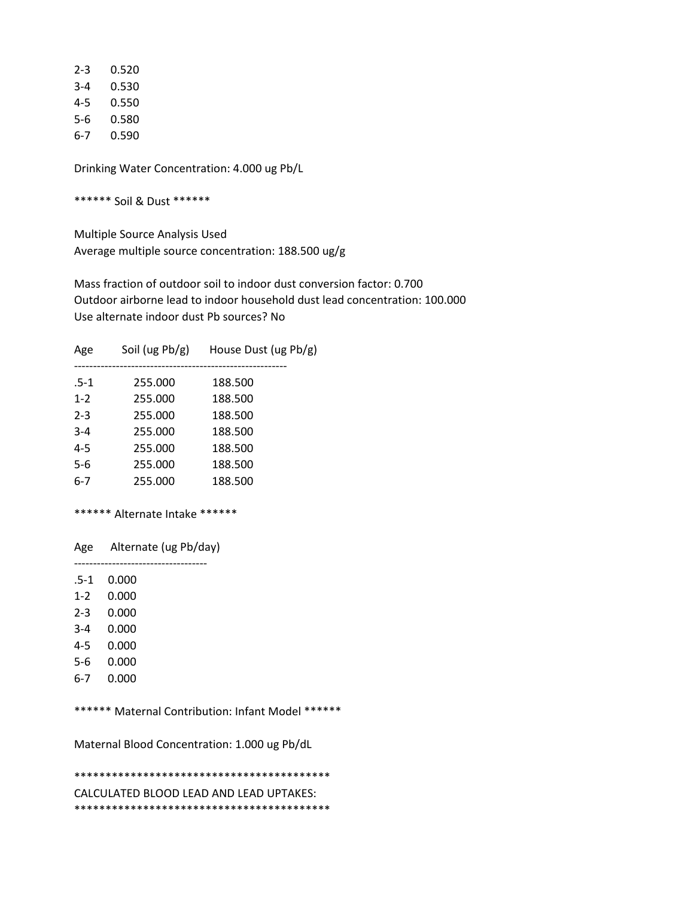| 2-3 | 0.520 |
|-----|-------|
| 3-4 | 0.530 |
| 4-5 | 0.550 |
| 5-6 | 0.580 |
| 6-7 | 0.590 |

\*\*\*\*\*\* Soil & Dust \*\*\*\*\*\*

 Multiple Source Analysis Used Average multiple source concentration: 188.500 ug/g

 Mass fraction of outdoor soil to indoor dust conversion factor: 0.700 Outdoor airborne lead to indoor household dust lead concentration: 100.000 Use alternate indoor dust Pb sources? No

| Age     | Soil (ug $Pb/g$ ) | House Dust (ug Pb/g) |
|---------|-------------------|----------------------|
| $.5-1$  | 255.000           | 188.500              |
| $1 - 2$ | 255.000           | 188.500              |
| $2 - 3$ | 255.000           | 188.500              |
| $3 - 4$ | 255.000           | 188.500              |
| $4 - 5$ | 255.000           | 188.500              |
| 5-6     | 255.000           | 188.500              |
| $6-7$   | 255.000           | 188.500              |
|         |                   |                      |

## \*\*\*\*\*\* Alternate Intake \*\*\*\*\*\*

Age Alternate (ug Pb/day)

 ----------------------------------- .5-1 0.000

- 1-2 0.000
- 
- 2-3 0.000
- 3-4 0.000
- 4-5 0.000
- 5-6 0.000
- 6-7 0.000

\*\*\*\*\*\* Maternal Contribution: Infant Model \*\*\*\*\*\*

Maternal Blood Concentration: 1.000 ug Pb/dL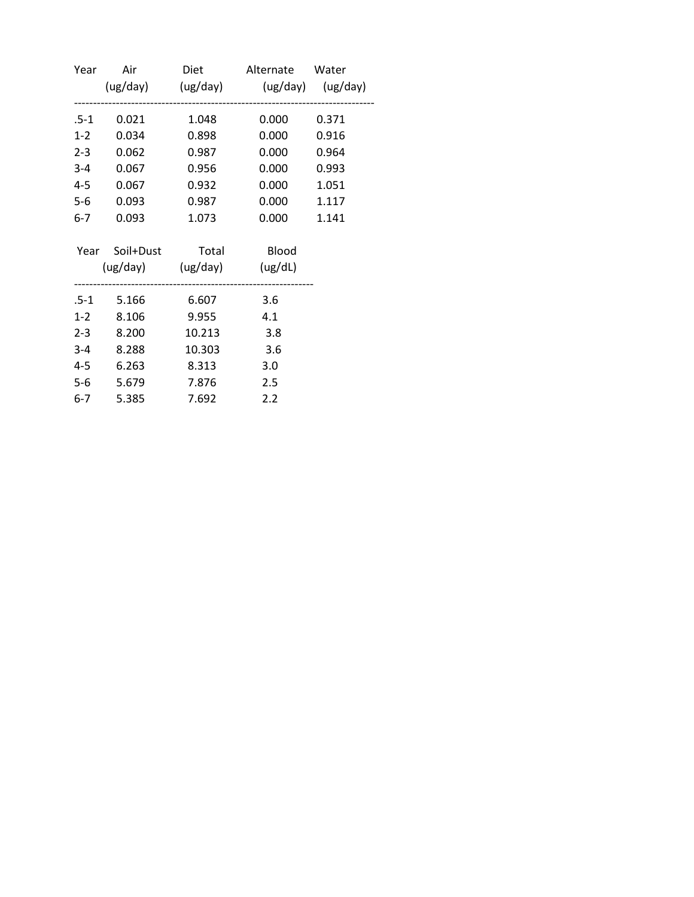| Year    |       |                            | Air Diet Alternate Water            |       |
|---------|-------|----------------------------|-------------------------------------|-------|
|         |       |                            | (ug/day) (ug/day) (ug/day) (ug/day) |       |
| .5-1    | 0.021 | 1.048                      | 0.000                               | 0.371 |
| $1-2$   | 0.034 | 0.898                      | 0.000                               | 0.916 |
| $2 - 3$ | 0.062 | 0.987                      | 0.000                               | 0.964 |
| $3-4$   | 0.067 | 0.956                      | 0.000                               | 0.993 |
| $4 - 5$ | 0.067 | 0.932                      | 0.000                               | 1.051 |
| $5-6$   | 0.093 | 0.987                      | 0.000                               | 1.117 |
| $6-7$   | 0.093 | 1.073                      | 0.000                               | 1.141 |
|         |       | Year Soil+Dust Total Blood |                                     |       |
|         |       | (ug/day) (ug/day) (ug/dL)  |                                     |       |
|         |       | .5-1 5.166 6.607           | 3.6                                 |       |
| $1-2$   | 8.106 | 9.955                      | 4.1                                 |       |
| $2 - 3$ | 8.200 | 10.213                     | 3.8                                 |       |
| $3 - 4$ | 8.288 | 10.303                     | 3.6                                 |       |
| $4 - 5$ | 6.263 | 8.313                      | 3.0                                 |       |
| $5-6$   | 5.679 | 7.876                      | 2.5                                 |       |
| $6 - 7$ | 5.385 | 7.692                      | 2.2                                 |       |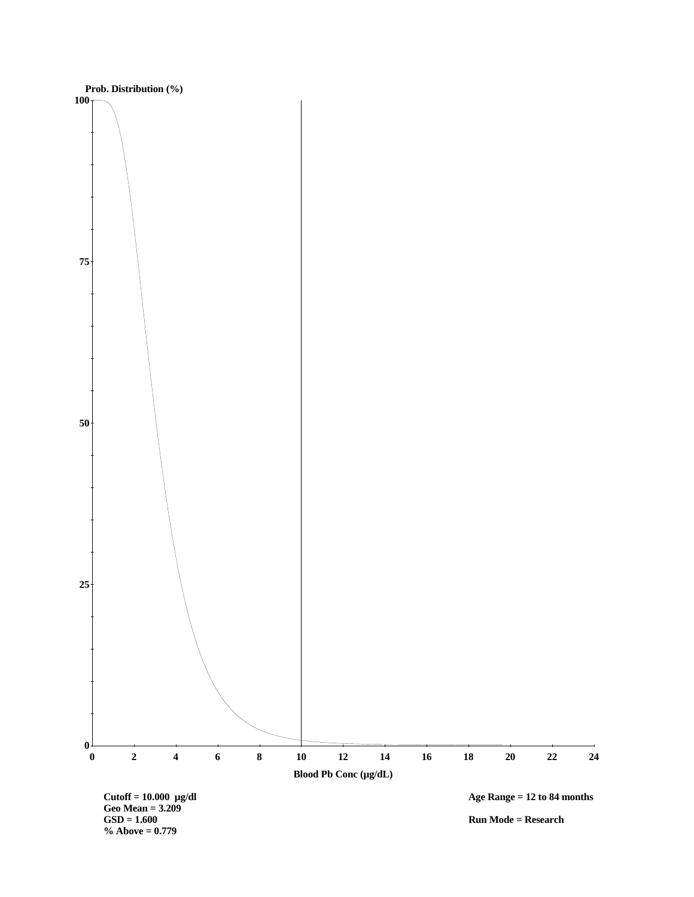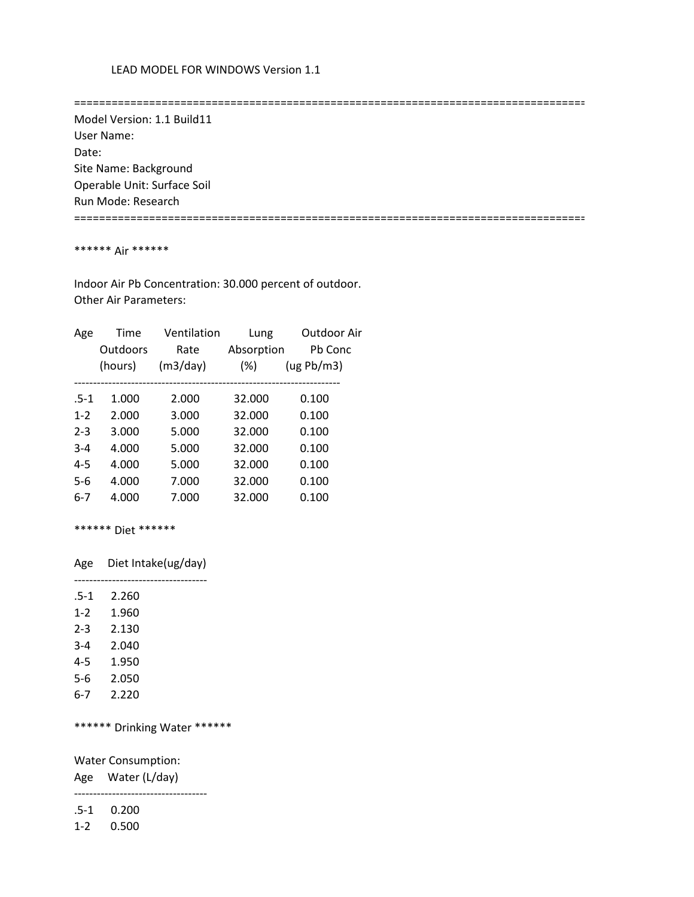==================================================================================

 Model Version: 1.1 Build11 User Name: Date: Site Name: Background Operable Unit: Surface Soil Run Mode: Research ==================================================================================

### \*\*\*\*\*\* Air \*\*\*\*\*\*

 Indoor Air Pb Concentration: 30.000 percent of outdoor. Other Air Parameters:

| Age     | Time     | Ventilation | Lung       | Outdoor Air |
|---------|----------|-------------|------------|-------------|
|         | Outdoors | Rate        | Absorption | Pb Conc     |
|         | (hours)  | (m3/day)    | $(\%)$     | (ug Pb/m3)  |
|         |          |             |            |             |
| $.5-1$  | 1.000    | 2.000       | 32.000     | 0.100       |
| $1 - 2$ | 2.000    | 3.000       | 32.000     | 0.100       |
| $2 - 3$ | 3.000    | 5.000       | 32.000     | 0.100       |
| $3 - 4$ | 4.000    | 5.000       | 32.000     | 0.100       |
| $4 - 5$ | 4.000    | 5.000       | 32.000     | 0.100       |
| $5-6$   | 4.000    | 7.000       | 32.000     | 0.100       |
| 6-7     | 4.000    | 7.000       | 32.000     | 0.100       |
|         |          |             |            |             |

\*\*\*\*\*\* Diet \*\*\*\*\*\*

Age Diet Intake(ug/day)

-----------------------------------

| $.5-1$  | 2.260 |
|---------|-------|
| $1 - 2$ | 1.960 |
| $2 - 3$ | 2.130 |
| $3 - 4$ | 2.040 |
| $4 - 5$ | 1.950 |
| 5-6     | 2.050 |
| 6-7     | 2.220 |

\*\*\*\*\*\* Drinking Water \*\*\*\*\*\*

Water Consumption:

Age Water (L/day)

-----------------------------------

.5-1 0.200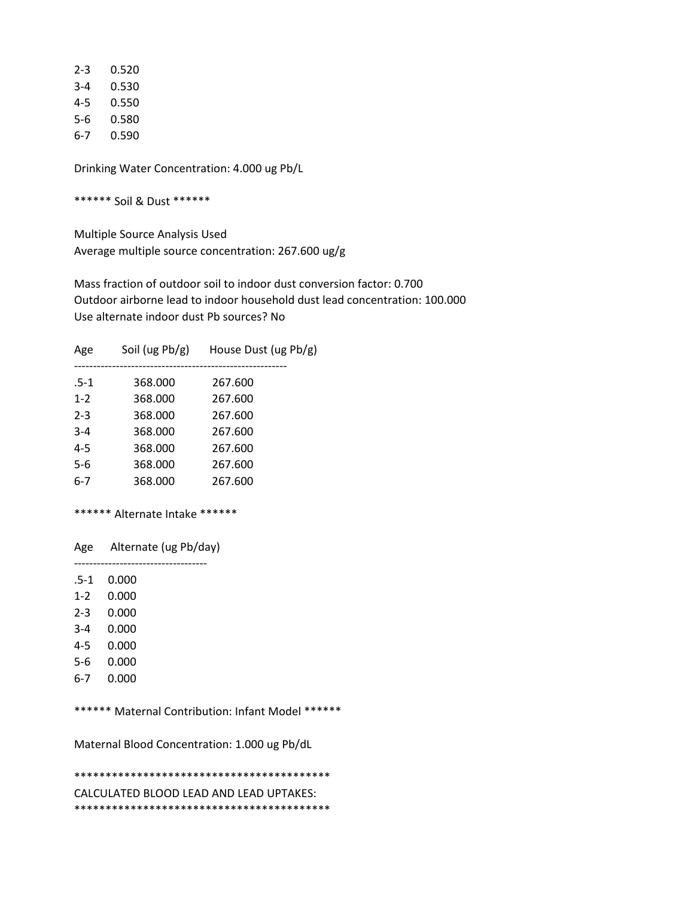| 2-3 | 0.520 |
|-----|-------|
| 3-4 | 0.530 |
| 4-5 | 0.550 |
| 5-6 | 0.580 |
| 6-7 | 0.590 |

\*\*\*\*\*\* Soil & Dust \*\*\*\*\*\*

 Multiple Source Analysis Used Average multiple source concentration: 267.600 ug/g

 Mass fraction of outdoor soil to indoor dust conversion factor: 0.700 Outdoor airborne lead to indoor household dust lead concentration: 100.000 Use alternate indoor dust Pb sources? No

| Age     | Soil (ug $Pb/g$ ) | House Dust (ug Pb/g) |
|---------|-------------------|----------------------|
| .5-1    | 368,000           | 267.600              |
| $1 - 2$ | 368.000           | 267.600              |
| $2 - 3$ | 368.000           | 267.600              |
| $3 - 4$ | 368.000           | 267.600              |
| $4 - 5$ | 368.000           | 267.600              |
| 5-6     | 368,000           | 267.600              |
| $6-7$   | 368,000           | 267.600              |
|         |                   |                      |

## \*\*\*\*\*\* Alternate Intake \*\*\*\*\*\*

Age Alternate (ug Pb/day)

 ----------------------------------- .5-1 0.000

1-2 0.000

- 2-3 0.000
- 3-4 0.000
- 4-5 0.000
- 5-6 0.000
- 6-7 0.000
- 

\*\*\*\*\*\* Maternal Contribution: Infant Model \*\*\*\*\*\*

Maternal Blood Concentration: 1.000 ug Pb/dL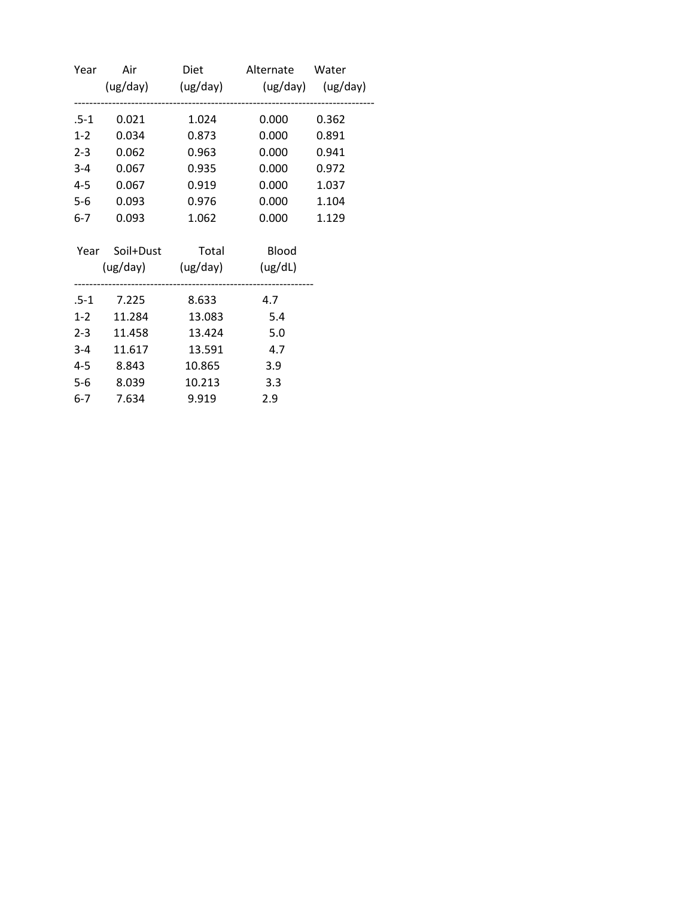| Year   |            |                            | Air Diet Alternate Water<br>(ug/day) (ug/day) (ug/day) (ug/day) |       |
|--------|------------|----------------------------|-----------------------------------------------------------------|-------|
| $.5-1$ | 0.021      | 1.024                      | 0.000                                                           | 0.362 |
| $1-2$  | 0.034      | 0.873                      | 0.000                                                           | 0.891 |
|        | 2-3 0.062  | 0.963                      | 0.000                                                           | 0.941 |
|        | 3-4 0.067  | 0.935                      | 0.000                                                           | 0.972 |
| $4-5$  | 0.067      | 0.919                      | 0.000                                                           | 1.037 |
| $5-6$  | 0.093      | 0.976                      | 0.000                                                           | 1.104 |
| $6-7$  | 0.093      | 1.062                      | 0.000                                                           | 1.129 |
|        |            | Year Soil+Dust Total Blood |                                                                 |       |
|        |            | (ug/day) (ug/day) (ug/dL)  |                                                                 |       |
|        |            | .5-1 7.225 8.633           | 4.7                                                             |       |
|        |            | 1-2 11.284 13.083 5.4      |                                                                 |       |
|        | 2-3 11.458 | 13.424                     | 5.0                                                             |       |
| $3-4$  | 11.617     | 13.591                     | 4.7                                                             |       |
|        | 4-5 8.843  | 10.865                     | 3.9                                                             |       |
| $5-6$  | 8.039      | 10.213                     | 3.3                                                             |       |
| $6-7$  | 7.634      | 9.919                      | 2.9                                                             |       |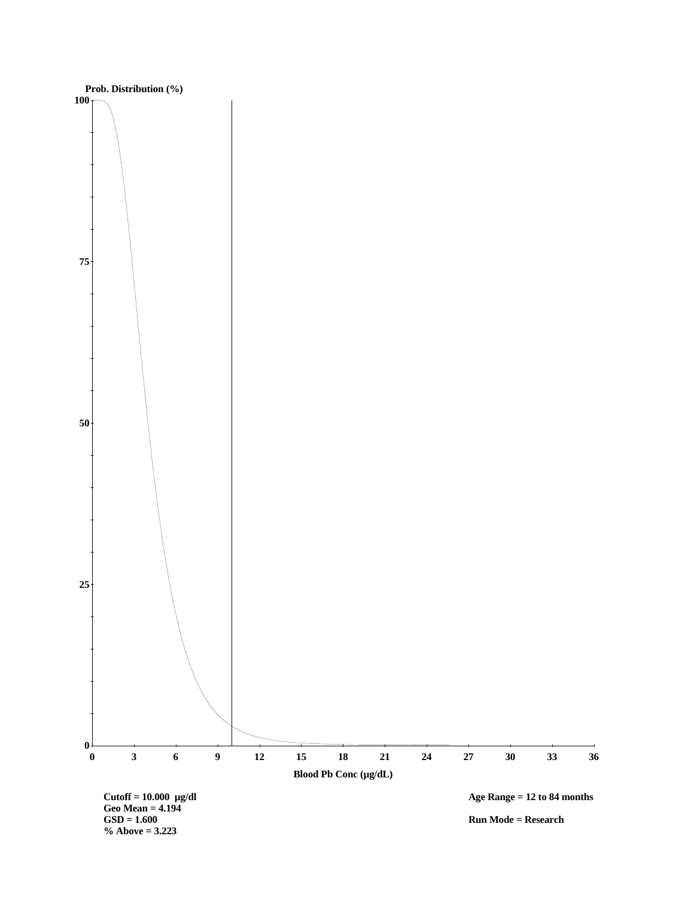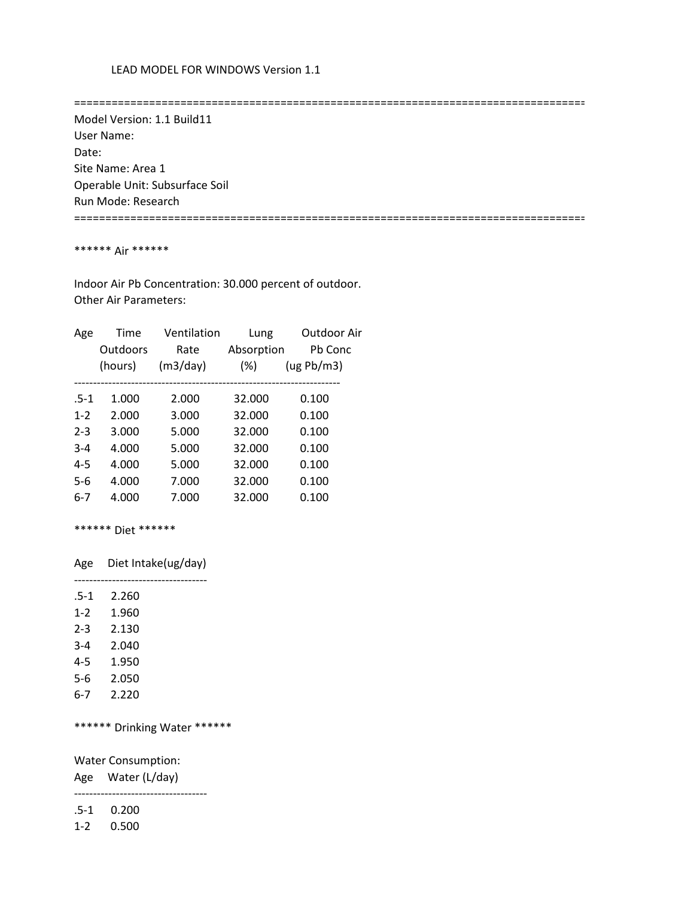==================================================================================

 Model Version: 1.1 Build11 User Name: Date: Site Name: Area 1 Operable Unit: Subsurface Soil Run Mode: Research

==================================================================================

### \*\*\*\*\*\* Air \*\*\*\*\*\*

 Indoor Air Pb Concentration: 30.000 percent of outdoor. Other Air Parameters:

| Age     | Time     | Ventilation | Lung       | Outdoor Air |
|---------|----------|-------------|------------|-------------|
|         | Outdoors | Rate        | Absorption | Pb Conc     |
|         | (hours)  | (m3/day)    | $(\%)$     | (ug Pb/m3)  |
|         |          |             |            |             |
| $.5-1$  | 1.000    | 2.000       | 32.000     | 0.100       |
| $1 - 2$ | 2.000    | 3.000       | 32.000     | 0.100       |
| $2 - 3$ | 3.000    | 5.000       | 32.000     | 0.100       |
| $3 - 4$ | 4.000    | 5.000       | 32.000     | 0.100       |
| $4 - 5$ | 4.000    | 5.000       | 32.000     | 0.100       |
| $5-6$   | 4.000    | 7.000       | 32.000     | 0.100       |
| 6-7     | 4.000    | 7.000       | 32.000     | 0.100       |
|         |          |             |            |             |

\*\*\*\*\*\* Diet \*\*\*\*\*\*

Age Diet Intake(ug/day)

-----------------------------------

| $.5-1$  | 2.260 |
|---------|-------|
| $1 - 2$ | 1.960 |
| $2 - 3$ | 2.130 |
| $3 - 4$ | 2.040 |
| $4 - 5$ | 1.950 |
| 5-6     | 2.050 |
| 6-7     | 2.220 |

\*\*\*\*\*\* Drinking Water \*\*\*\*\*\*

Water Consumption:

Age Water (L/day)

-----------------------------------

.5-1 0.200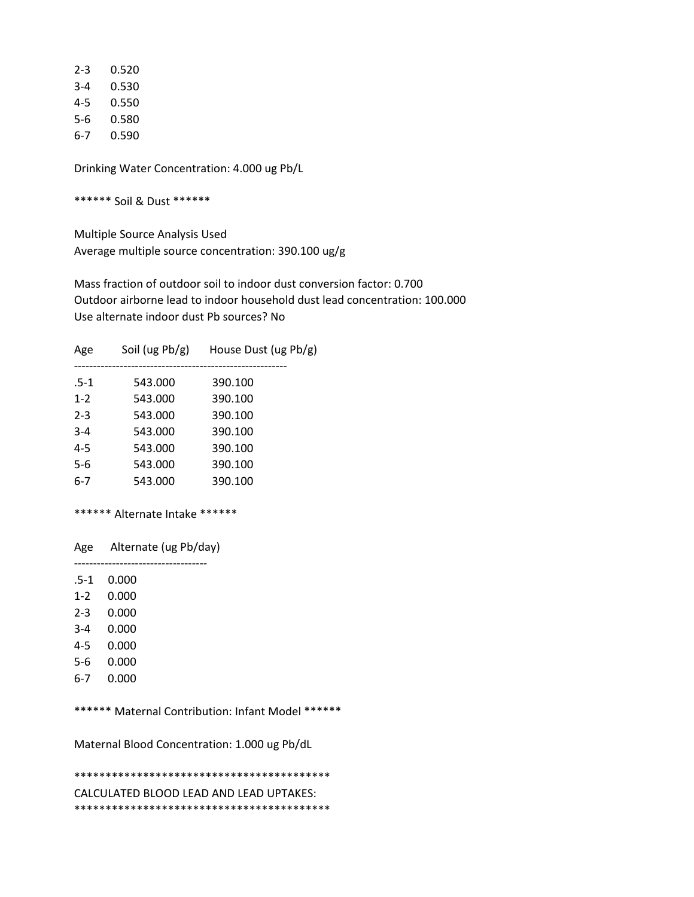| 2-3 | 0.520 |
|-----|-------|
| 3-4 | 0.530 |
| 4-5 | 0.550 |
| 5-6 | 0.580 |
| 6-7 | 0.590 |

\*\*\*\*\*\* Soil & Dust \*\*\*\*\*\*

 Multiple Source Analysis Used Average multiple source concentration: 390.100 ug/g

 Mass fraction of outdoor soil to indoor dust conversion factor: 0.700 Outdoor airborne lead to indoor household dust lead concentration: 100.000 Use alternate indoor dust Pb sources? No

| Age |         | Soil (ug $Pb/g$ ) | House Dust (ug Pb/g) |  |
|-----|---------|-------------------|----------------------|--|
|     | .5-1    | 543.000           | 390.100              |  |
|     | $1 - 2$ | 543.000           | 390.100              |  |
|     | $2 - 3$ | 543.000           | 390.100              |  |
|     | $3 - 4$ | 543.000           | 390.100              |  |
|     | $4 - 5$ | 543.000           | 390.100              |  |
|     | 5-6     | 543.000           | 390.100              |  |
|     | $6-7$   | 543.000           | 390.100              |  |
|     |         |                   |                      |  |

## \*\*\*\*\*\* Alternate Intake \*\*\*\*\*\*

Age Alternate (ug Pb/day)

 ----------------------------------- .5-1 0.000

- 1-2 0.000
- 
- 2-3 0.000
- 3-4 0.000
- 4-5 0.000
- 5-6 0.000
- 6-7 0.000

\*\*\*\*\*\* Maternal Contribution: Infant Model \*\*\*\*\*\*

Maternal Blood Concentration: 1.000 ug Pb/dL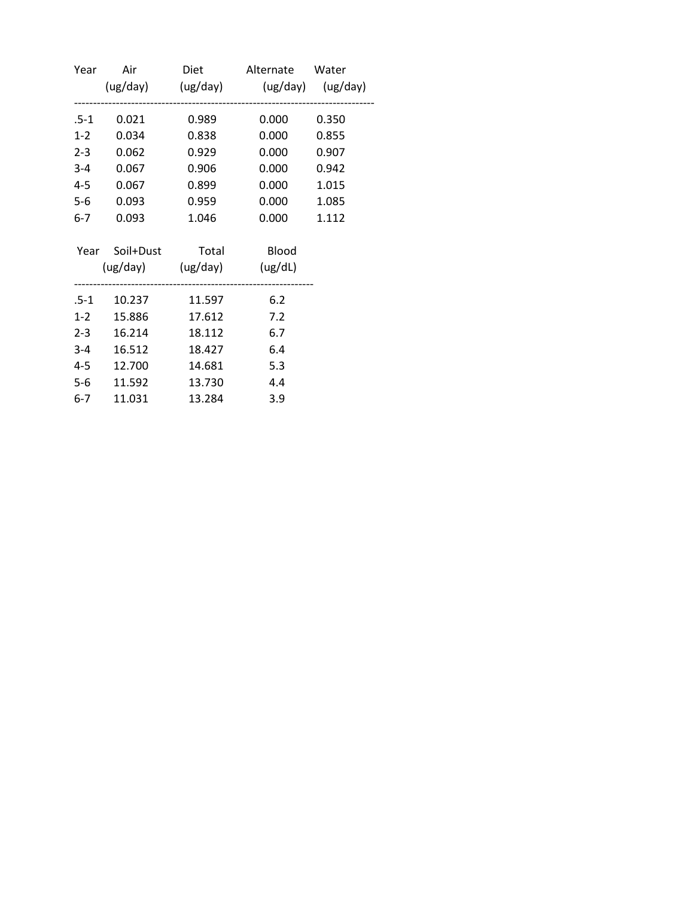| Year  |             |                            | Air Diet Alternate Water            |       |
|-------|-------------|----------------------------|-------------------------------------|-------|
|       |             |                            | (ug/day) (ug/day) (ug/day) (ug/day) |       |
| .5-1  | 0.021       | 0.989                      | 0.000                               | 0.350 |
| $1-2$ | 0.034       | 0.838                      | 0.000                               | 0.855 |
|       | $2-3$ 0.062 | 0.929                      | 0.000                               | 0.907 |
|       | 3-4 0.067   | 0.906                      | 0.000                               | 0.942 |
|       | 4-5 0.067   | 0.899                      | 0.000                               | 1.015 |
| $5-6$ | 0.093       | 0.959                      | 0.000                               | 1.085 |
| $6-7$ | 0.093       | 1.046                      | 0.000                               | 1.112 |
|       |             | Year Soil+Dust Total Blood |                                     |       |
|       |             | (ug/day) (ug/day) (ug/dL)  |                                     |       |
|       |             | .5-1  10.237  11.597       | 6.2                                 |       |
|       | 1-2 15.886  | 17.612                     | 7.2                                 |       |
|       | 2-3 16.214  | 18.112                     | 6.7                                 |       |
| $3-4$ | 16.512      | 18.427                     | 6.4                                 |       |
|       | 4-5 12.700  | 14.681                     | 5.3                                 |       |
| $5-6$ | 11.592      | 13.730                     | 4.4                                 |       |
| $6-7$ | 11.031      | 13.284                     | 3.9                                 |       |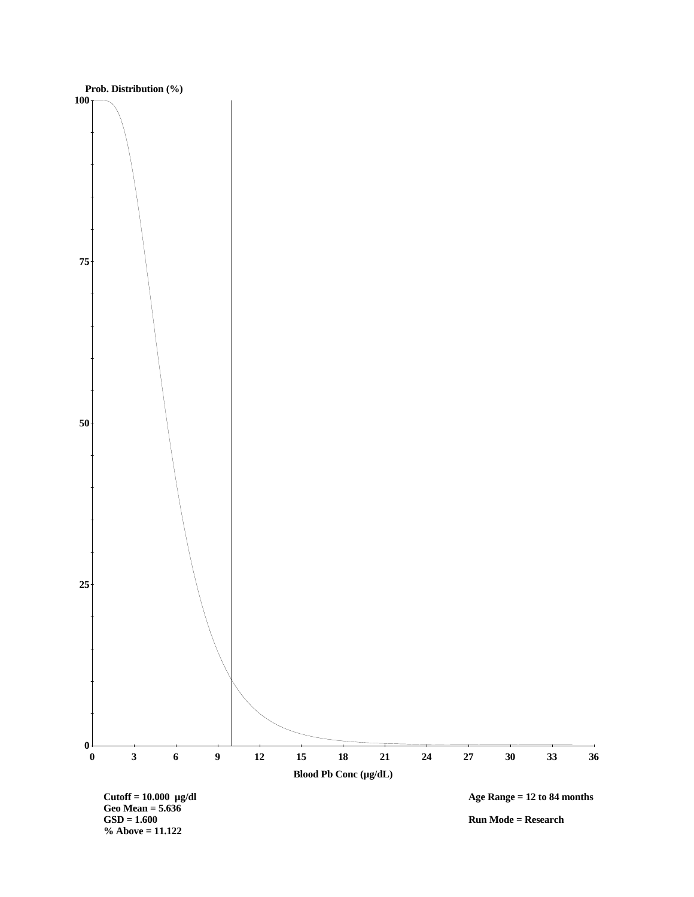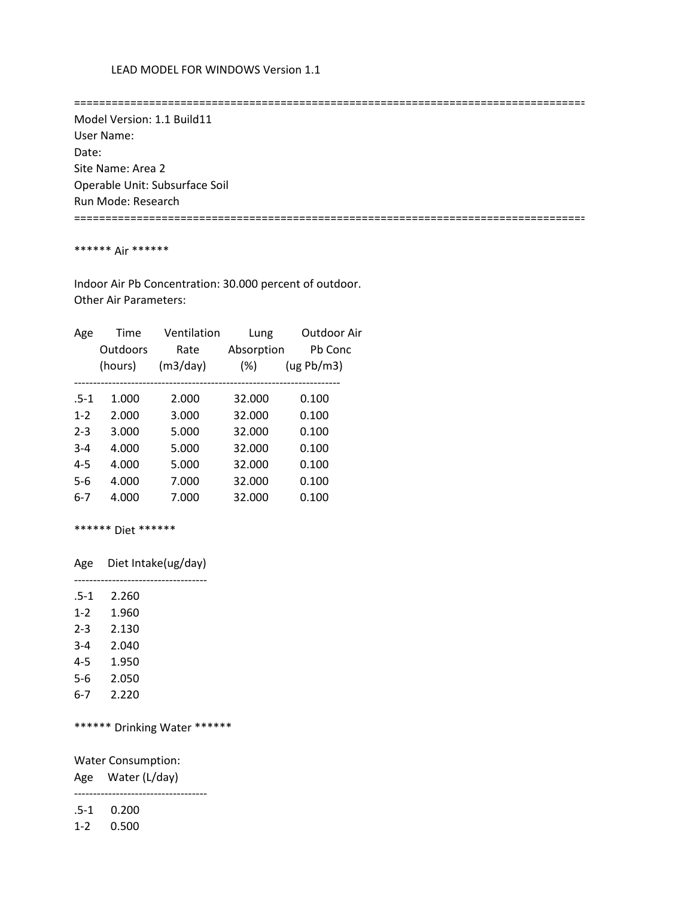==================================================================================

 Model Version: 1.1 Build11 User Name: Date: Site Name: Area 2 Operable Unit: Subsurface Soil Run Mode: Research

==================================================================================

### \*\*\*\*\*\* Air \*\*\*\*\*\*

 Indoor Air Pb Concentration: 30.000 percent of outdoor. Other Air Parameters:

| Age     | Time     | Ventilation | Lung       | Outdoor Air |
|---------|----------|-------------|------------|-------------|
|         | Outdoors | Rate        | Absorption | Pb Conc     |
|         | (hours)  | (m3/day)    | $(\%)$     | (ug Pb/m3)  |
|         |          |             |            |             |
| $.5-1$  | 1.000    | 2.000       | 32.000     | 0.100       |
| $1 - 2$ | 2.000    | 3.000       | 32.000     | 0.100       |
| $2 - 3$ | 3.000    | 5.000       | 32.000     | 0.100       |
| $3 - 4$ | 4.000    | 5.000       | 32.000     | 0.100       |
| $4 - 5$ | 4.000    | 5.000       | 32.000     | 0.100       |
| $5-6$   | 4.000    | 7.000       | 32.000     | 0.100       |
| 6-7     | 4.000    | 7.000       | 32.000     | 0.100       |
|         |          |             |            |             |

\*\*\*\*\*\* Diet \*\*\*\*\*\*

Age Diet Intake(ug/day)

-----------------------------------

| $.5 - 1$ | 2.260 |
|----------|-------|
| $1 - 2$  | 1.960 |
| $2 - 3$  | 2.130 |
| $3 - 4$  | 2.040 |
| $4 - 5$  | 1.950 |
| 5-6      | 2.050 |
| 6-7      | 2.220 |

\*\*\*\*\*\* Drinking Water \*\*\*\*\*\*

Water Consumption:

Age Water (L/day)

-----------------------------------

.5-1 0.200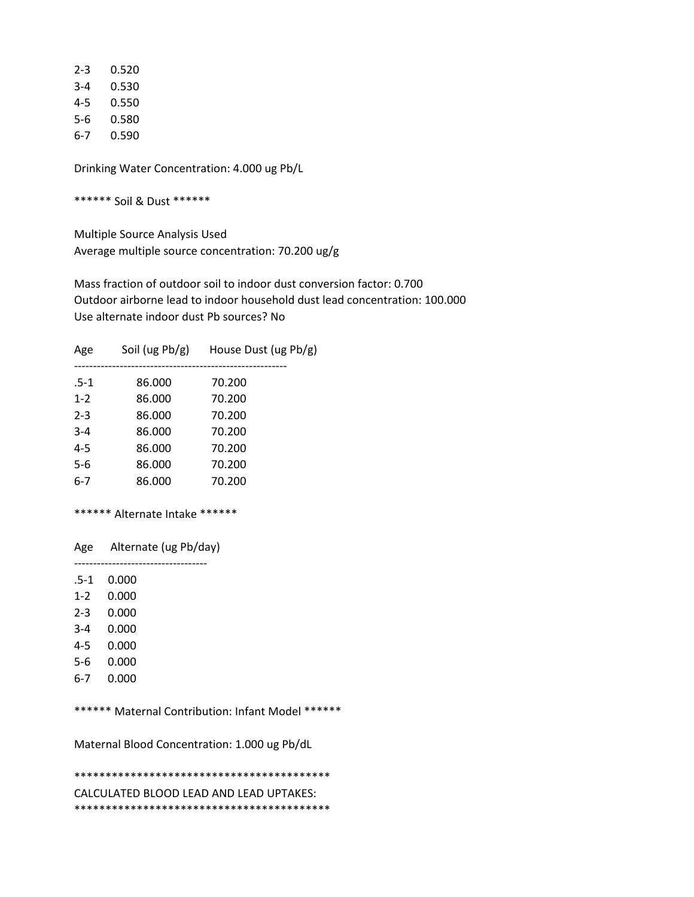| 2-3 | 0.520 |
|-----|-------|
| 3-4 | 0.530 |
| 4-5 | 0.550 |
| 5-6 | 0.580 |
| 6-7 | 0.590 |

\*\*\*\*\*\* Soil & Dust \*\*\*\*\*\*

 Multiple Source Analysis Used Average multiple source concentration: 70.200 ug/g

 Mass fraction of outdoor soil to indoor dust conversion factor: 0.700 Outdoor airborne lead to indoor household dust lead concentration: 100.000 Use alternate indoor dust Pb sources? No

| Age     | Soil (ug $Pb/g$ ) | House Dust (ug Pb/g) |
|---------|-------------------|----------------------|
| $.5-1$  | 86.000            | 70.200               |
| $1 - 2$ | 86.000            | 70.200               |
| $2 - 3$ | 86.000            | 70.200               |
| $3 - 4$ | 86.000            | 70.200               |
| $4 - 5$ | 86.000            | 70.200               |
| 5-6     | 86.000            | 70.200               |
| $6 - 7$ | 86.000            | 70.200               |
|         |                   |                      |

### \*\*\*\*\*\* Alternate Intake \*\*\*\*\*\*

 Age Alternate (ug Pb/day) -----------------------------------

.5-1 0.000

1-2 0.000

- 2-3 0.000
- 3-4 0.000
- 4-5 0.000
- 5-6 0.000
- 6-7 0.000
- 

\*\*\*\*\*\* Maternal Contribution: Infant Model \*\*\*\*\*\*

Maternal Blood Concentration: 1.000 ug Pb/dL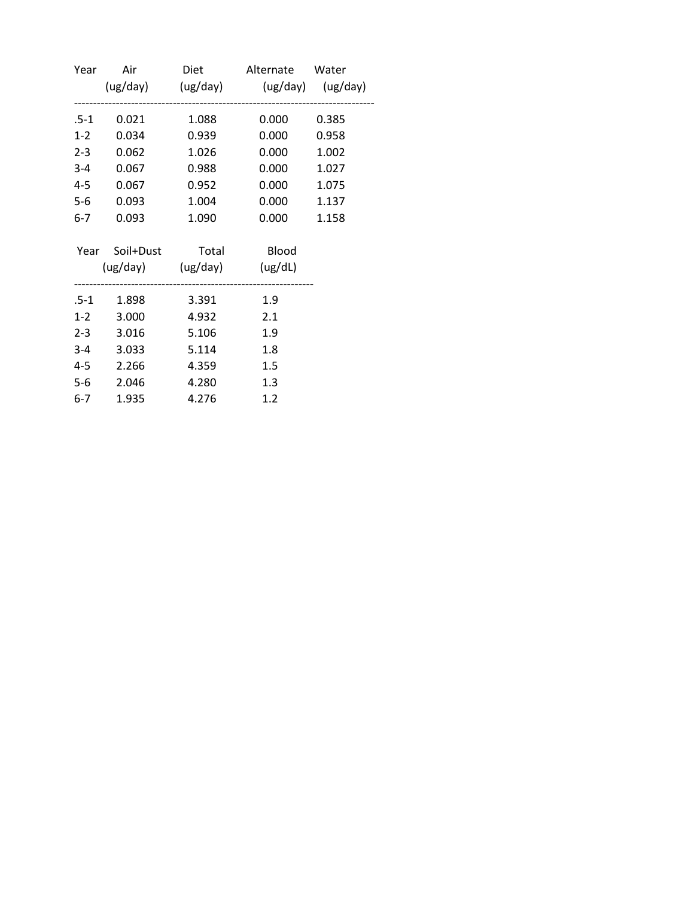| Year    |                            |       | Air Diet Alternate Water            |       |
|---------|----------------------------|-------|-------------------------------------|-------|
|         |                            |       | (ug/day) (ug/day) (ug/day) (ug/day) |       |
| .5-1    | 0.021                      | 1.088 | 0.000                               | 0.385 |
| $1-2$   | 0.034                      | 0.939 | 0.000                               | 0.958 |
| $2 - 3$ | 0.062                      | 1.026 | 0.000                               | 1.002 |
|         | 3-4 0.067                  | 0.988 | 0.000                               | 1.027 |
| $4 - 5$ | 0.067                      | 0.952 | 0.000                               | 1.075 |
| $5-6$   | 0.093                      | 1.004 | 0.000                               | 1.137 |
| $6-7$   | 0.093                      | 1.090 | 0.000                               | 1.158 |
|         | Year Soil+Dust Total Blood |       |                                     |       |
|         | (ug/day) (ug/day) (ug/dL)  |       |                                     |       |
|         |                            | 3.391 | 1.9                                 |       |
|         | $1-2$ 3.000                | 4.932 | 2.1                                 |       |
|         | 2-3 3.016                  | 5.106 | 1.9                                 |       |
|         | 3-4 3.033                  | 5.114 | 1.8                                 |       |
| 4-5     | 2.266                      | 4.359 | 1.5                                 |       |
| $5-6$   | 2.046                      | 4.280 | 1.3                                 |       |
| $6-7$   | 1.935                      | 4.276 | 1.2                                 |       |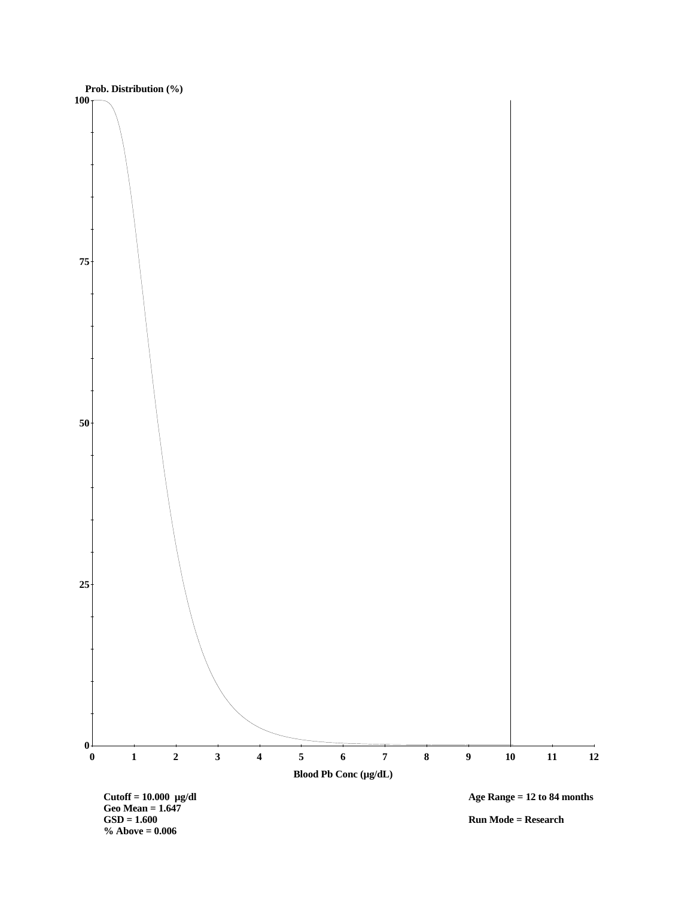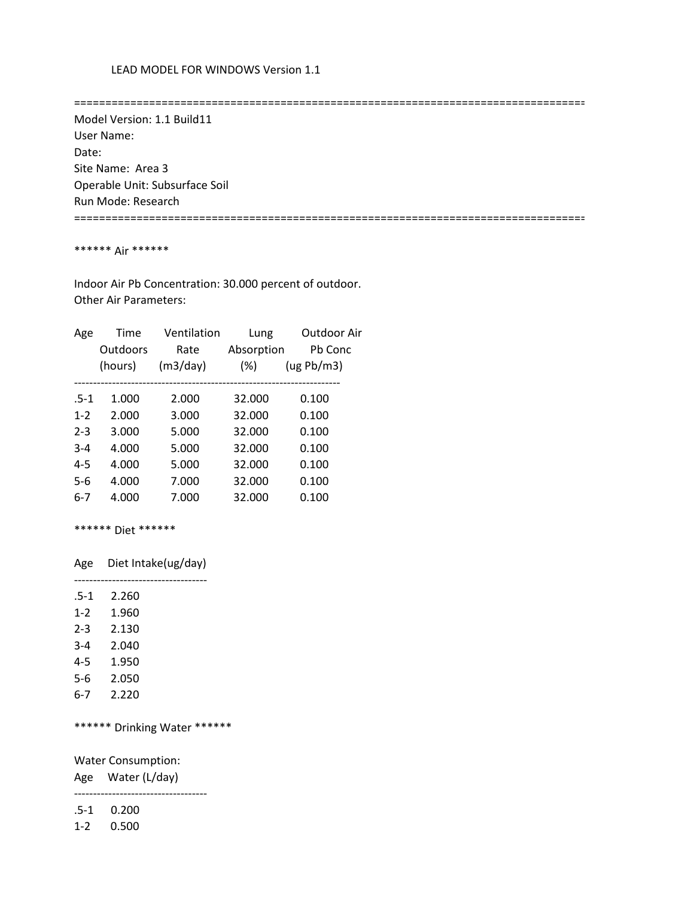==================================================================================

 Model Version: 1.1 Build11 User Name: Date: Site Name: Area 3 Operable Unit: Subsurface Soil Run Mode: Research

==================================================================================

### \*\*\*\*\*\* Air \*\*\*\*\*\*

 Indoor Air Pb Concentration: 30.000 percent of outdoor. Other Air Parameters:

| Age     | Time     | Ventilation | Lung       | Outdoor Air |
|---------|----------|-------------|------------|-------------|
|         | Outdoors | Rate        | Absorption | Pb Conc     |
|         | (hours)  | (m3/day)    | $(\%)$     | (ug Pb/m3)  |
|         |          |             |            |             |
| $.5-1$  | 1.000    | 2.000       | 32.000     | 0.100       |
| $1 - 2$ | 2.000    | 3.000       | 32.000     | 0.100       |
| $2 - 3$ | 3.000    | 5.000       | 32.000     | 0.100       |
| $3 - 4$ | 4.000    | 5.000       | 32.000     | 0.100       |
| $4 - 5$ | 4.000    | 5.000       | 32.000     | 0.100       |
| $5-6$   | 4.000    | 7.000       | 32.000     | 0.100       |
| 6-7     | 4.000    | 7.000       | 32.000     | 0.100       |
|         |          |             |            |             |

\*\*\*\*\*\* Diet \*\*\*\*\*\*

Age Diet Intake(ug/day)

-----------------------------------

| $.5-1$  | 2.260 |
|---------|-------|
| $1 - 2$ | 1.960 |
| $2 - 3$ | 2.130 |
| $3 - 4$ | 2.040 |
| 4-5     | 1.950 |
| 5-6     | 2.050 |
| 6-7     | 2.220 |

\*\*\*\*\*\* Drinking Water \*\*\*\*\*\*

Water Consumption:

Age Water (L/day)

-----------------------------------

.5-1 0.200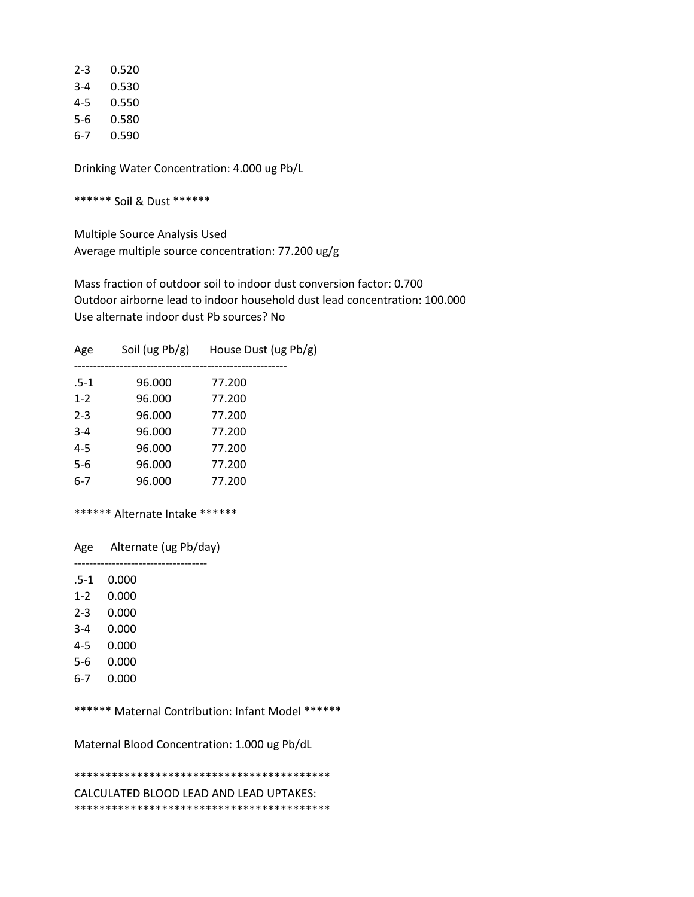| 2-3 | 0.520 |
|-----|-------|
| 3-4 | 0.530 |
| 4-5 | 0.550 |
| 5-6 | 0.580 |
| 6-7 | 0.590 |

\*\*\*\*\*\* Soil & Dust \*\*\*\*\*\*

 Multiple Source Analysis Used Average multiple source concentration: 77.200 ug/g

 Mass fraction of outdoor soil to indoor dust conversion factor: 0.700 Outdoor airborne lead to indoor household dust lead concentration: 100.000 Use alternate indoor dust Pb sources? No

| Age     | Soil (ug $Pb/g$ ) | House Dust (ug Pb/g) |
|---------|-------------------|----------------------|
| $.5-1$  | 96.000            | 77.200               |
| $1 - 2$ | 96.000            | 77.200               |
| $2 - 3$ | 96.000            | 77.200               |
| $3 - 4$ | 96.000            | 77.200               |
| $4 - 5$ | 96.000            | 77.200               |
| 5-6     | 96.000            | 77.200               |
| $6 - 7$ | 96.000            | 77.200               |
|         |                   |                      |

### \*\*\*\*\*\* Alternate Intake \*\*\*\*\*\*

 Age Alternate (ug Pb/day) -----------------------------------

.5-1 0.000

1-2 0.000

- 2-3 0.000
- 3-4 0.000
- 4-5 0.000
- 5-6 0.000
- 6-7 0.000

\*\*\*\*\*\* Maternal Contribution: Infant Model \*\*\*\*\*\*

Maternal Blood Concentration: 1.000 ug Pb/dL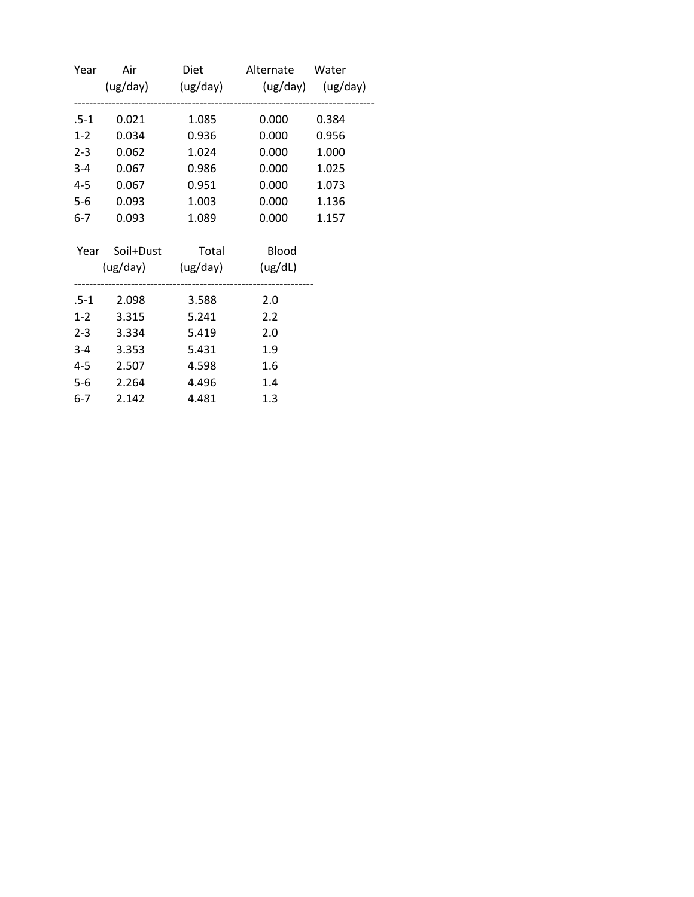| Year    |            |                            | Air Diet Alternate Water            |       |
|---------|------------|----------------------------|-------------------------------------|-------|
|         |            |                            | (ug/day) (ug/day) (ug/day) (ug/day) |       |
| .5-1    | 0.021      | 1.085                      | 0.000                               | 0.384 |
| $1-2$   | 0.034      | 0.936                      | 0.000                               | 0.956 |
| $2 - 3$ | 0.062      | 1.024                      | 0.000                               | 1.000 |
| $3-4$   | 0.067      | 0.986                      | 0.000                               | 1.025 |
| $4 - 5$ | 0.067      | 0.951                      | 0.000                               | 1.073 |
| $5-6$   | 0.093      | 1.003                      | 0.000                               | 1.136 |
| $6-7$   | 0.093      | 1.089                      | 0.000                               | 1.157 |
|         |            | Year Soil+Dust Total Blood |                                     |       |
|         |            | (ug/day) (ug/day) (ug/dL)  |                                     |       |
|         | .5-1 2.098 | 3.588                      | 2.0                                 |       |
|         | 1-2 3.315  | 5.241                      | 2.2                                 |       |
|         | 2-3 3.334  | 5.419                      | 2.0                                 |       |
|         | 3-4 3.353  | 5.431                      | 1.9                                 |       |
|         | 4-5 2.507  | 4.598                      | 1.6                                 |       |
| $5-6$   | 2.264      | 4.496                      | 1.4                                 |       |
| $6-7$   | 2.142      | 4.481                      | 1.3                                 |       |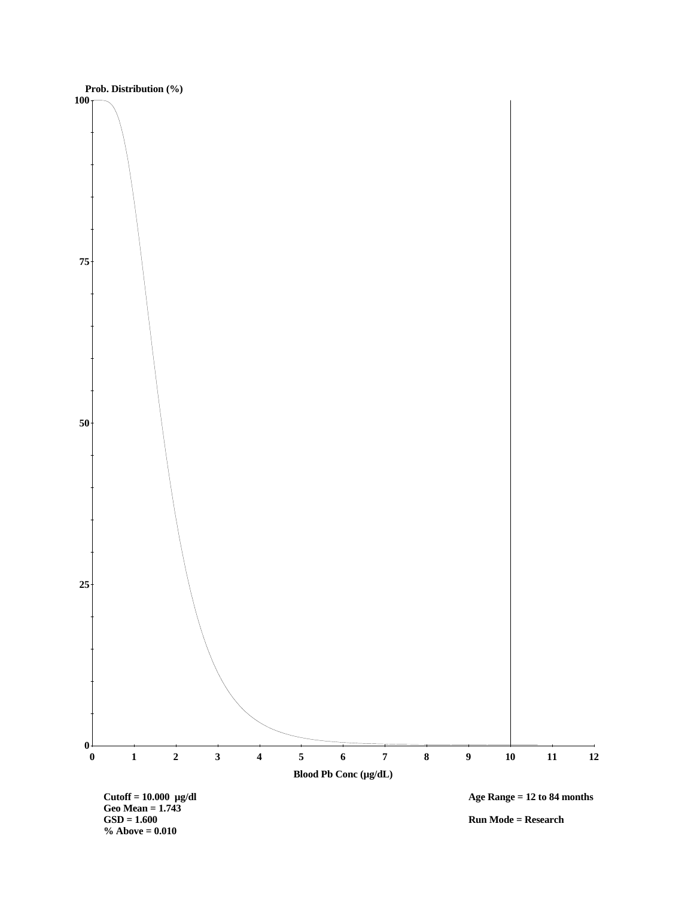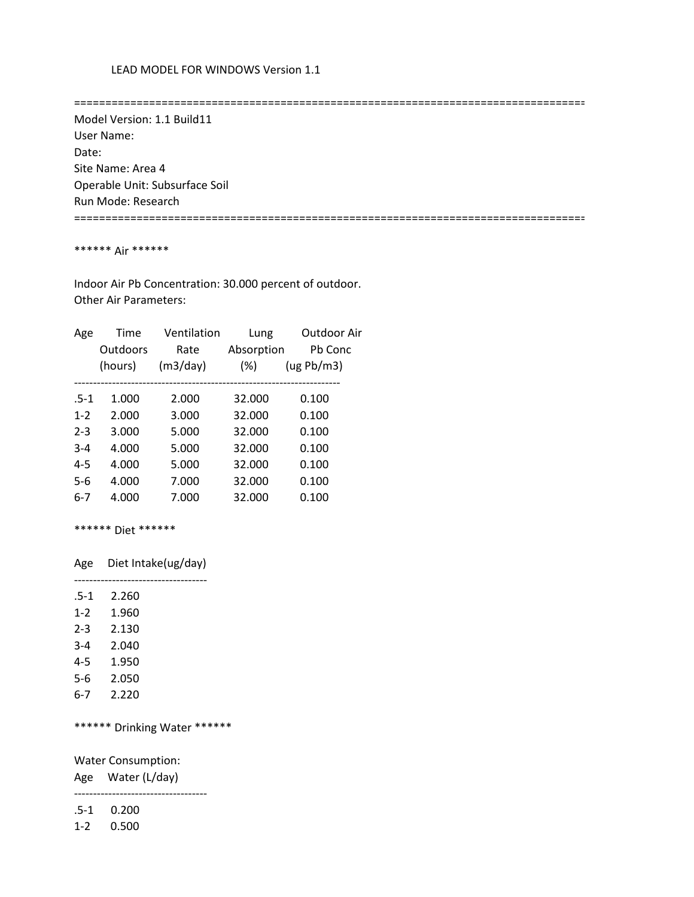==================================================================================

 Model Version: 1.1 Build11 User Name: Date: Site Name: Area 4 Operable Unit: Subsurface Soil Run Mode: Research

==================================================================================

### \*\*\*\*\*\* Air \*\*\*\*\*\*

 Indoor Air Pb Concentration: 30.000 percent of outdoor. Other Air Parameters:

| Age     | Time     | Ventilation | Lung       | Outdoor Air |
|---------|----------|-------------|------------|-------------|
|         | Outdoors | Rate        | Absorption | Pb Conc     |
|         | (hours)  | (m3/day)    | $(\%)$     | (ug Pb/m3)  |
|         |          |             |            |             |
| $.5-1$  | 1.000    | 2.000       | 32.000     | 0.100       |
| $1 - 2$ | 2.000    | 3.000       | 32.000     | 0.100       |
| $2 - 3$ | 3.000    | 5.000       | 32.000     | 0.100       |
| $3 - 4$ | 4.000    | 5.000       | 32.000     | 0.100       |
| $4 - 5$ | 4.000    | 5.000       | 32.000     | 0.100       |
| $5-6$   | 4.000    | 7.000       | 32.000     | 0.100       |
| 6-7     | 4.000    | 7.000       | 32.000     | 0.100       |
|         |          |             |            |             |

\*\*\*\*\*\* Diet \*\*\*\*\*\*

Age Diet Intake(ug/day)

-----------------------------------

| .5-1    | 2.260 |
|---------|-------|
| $1 - 2$ | 1.960 |
| $2 - 3$ | 2.130 |
| $3 - 4$ | 2.040 |
| $4 - 5$ | 1.950 |
| 5-6     | 2.050 |
| 6-7     | 2.220 |

\*\*\*\*\*\* Drinking Water \*\*\*\*\*\*

Water Consumption:

Age Water (L/day)

-----------------------------------

.5-1 0.200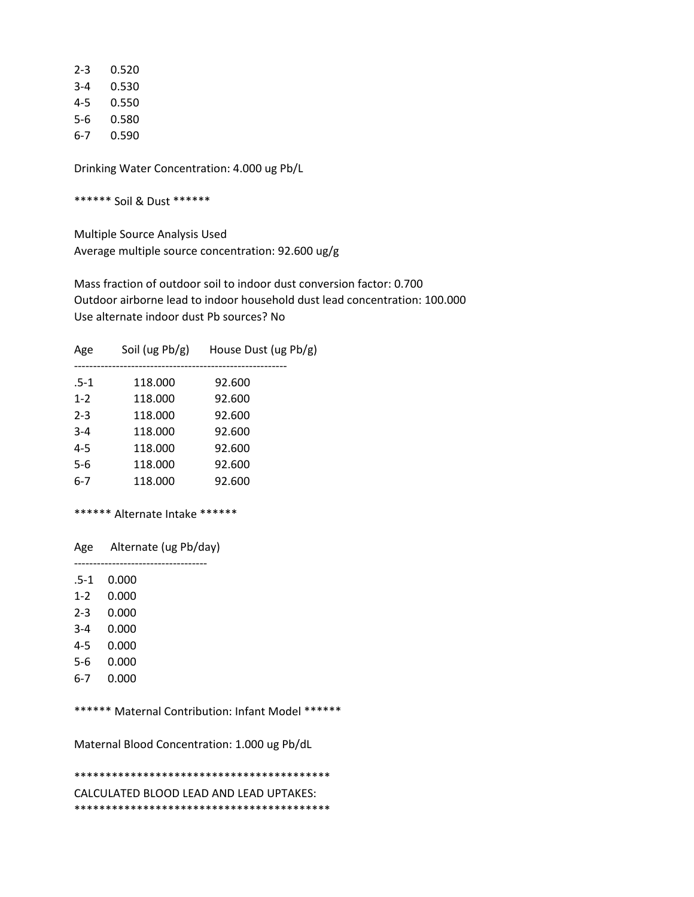| 2-3 | 0.520 |
|-----|-------|
| 3-4 | 0.530 |
| 4-5 | 0.550 |
| 5-6 | 0.580 |
| 6-7 | 0.590 |

\*\*\*\*\*\* Soil & Dust \*\*\*\*\*\*

 Multiple Source Analysis Used Average multiple source concentration: 92.600 ug/g

 Mass fraction of outdoor soil to indoor dust conversion factor: 0.700 Outdoor airborne lead to indoor household dust lead concentration: 100.000 Use alternate indoor dust Pb sources? No

| Age     | Soil (ug $Pb/g$ ) | House Dust (ug Pb/g) |
|---------|-------------------|----------------------|
| $.5-1$  | 118.000           | 92.600               |
| $1 - 2$ | 118.000           | 92.600               |
| $2 - 3$ | 118.000           | 92.600               |
| $3 - 4$ | 118.000           | 92.600               |
| $4 - 5$ | 118.000           | 92.600               |
| 5-6     | 118.000           | 92.600               |
| $6 - 7$ | 118.000           | 92.600               |
|         |                   |                      |

### \*\*\*\*\*\* Alternate Intake \*\*\*\*\*\*

Age Alternate (ug Pb/day)

 ----------------------------------- .5-1 0.000

1-2 0.000

- 2-3 0.000
- 3-4 0.000
- 4-5 0.000
- 5-6 0.000
- 6-7 0.000
- 

\*\*\*\*\*\* Maternal Contribution: Infant Model \*\*\*\*\*\*

Maternal Blood Concentration: 1.000 ug Pb/dL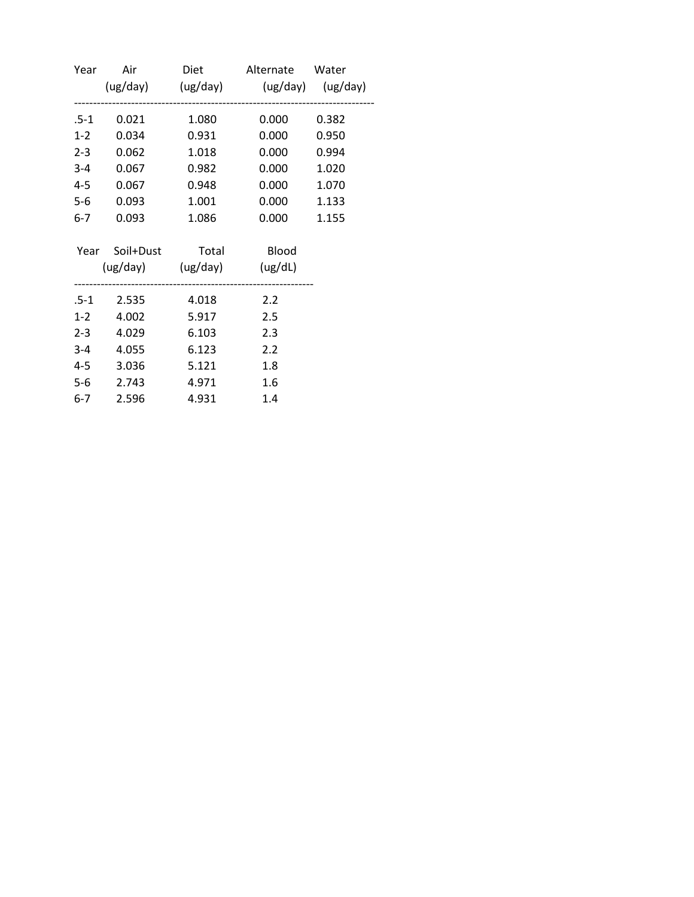| Year    |                            |       | Air Diet Alternate Water            |       |
|---------|----------------------------|-------|-------------------------------------|-------|
|         |                            |       | (ug/day) (ug/day) (ug/day) (ug/day) |       |
| .5-1    | 0.021                      | 1.080 | 0.000                               | 0.382 |
| $1-2$   | 0.034                      | 0.931 | 0.000                               | 0.950 |
| $2 - 3$ | 0.062                      | 1.018 | 0.000                               | 0.994 |
|         | 3-4 0.067                  | 0.982 | 0.000                               | 1.020 |
| $4-5$   | 0.067                      | 0.948 | 0.000                               | 1.070 |
| $5-6$   | 0.093                      | 1.001 | 0.000                               | 1.133 |
| $6-7$   | 0.093                      | 1.086 | 0.000                               | 1.155 |
|         | Year Soil+Dust Total Blood |       |                                     |       |
|         | (ug/day) (ug/day) (ug/dL)  |       |                                     |       |
|         | .5-1 2.535 4.018           |       | 2.2                                 |       |
|         | 1-2 4.002                  | 5.917 | 2.5                                 |       |
|         | 2-3 4.029                  | 6.103 | 2.3                                 |       |
|         | 3-4 4.055                  | 6.123 | 2.2                                 |       |
|         | 4-5 3.036                  | 5.121 | 1.8                                 |       |
|         | 5-6 2.743                  | 4.971 | 1.6                                 |       |
| $6-7$   | 2.596                      | 4.931 | 1.4                                 |       |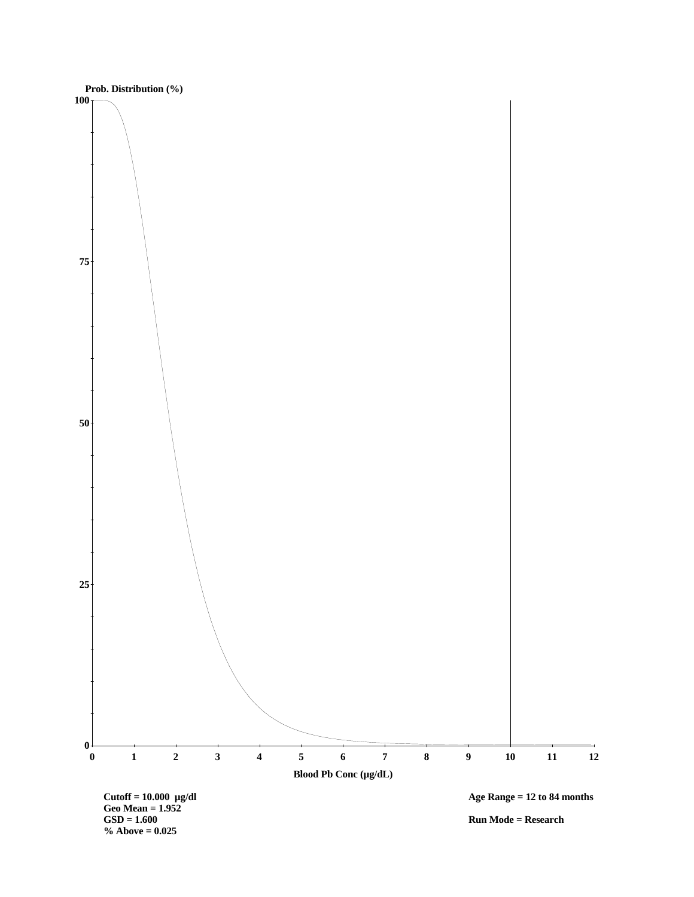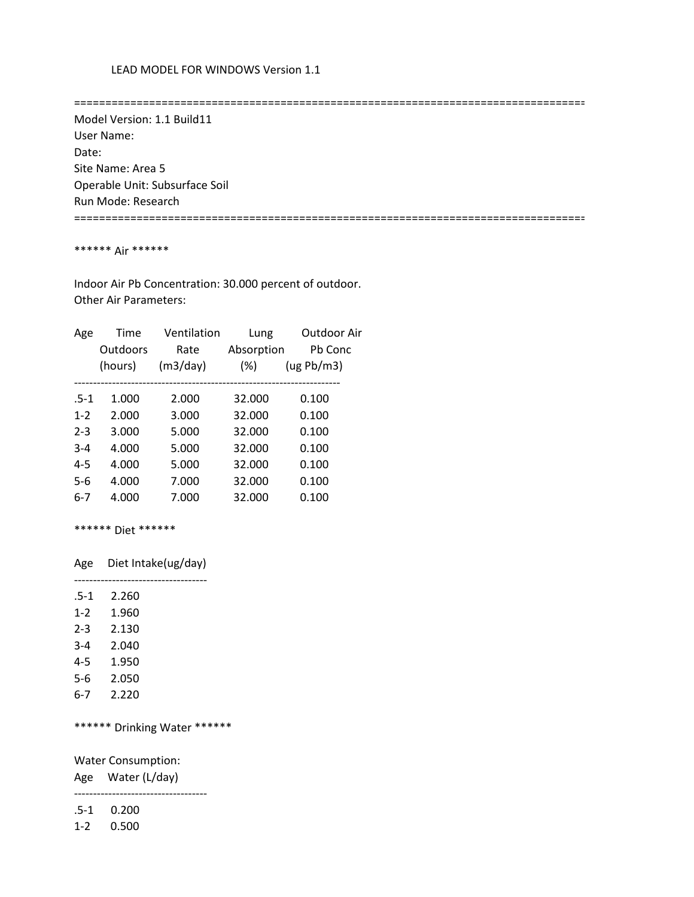==================================================================================

 Model Version: 1.1 Build11 User Name: Date: Site Name: Area 5 Operable Unit: Subsurface Soil Run Mode: Research

==================================================================================

### \*\*\*\*\*\* Air \*\*\*\*\*\*

 Indoor Air Pb Concentration: 30.000 percent of outdoor. Other Air Parameters:

| Age     | Time     | Ventilation | Lung       | Outdoor Air |
|---------|----------|-------------|------------|-------------|
|         | Outdoors | Rate        | Absorption | Ph Conc     |
|         | (hours)  | (m3/day)    | $(\%)$     | (ug Pb/m3)  |
|         |          |             |            |             |
| $.5-1$  | 1.000    | 2.000       | 32.000     | 0.100       |
| $1 - 2$ | 2.000    | 3.000       | 32.000     | 0.100       |
| $2 - 3$ | 3.000    | 5.000       | 32.000     | 0.100       |
| $3 - 4$ | 4.000    | 5.000       | 32.000     | 0.100       |
| $4 - 5$ | 4.000    | 5.000       | 32.000     | 0.100       |
| $5-6$   | 4.000    | 7.000       | 32.000     | 0.100       |
| 6-7     | 4.000    | 7.000       | 32.000     | 0.100       |
|         |          |             |            |             |

\*\*\*\*\*\* Diet \*\*\*\*\*\*

Age Diet Intake(ug/day)

-----------------------------------

| $.5-1$  | 2.260 |
|---------|-------|
| $1 - 2$ | 1.960 |
| $2 - 3$ | 2.130 |
| $3 - 4$ | 2.040 |
| 4-5     | 1.950 |
| 5-6     | 2.050 |
| 6-7     | 2.220 |

\*\*\*\*\*\* Drinking Water \*\*\*\*\*\*

Water Consumption:

Age Water (L/day)

-----------------------------------

.5-1 0.200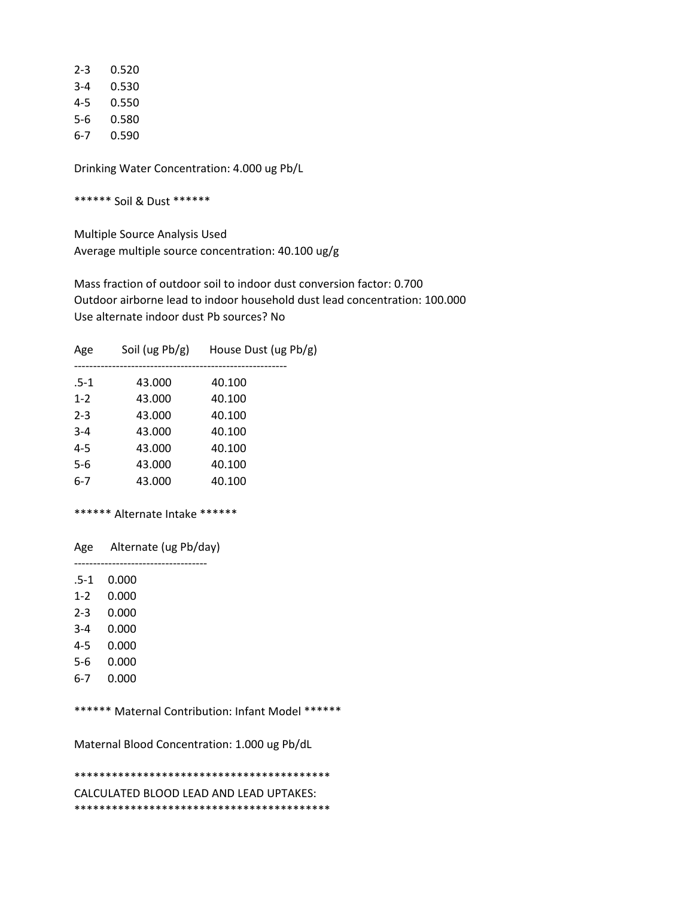| 2-3 | 0.520 |
|-----|-------|
| 3-4 | 0.530 |
| 4-5 | 0.550 |
| 5-6 | 0.580 |
| 6-7 | 0.590 |

\*\*\*\*\*\* Soil & Dust \*\*\*\*\*\*

 Multiple Source Analysis Used Average multiple source concentration: 40.100 ug/g

 Mass fraction of outdoor soil to indoor dust conversion factor: 0.700 Outdoor airborne lead to indoor household dust lead concentration: 100.000 Use alternate indoor dust Pb sources? No

| Age     | Soil (ug Pb/g) | House Dust (ug Pb/g) |
|---------|----------------|----------------------|
| $.5-1$  | 43.000         | 40.100               |
| $1 - 2$ | 43.000         | 40.100               |
| $2 - 3$ | 43.000         | 40.100               |
| $3 - 4$ | 43.000         | 40.100               |
| $4 - 5$ | 43.000         | 40.100               |
| $5-6$   | 43.000         | 40.100               |
| $6-7$   | 43.000         | 40.100               |

## \*\*\*\*\*\* Alternate Intake \*\*\*\*\*\*

 Age Alternate (ug Pb/day) -----------------------------------

.5-1 0.000

1-2 0.000

- 2-3 0.000
- 3-4 0.000
- 4-5 0.000
- 5-6 0.000
- 6-7 0.000

\*\*\*\*\*\* Maternal Contribution: Infant Model \*\*\*\*\*\*

Maternal Blood Concentration: 1.000 ug Pb/dL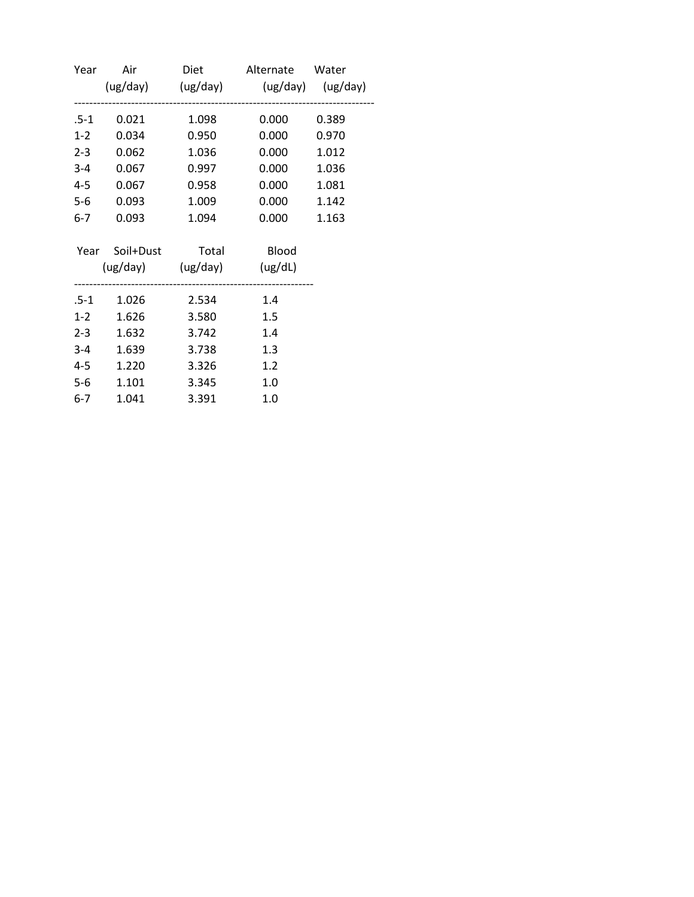| Year  |                            |       | Air Diet Alternate Water            |       |
|-------|----------------------------|-------|-------------------------------------|-------|
|       |                            |       | (ug/day) (ug/day) (ug/day) (ug/day) |       |
| .5-1  | 0.021                      | 1.098 | 0.000                               | 0.389 |
| $1-2$ | 0.034                      | 0.950 | 0.000                               | 0.970 |
|       | 2-3 0.062                  | 1.036 | 0.000                               | 1.012 |
|       | 3-4 0.067                  | 0.997 | 0.000                               | 1.036 |
| $4-5$ | 0.067                      | 0.958 | 0.000                               | 1.081 |
| $5-6$ | 0.093                      | 1.009 | 0.000                               | 1.142 |
| $6-7$ | 0.093                      | 1.094 | 0.000                               | 1.163 |
|       | Year Soil+Dust Total Blood |       |                                     |       |
|       | (ug/day) (ug/day) (ug/dL)  |       |                                     |       |
|       |                            |       | 1.4                                 |       |
|       | 1-2 1.626                  | 3.580 | 1.5                                 |       |
|       | 2-3 1.632                  | 3.742 | 1.4                                 |       |
|       | 3-4 1.639                  | 3.738 | 1.3                                 |       |
| $4-5$ | 1.220                      | 3.326 | 1.2                                 |       |
| $5-6$ | 1.101                      | 3.345 | 1.0                                 |       |
| $6-7$ | 1.041                      | 3.391 | 1.0                                 |       |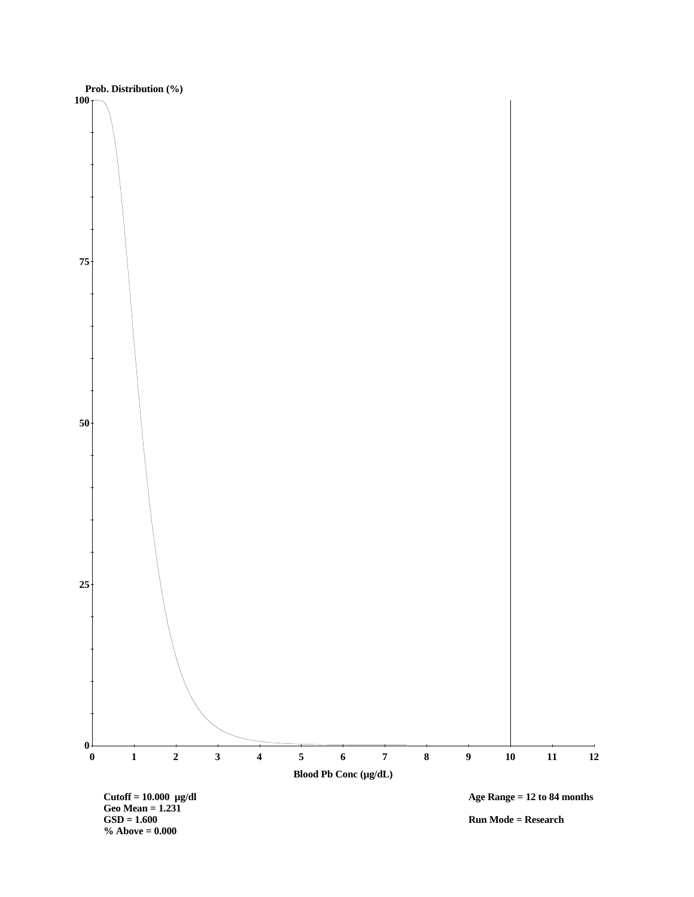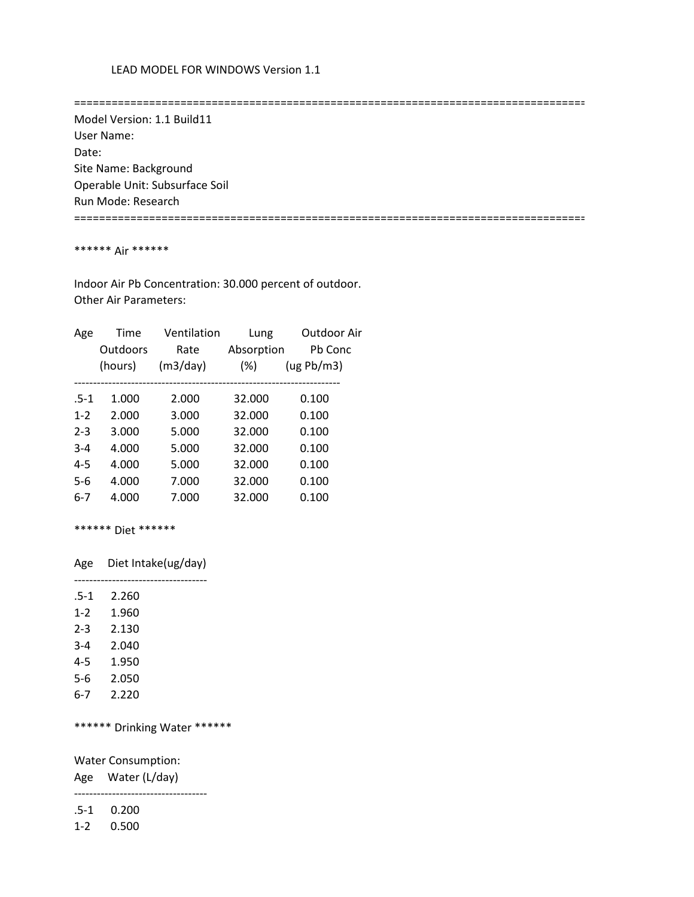==================================================================================

 Model Version: 1.1 Build11 User Name: Date: Site Name: Background Operable Unit: Subsurface Soil Run Mode: Research

==================================================================================

### \*\*\*\*\*\* Air \*\*\*\*\*\*

 Indoor Air Pb Concentration: 30.000 percent of outdoor. Other Air Parameters:

| Age     | Time     | Ventilation | Lung       | Outdoor Air |
|---------|----------|-------------|------------|-------------|
|         | Outdoors | Rate        | Absorption | Pb Conc     |
|         | (hours)  | (m3/day)    | $(\%)$     | (ug Pb/m3)  |
|         |          |             |            |             |
| $.5-1$  | 1.000    | 2.000       | 32.000     | 0.100       |
| $1 - 2$ | 2.000    | 3.000       | 32.000     | 0.100       |
| $2 - 3$ | 3.000    | 5.000       | 32.000     | 0.100       |
| $3 - 4$ | 4.000    | 5.000       | 32.000     | 0.100       |
| $4 - 5$ | 4.000    | 5.000       | 32.000     | 0.100       |
| $5-6$   | 4.000    | 7.000       | 32.000     | 0.100       |
| 6-7     | 4.000    | 7.000       | 32.000     | 0.100       |
|         |          |             |            |             |

\*\*\*\*\*\* Diet \*\*\*\*\*\*

Age Diet Intake(ug/day)

-----------------------------------

| $.5-1$  | 2.260 |
|---------|-------|
| $1 - 2$ | 1.960 |
| $2 - 3$ | 2.130 |
| $3 - 4$ | 2.040 |
| 4-5     | 1.950 |
| 5-6     | 2.050 |
| 6-7     | 2.220 |

\*\*\*\*\*\* Drinking Water \*\*\*\*\*\*

Water Consumption:

Age Water (L/day)

-----------------------------------

.5-1 0.200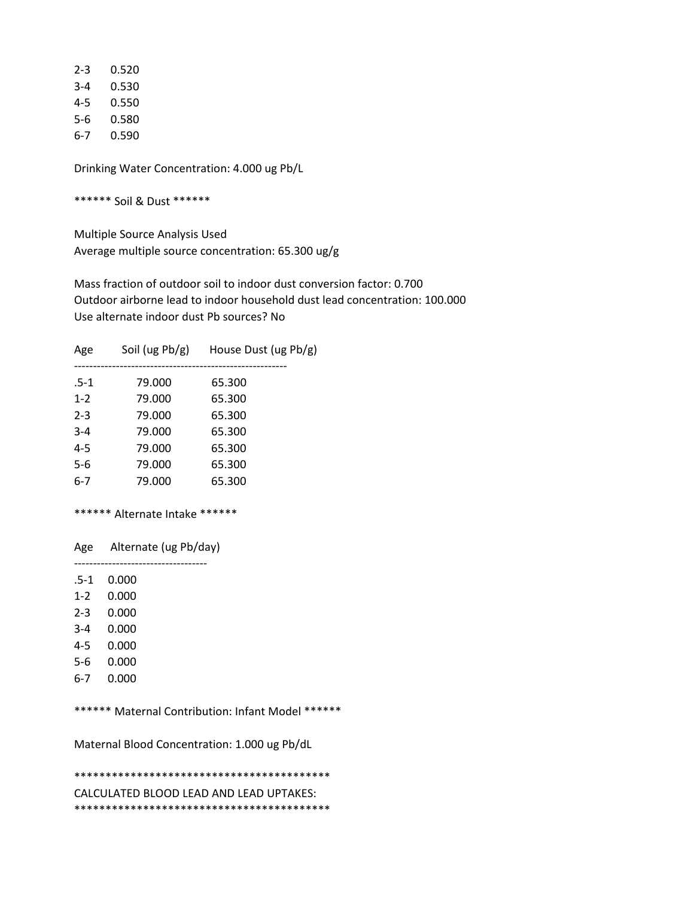| 2-3 | 0.520 |
|-----|-------|
| 3-4 | 0.530 |
| 4-5 | 0.550 |
| 5-6 | 0.580 |
| 6-7 | 0.590 |

\*\*\*\*\*\* Soil & Dust \*\*\*\*\*\*

 Multiple Source Analysis Used Average multiple source concentration: 65.300 ug/g

 Mass fraction of outdoor soil to indoor dust conversion factor: 0.700 Outdoor airborne lead to indoor household dust lead concentration: 100.000 Use alternate indoor dust Pb sources? No

| Soil (ug $Pb/g$ )<br>House Dust (ug Pb/g)<br>Age |  |
|--------------------------------------------------|--|
| $.5-1$<br>79.000<br>65.300                       |  |
| $1 - 2$<br>79.000<br>65.300                      |  |
| $2 - 3$<br>65.300<br>79.000                      |  |
| $3 - 4$<br>79.000<br>65.300                      |  |
| $4 - 5$<br>79.000<br>65.300                      |  |
| $5-6$<br>79.000<br>65.300                        |  |
| $6 - 7$<br>79.000<br>65.300                      |  |

### \*\*\*\*\*\* Alternate Intake \*\*\*\*\*\*

 Age Alternate (ug Pb/day) -----------------------------------

.5-1 0.000

1-2 0.000

- 2-3 0.000
- 3-4 0.000
- 4-5 0.000
- 5-6 0.000
- 6-7 0.000
- 

\*\*\*\*\*\* Maternal Contribution: Infant Model \*\*\*\*\*\*

Maternal Blood Concentration: 1.000 ug Pb/dL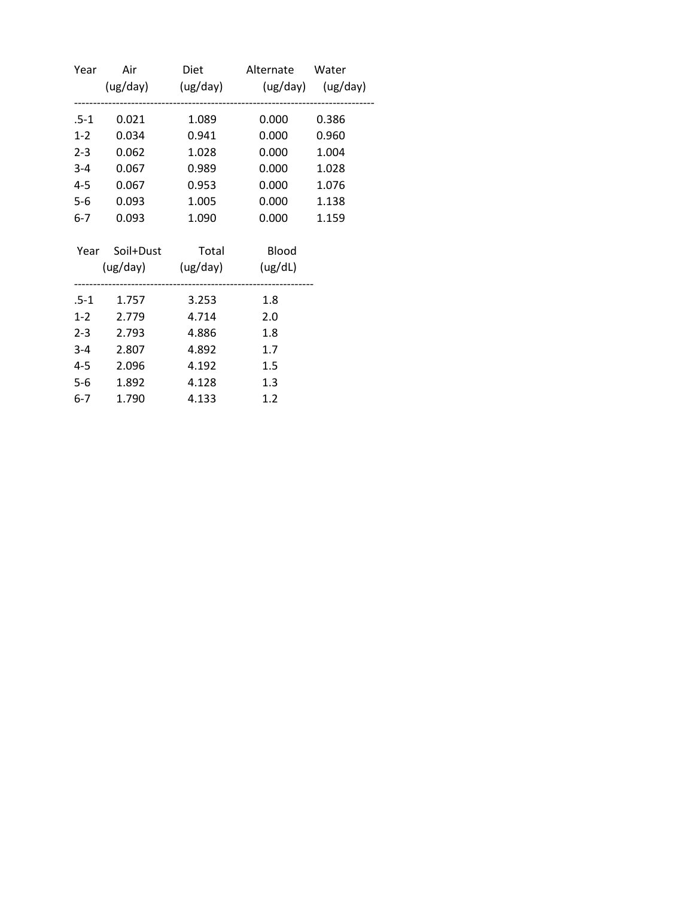| Year    |           |                            | Air Diet Alternate Water            |       |
|---------|-----------|----------------------------|-------------------------------------|-------|
|         |           |                            | (ug/day) (ug/day) (ug/day) (ug/day) |       |
| .5-1    | 0.021     | 1.089                      | 0.000                               | 0.386 |
| $1-2$   | 0.034     | 0.941                      | 0.000                               | 0.960 |
| $2 - 3$ | 0.062     | 1.028                      | 0.000                               | 1.004 |
| $3-4$   | 0.067     | 0.989                      | 0.000                               | 1.028 |
| $4 - 5$ | 0.067     | 0.953                      | 0.000                               | 1.076 |
| $5-6$   | 0.093     | 1.005                      | 0.000                               | 1.138 |
| $6-7$   | 0.093     | 1.090                      | 0.000                               | 1.159 |
|         |           | Year Soil+Dust Total Blood |                                     |       |
|         |           | (ug/day) (ug/day) (ug/dL)  |                                     |       |
|         |           | 3.253                      | 1.8                                 |       |
|         | 1-2 2.779 | 4.714                      | 2.0                                 |       |
|         | 2-3 2.793 | 4.886                      | 1.8                                 |       |
|         | 3-4 2.807 | 4.892                      | 1.7                                 |       |
| 4-5     | 2.096     | 4.192                      | 1.5                                 |       |
| $5-6$   | 1.892     | 4.128                      | 1.3                                 |       |
| $6-7$   | 1.790     | 4.133                      | 1.2                                 |       |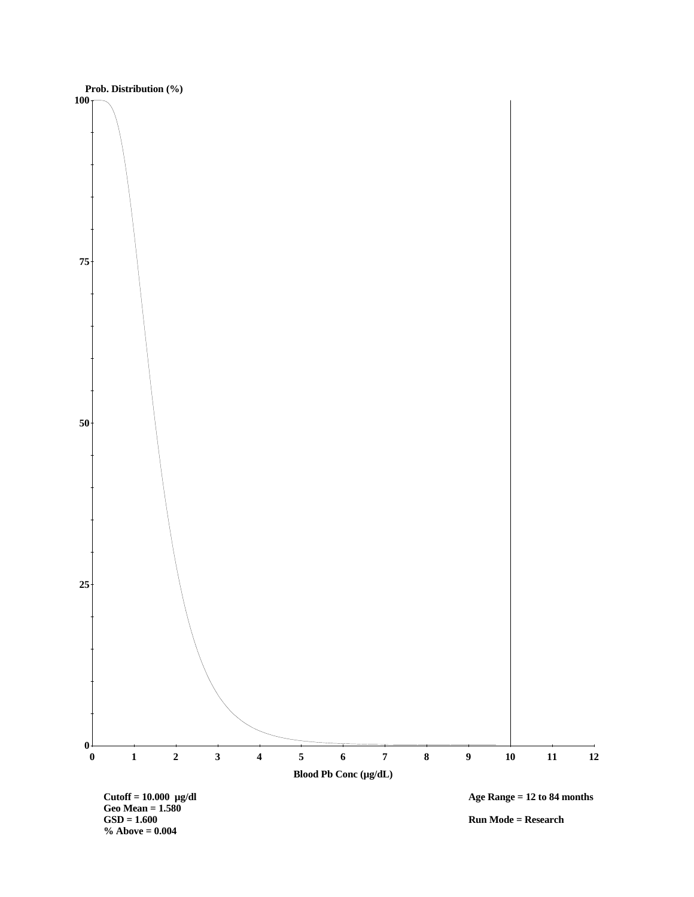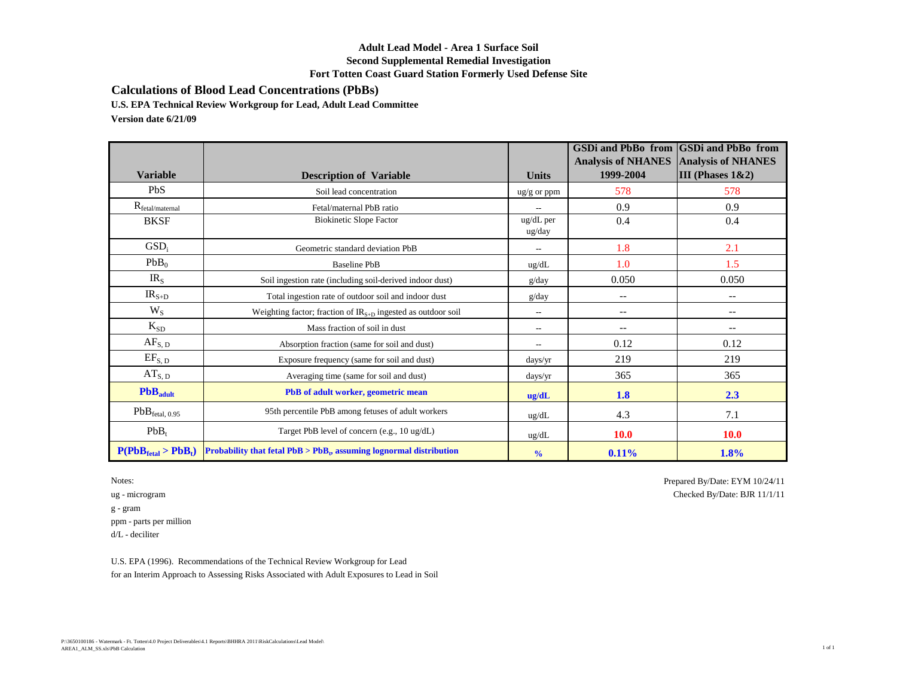## **Adult Lead Model - Area 1 Surface Soil Second Supplemental Remedial Investigation Fort Totten Coast Guard Station Formerly Used Defense Site**

**Calculations of Blood Lead Concentrations (PbBs)**

**U.S. EPA Technical Review Workgroup for Lead, Adult Lead Committee**

**Version date 6/21/09**

|                             |                                                                        |                          | <b>GSDi and PbBo from</b><br><b>Analysis of NHANES</b> | <b>GSDi</b> and PbBo from<br><b>Analysis of NHANES</b> |
|-----------------------------|------------------------------------------------------------------------|--------------------------|--------------------------------------------------------|--------------------------------------------------------|
| <b>Variable</b>             | <b>Description of Variable</b>                                         | <b>Units</b>             | 1999-2004                                              | III (Phases $1&2$ )                                    |
| PbS                         | Soil lead concentration                                                | $\frac{u g}{g}$ or ppm   | 578                                                    | 578                                                    |
| $R_{\text{fetal/maternal}}$ | Fetal/maternal PbB ratio                                               |                          | 0.9                                                    | 0.9                                                    |
| <b>BKSF</b>                 | <b>Biokinetic Slope Factor</b>                                         | ug/dL per<br>ug/day      | 0.4                                                    | 0.4                                                    |
| GSD <sub>i</sub>            | Geometric standard deviation PbB                                       | $\overline{a}$           | 1.8                                                    | 2.1                                                    |
| PbB <sub>0</sub>            | <b>Baseline PbB</b>                                                    | ug/dL                    | 1.0                                                    | 1.5                                                    |
| IR <sub>S</sub>             | Soil ingestion rate (including soil-derived indoor dust)               | g/day                    | 0.050                                                  | 0.050                                                  |
| $IRS+D$                     | Total ingestion rate of outdoor soil and indoor dust                   | g/day                    | $-$                                                    | $\overline{\phantom{a}}$                               |
| $W_{S}$                     | Weighting factor; fraction of $IR_{S+D}$ ingested as outdoor soil      | $\overline{\phantom{a}}$ | $\overline{\phantom{a}}$                               | $\qquad \qquad -$                                      |
| $K_{SD}$                    | Mass fraction of soil in dust                                          | $\overline{\phantom{a}}$ | $-$                                                    | $\overline{\phantom{m}}$                               |
| $AF_{S, D}$                 | Absorption fraction (same for soil and dust)                           | $\overline{\phantom{a}}$ | 0.12                                                   | 0.12                                                   |
| $EF_{S, D}$                 | Exposure frequency (same for soil and dust)                            | days/yr                  | 219                                                    | 219                                                    |
| $AT_{S, D}$                 | Averaging time (same for soil and dust)                                | days/yr                  | 365                                                    | 365                                                    |
| PbB <sub>adult</sub>        | PbB of adult worker, geometric mean                                    | ug/dL                    | 1.8                                                    | 2.3                                                    |
| PbB <sub>ftetal, 0.95</sub> | 95th percentile PbB among fetuses of adult workers                     | ug/dL                    | 4.3                                                    | 7.1                                                    |
| $PbB_t$                     | Target PbB level of concern (e.g., 10 ug/dL)                           | ug/dL                    | <b>10.0</b>                                            | <b>10.0</b>                                            |
| $P(PbBfeat > PbBt)$         | Probability that fetal $PbB > PbB_t$ , assuming lognormal distribution | $\frac{0}{0}$            | 0.11%                                                  | 1.8%                                                   |

 $\mathbf g$  -  $\operatorname{gram}$ ppm - parts per million d/L - deciliter

Notes: Prepared By/Date: EYM 10/24/11 ug - microgram Checked By/Date: BJR 11/1/11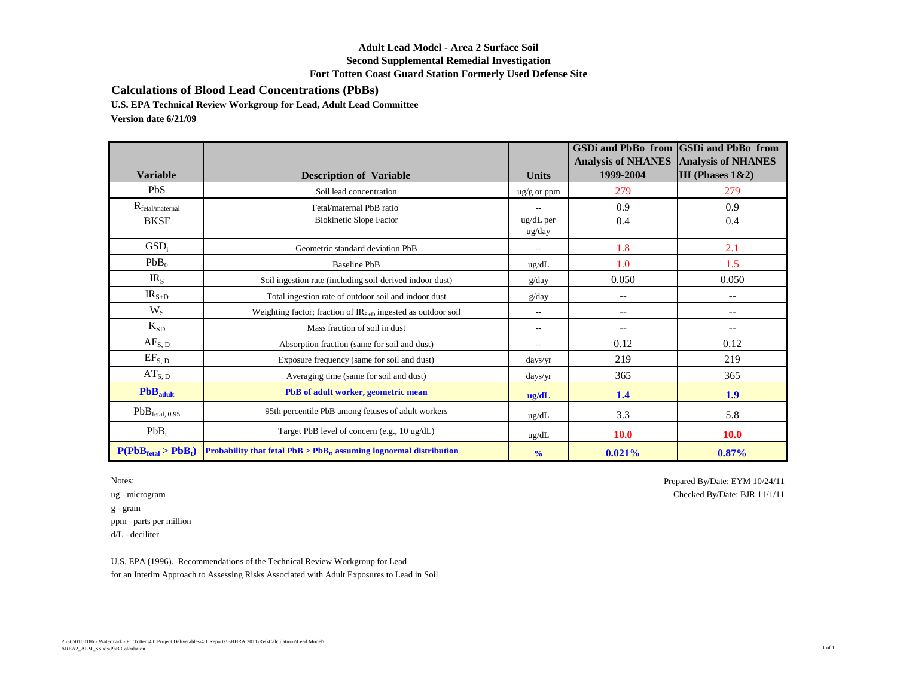## **Adult Lead Model - Area 2 Surface Soil Second Supplemental Remedial Investigation Fort Totten Coast Guard Station Formerly Used Defense Site**

**Calculations of Blood Lead Concentrations (PbBs)**

**U.S. EPA Technical Review Workgroup for Lead, Adult Lead Committee**

**Version date 6/21/09**

|                             |                                                                        |                          | <b>GSDi and PbBo from</b><br><b>Analysis of NHANES</b> | <b>GSDi</b> and PbBo from<br><b>Analysis of NHANES</b> |
|-----------------------------|------------------------------------------------------------------------|--------------------------|--------------------------------------------------------|--------------------------------------------------------|
| <b>Variable</b>             | <b>Description of Variable</b>                                         | <b>Units</b>             | 1999-2004                                              | III (Phases $1&2$ )                                    |
| PbS                         | Soil lead concentration                                                | $\frac{u g}{g}$ or ppm   | 279                                                    | 279                                                    |
| $R_{\text{fetal/maternal}}$ | Fetal/maternal PbB ratio                                               |                          | 0.9                                                    | 0.9                                                    |
| <b>BKSF</b>                 | <b>Biokinetic Slope Factor</b>                                         | ug/dL per<br>ug/day      | 0.4                                                    | 0.4                                                    |
| GSD <sub>i</sub>            | Geometric standard deviation PbB                                       | $\overline{a}$           | 1.8                                                    | 2.1                                                    |
| PbB <sub>0</sub>            | <b>Baseline PbB</b>                                                    | ug/dL                    | 1.0                                                    | 1.5                                                    |
| IR <sub>S</sub>             | Soil ingestion rate (including soil-derived indoor dust)               | g/day                    | 0.050                                                  | 0.050                                                  |
| $IRS+D$                     | Total ingestion rate of outdoor soil and indoor dust                   | g/day                    | $-$                                                    | $\overline{\phantom{a}}$                               |
| $W_{S}$                     | Weighting factor; fraction of $IR_{S+D}$ ingested as outdoor soil      | $\overline{\phantom{a}}$ | $\overline{\phantom{a}}$                               | $\qquad \qquad -$                                      |
| $K_{SD}$                    | Mass fraction of soil in dust                                          | $\overline{\phantom{a}}$ | $-$                                                    | $\overline{\phantom{m}}$                               |
| $AF_{S, D}$                 | Absorption fraction (same for soil and dust)                           | $\overline{\phantom{a}}$ | 0.12                                                   | 0.12                                                   |
| $EF_{S, D}$                 | Exposure frequency (same for soil and dust)                            | days/yr                  | 219                                                    | 219                                                    |
| $AT_{S, D}$                 | Averaging time (same for soil and dust)                                | days/yr                  | 365                                                    | 365                                                    |
| PbB <sub>adult</sub>        | PbB of adult worker, geometric mean                                    | ug/dL                    | 1.4                                                    | 1.9                                                    |
| PbB <sub>ftetal, 0.95</sub> | 95th percentile PbB among fetuses of adult workers                     | ug/dL                    | 3.3                                                    | 5.8                                                    |
| $PbB_t$                     | Target PbB level of concern (e.g., 10 ug/dL)                           | ug/dL                    | <b>10.0</b>                                            | <b>10.0</b>                                            |
| $P(PbBfeat > PbBt)$         | Probability that fetal $PbB > PbB_t$ , assuming lognormal distribution | $\frac{0}{0}$            | $0.021\%$                                              | 0.87%                                                  |

 $\mathbf g$  -  $\operatorname{gram}$ ppm - parts per million d/L - deciliter

Notes: Prepared By/Date: EYM 10/24/11 ug - microgram Checked By/Date: BJR 11/1/11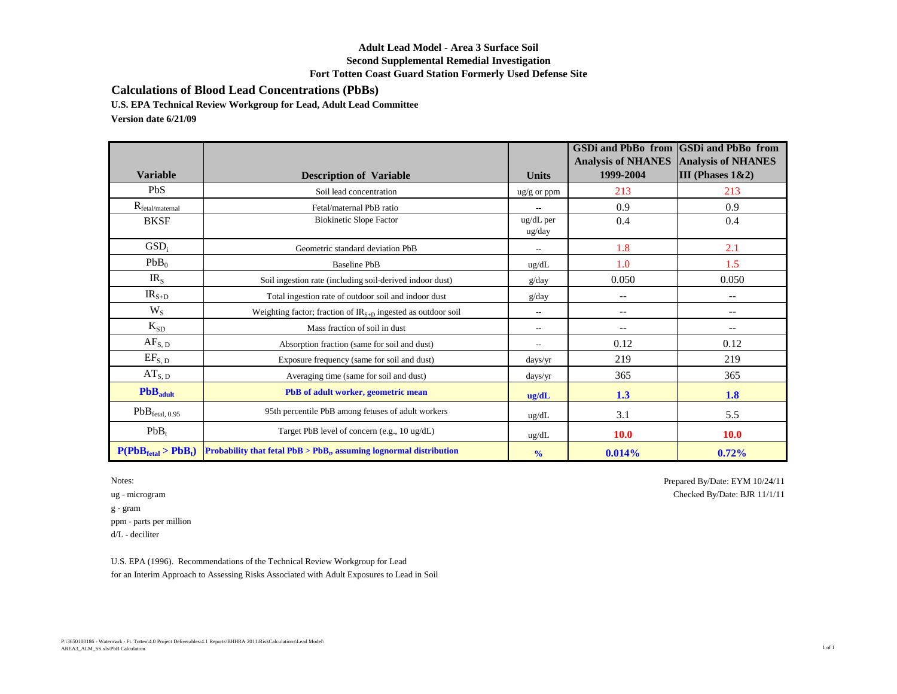## **Adult Lead Model - Area 3 Surface Soil Second Supplemental Remedial Investigation Fort Totten Coast Guard Station Formerly Used Defense Site**

**Calculations of Blood Lead Concentrations (PbBs)**

**U.S. EPA Technical Review Workgroup for Lead, Adult Lead Committee**

**Version date 6/21/09**

|                             |                                                                        |                          | <b>GSDi and PbBo from</b><br><b>Analysis of NHANES</b> | <b>GSDi</b> and PbBo from<br><b>Analysis of NHANES</b> |
|-----------------------------|------------------------------------------------------------------------|--------------------------|--------------------------------------------------------|--------------------------------------------------------|
| <b>Variable</b>             | <b>Description of Variable</b>                                         | <b>Units</b>             | 1999-2004                                              | III (Phases $1&2$ )                                    |
| PbS                         | Soil lead concentration                                                | $\frac{u g}{g}$ or ppm   | 213                                                    | 213                                                    |
| $R_{\text{fetal/maternal}}$ | Fetal/maternal PbB ratio                                               |                          | 0.9                                                    | 0.9                                                    |
| <b>BKSF</b>                 | <b>Biokinetic Slope Factor</b>                                         | ug/dL per<br>ug/day      | 0.4                                                    | 0.4                                                    |
| GSD <sub>i</sub>            | Geometric standard deviation PbB                                       | $\overline{a}$           | 1.8                                                    | 2.1                                                    |
| PbB <sub>0</sub>            | <b>Baseline PbB</b>                                                    | ug/dL                    | 1.0                                                    | 1.5                                                    |
| IR <sub>S</sub>             | Soil ingestion rate (including soil-derived indoor dust)               | g/day                    | 0.050                                                  | 0.050                                                  |
| $IRS+D$                     | Total ingestion rate of outdoor soil and indoor dust                   | g/day                    | $-$                                                    | $\overline{\phantom{a}}$                               |
| $W_{S}$                     | Weighting factor; fraction of $IR_{S+D}$ ingested as outdoor soil      | $\overline{\phantom{a}}$ | $\overline{\phantom{a}}$                               | $\qquad \qquad -$                                      |
| $K_{SD}$                    | Mass fraction of soil in dust                                          | $\overline{\phantom{a}}$ | $-$                                                    | $\overline{\phantom{m}}$                               |
| $AF_{S, D}$                 | Absorption fraction (same for soil and dust)                           | $\overline{\phantom{a}}$ | 0.12                                                   | 0.12                                                   |
| $EF_{S, D}$                 | Exposure frequency (same for soil and dust)                            | days/yr                  | 219                                                    | 219                                                    |
| $AT_{S, D}$                 | Averaging time (same for soil and dust)                                | days/yr                  | 365                                                    | 365                                                    |
| PbB <sub>adult</sub>        | PbB of adult worker, geometric mean                                    | ug/dL                    | 1.3                                                    | 1.8                                                    |
| PbB <sub>ftetal, 0.95</sub> | 95th percentile PbB among fetuses of adult workers                     | ug/dL                    | 3.1                                                    | 5.5                                                    |
| $PbB_t$                     | Target PbB level of concern (e.g., 10 ug/dL)                           | ug/dL                    | <b>10.0</b>                                            | <b>10.0</b>                                            |
| $P(PbBfeat > PbBt)$         | Probability that fetal $PbB > PbB_t$ , assuming lognormal distribution | $\frac{0}{0}$            | 0.014%                                                 | 0.72%                                                  |

 $\mathbf g$  -  $\operatorname{gram}$ ppm - parts per million d/L - deciliter

Notes: Prepared By/Date: EYM 10/24/11 ug - microgram Checked By/Date: BJR 11/1/11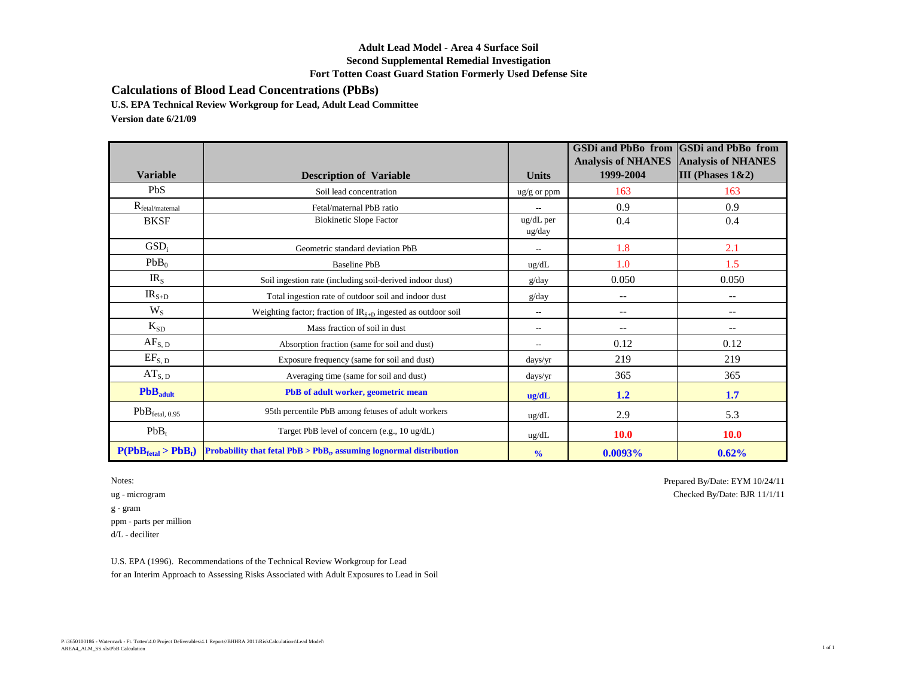## **Adult Lead Model - Area 4 Surface Soil Second Supplemental Remedial Investigation Fort Totten Coast Guard Station Formerly Used Defense Site**

**Calculations of Blood Lead Concentrations (PbBs)**

**U.S. EPA Technical Review Workgroup for Lead, Adult Lead Committee**

**Version date 6/21/09**

|                             |                                                                        |                          | <b>GSDi and PbBo from</b><br><b>Analysis of NHANES</b> | <b>GSDi</b> and PbBo from<br><b>Analysis of NHANES</b> |
|-----------------------------|------------------------------------------------------------------------|--------------------------|--------------------------------------------------------|--------------------------------------------------------|
| <b>Variable</b>             | <b>Description of Variable</b>                                         | <b>Units</b>             | 1999-2004                                              | III (Phases $1&2$ )                                    |
| PbS                         | Soil lead concentration                                                | $\frac{u g}{g}$ or ppm   | 163                                                    | 163                                                    |
| $R_{\text{fetal/maternal}}$ | Fetal/maternal PbB ratio                                               |                          | 0.9                                                    | 0.9                                                    |
| <b>BKSF</b>                 | <b>Biokinetic Slope Factor</b>                                         | ug/dL per<br>ug/day      | 0.4                                                    | 0.4                                                    |
| GSD <sub>i</sub>            | Geometric standard deviation PbB                                       | $\overline{a}$           | 1.8                                                    | 2.1                                                    |
| PbB <sub>0</sub>            | <b>Baseline PbB</b>                                                    | ug/dL                    | 1.0                                                    | 1.5                                                    |
| $IR_{S}$                    | Soil ingestion rate (including soil-derived indoor dust)               | g/day                    | 0.050                                                  | 0.050                                                  |
| $IRS+D$                     | Total ingestion rate of outdoor soil and indoor dust                   | g/day                    | $-$                                                    | $\overline{\phantom{a}}$                               |
| $W_{S}$                     | Weighting factor; fraction of $IR_{S+D}$ ingested as outdoor soil      | $\overline{\phantom{a}}$ | $-$                                                    | $\overline{\phantom{a}}$                               |
| $K_{SD}$                    | Mass fraction of soil in dust                                          | $\overline{\phantom{a}}$ | $-$                                                    | $\overline{\phantom{a}}$                               |
| $AF_{S, D}$                 | Absorption fraction (same for soil and dust)                           | $\overline{\phantom{0}}$ | 0.12                                                   | 0.12                                                   |
| $EF_{S, D}$                 | Exposure frequency (same for soil and dust)                            | days/yr                  | 219                                                    | 219                                                    |
| $AT_{S, D}$                 | Averaging time (same for soil and dust)                                | days/yr                  | 365                                                    | 365                                                    |
| PbB <sub>adult</sub>        | PbB of adult worker, geometric mean                                    | ug/dL                    | 1.2                                                    | 1.7                                                    |
| PbB <sub>ftetal, 0.95</sub> | 95th percentile PbB among fetuses of adult workers                     | ug/dL                    | 2.9                                                    | 5.3                                                    |
| $PbB_t$                     | Target PbB level of concern (e.g., 10 ug/dL)                           | ug/dL                    | <b>10.0</b>                                            | <b>10.0</b>                                            |
| $P(PbBfeat > PbBt)$         | Probability that fetal $PbB > PbB_t$ , assuming lognormal distribution | $\frac{0}{0}$            | 0.0093%                                                | 0.62%                                                  |

 $\mathbf g$  -  $\operatorname{gram}$ ppm - parts per million d/L - deciliter

Notes: Prepared By/Date: EYM 10/24/11 ug - microgram Checked By/Date: BJR 11/1/11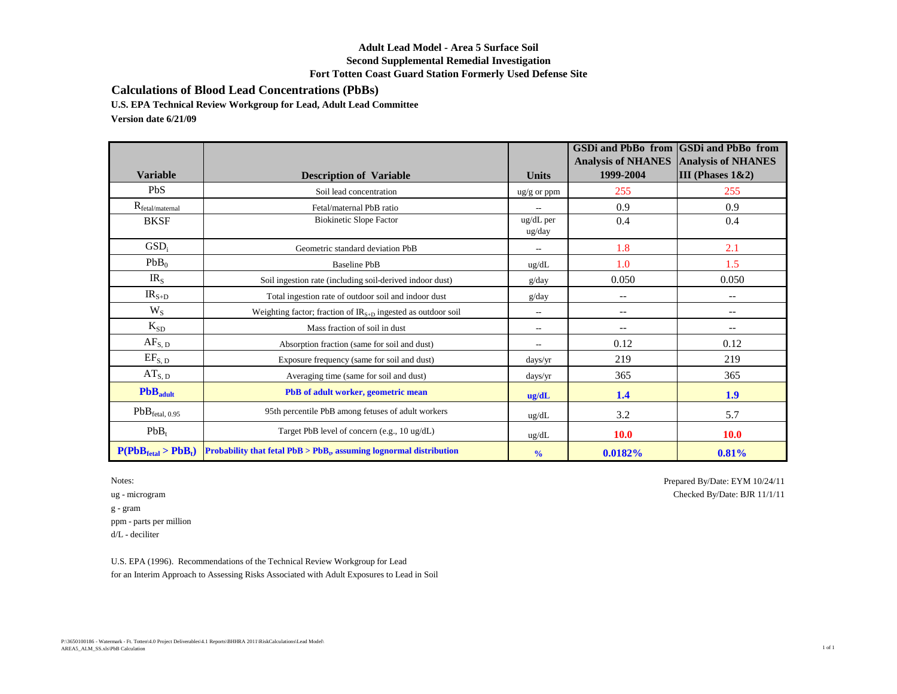## **Adult Lead Model - Area 5 Surface Soil Second Supplemental Remedial Investigation Fort Totten Coast Guard Station Formerly Used Defense Site**

**Calculations of Blood Lead Concentrations (PbBs)**

**U.S. EPA Technical Review Workgroup for Lead, Adult Lead Committee**

**Version date 6/21/09**

| <b>Variable</b>             | <b>Description of Variable</b>                                         | <b>Units</b>           | <b>GSDi and PbBo from</b><br><b>Analysis of NHANES</b><br>1999-2004 | <b>GSDi</b> and PbBo from<br><b>Analysis of NHANES</b><br>III (Phases $1&2$ ) |
|-----------------------------|------------------------------------------------------------------------|------------------------|---------------------------------------------------------------------|-------------------------------------------------------------------------------|
| PbS                         | Soil lead concentration                                                | $\frac{u g}{g}$ or ppm | 255                                                                 | 255                                                                           |
| $R_{\text{fetal/maternal}}$ | Fetal/maternal PbB ratio                                               |                        | 0.9                                                                 | 0.9                                                                           |
| <b>BKSF</b>                 | <b>Biokinetic Slope Factor</b>                                         | ug/dL per<br>ug/day    | 0.4                                                                 | 0.4                                                                           |
| GSD <sub>i</sub>            | Geometric standard deviation PbB                                       |                        | 1.8                                                                 | 2.1                                                                           |
| PbB <sub>0</sub>            | <b>Baseline PbB</b>                                                    | ug/dL                  | 1.0                                                                 | 1.5                                                                           |
| IR <sub>S</sub>             | Soil ingestion rate (including soil-derived indoor dust)               | g/day                  | 0.050                                                               | 0.050                                                                         |
| $IRS+D$                     | Total ingestion rate of outdoor soil and indoor dust                   | g/day                  | $-$                                                                 | $\overline{\phantom{a}}$                                                      |
| $W_{S}$                     | Weighting factor; fraction of $IR_{S+D}$ ingested as outdoor soil      | $\overline{a}$         | $\qquad \qquad -$                                                   | $\overline{\phantom{a}}$                                                      |
| $K_{SD}$                    | Mass fraction of soil in dust                                          | $\hspace{0.05cm}$      | $\qquad \qquad -$                                                   | $\overline{\phantom{m}}$                                                      |
| $AF_{S, D}$                 | Absorption fraction (same for soil and dust)                           | $\overline{a}$         | 0.12                                                                | 0.12                                                                          |
| $EF_{S, D}$                 | Exposure frequency (same for soil and dust)                            | days/yr                | 219                                                                 | 219                                                                           |
| $AT_{S, D}$                 | Averaging time (same for soil and dust)                                | days/yr                | 365                                                                 | 365                                                                           |
| PbB <sub>adult</sub>        | PbB of adult worker, geometric mean                                    | ug/dL                  | 1.4                                                                 | 1.9                                                                           |
| PbB <sub>ftetal, 0.95</sub> | 95th percentile PbB among fetuses of adult workers                     | ug/dL                  | 3.2                                                                 | 5.7                                                                           |
| $PbB_t$                     | Target PbB level of concern (e.g., 10 ug/dL)                           | ug/dL                  | <b>10.0</b>                                                         | <b>10.0</b>                                                                   |
| $P(PbBfeat > PbBt)$         | Probability that fetal $PbB > PbB_t$ , assuming lognormal distribution | $\frac{0}{0}$          | 0.0182%                                                             | 0.81%                                                                         |

Notes: Prepared By/Date: EYM 10/24/11

ug - microgram Checked By/Date: BJR 11/1/11  $\mathbf g$  -  $\operatorname{gram}$ ppm - parts per million d/L - deciliter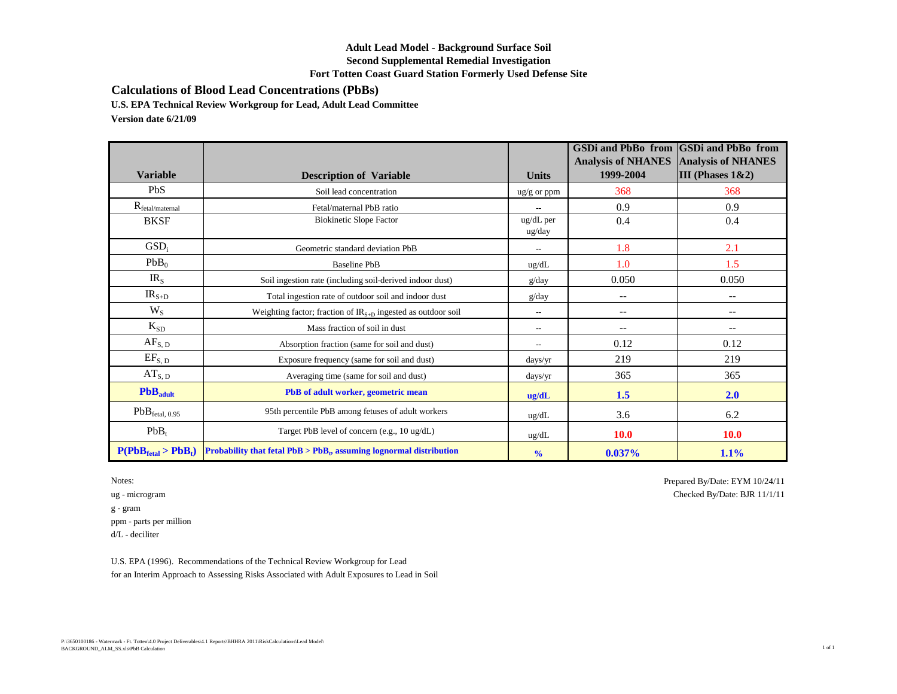## **Adult Lead Model - Background Surface Soil Second Supplemental Remedial Investigation Fort Totten Coast Guard Station Formerly Used Defense Site**

**Calculations of Blood Lead Concentrations (PbBs)**

**U.S. EPA Technical Review Workgroup for Lead, Adult Lead Committee**

**Version date 6/21/09**

| <b>Variable</b>             | <b>Description of Variable</b>                                         | <b>Units</b>           | <b>GSDi and PbBo from</b><br><b>Analysis of NHANES</b><br>1999-2004 | <b>GSDi</b> and PbBo from<br><b>Analysis of NHANES</b><br>III (Phases $1&2$ ) |
|-----------------------------|------------------------------------------------------------------------|------------------------|---------------------------------------------------------------------|-------------------------------------------------------------------------------|
| PbS                         | Soil lead concentration                                                | $\frac{u g}{g}$ or ppm | 368                                                                 | 368                                                                           |
| $R_{\text{fetal/maternal}}$ | Fetal/maternal PbB ratio                                               |                        | 0.9                                                                 | 0.9                                                                           |
| <b>BKSF</b>                 | <b>Biokinetic Slope Factor</b>                                         | ug/dL per<br>ug/day    | 0.4                                                                 | 0.4                                                                           |
| GSD <sub>i</sub>            | Geometric standard deviation PbB                                       |                        | 1.8                                                                 | 2.1                                                                           |
| PbB <sub>0</sub>            | <b>Baseline PbB</b>                                                    | ug/dL                  | 1.0                                                                 | 1.5                                                                           |
| IR <sub>S</sub>             | Soil ingestion rate (including soil-derived indoor dust)               | g/day                  | 0.050                                                               | 0.050                                                                         |
| $IRS+D$                     | Total ingestion rate of outdoor soil and indoor dust                   | g/day                  | $-$                                                                 | $\overline{\phantom{a}}$                                                      |
| $W_{S}$                     | Weighting factor; fraction of $IR_{S+D}$ ingested as outdoor soil      | $\overline{a}$         | $\qquad \qquad -$                                                   | $\overline{\phantom{a}}$                                                      |
| $K_{SD}$                    | Mass fraction of soil in dust                                          | $\hspace{0.05cm}$      | $\qquad \qquad -$                                                   | $\overline{\phantom{m}}$                                                      |
| $AF_{S, D}$                 | Absorption fraction (same for soil and dust)                           | $\overline{a}$         | 0.12                                                                | 0.12                                                                          |
| $EF_{S, D}$                 | Exposure frequency (same for soil and dust)                            | days/yr                | 219                                                                 | 219                                                                           |
| $AT_{S, D}$                 | Averaging time (same for soil and dust)                                | days/yr                | 365                                                                 | 365                                                                           |
| PbB <sub>adult</sub>        | PbB of adult worker, geometric mean                                    | ug/dL                  | 1.5                                                                 | 2.0                                                                           |
| PbB <sub>ftetal, 0.95</sub> | 95th percentile PbB among fetuses of adult workers                     | ug/dL                  | 3.6                                                                 | 6.2                                                                           |
| $PbB_t$                     | Target PbB level of concern (e.g., 10 ug/dL)                           | ug/dL                  | <b>10.0</b>                                                         | <b>10.0</b>                                                                   |
| $P(PbBfeat > PbBt)$         | Probability that fetal $PbB > PbB_t$ , assuming lognormal distribution | $\frac{0}{0}$          | $0.037\%$                                                           | 1.1%                                                                          |

 $\mathbf g$  -  $\operatorname{gram}$ ppm - parts per million d/L - deciliter

Notes: Prepared By/Date: EYM 10/24/11 ug - microgram Checked By/Date: BJR 11/1/11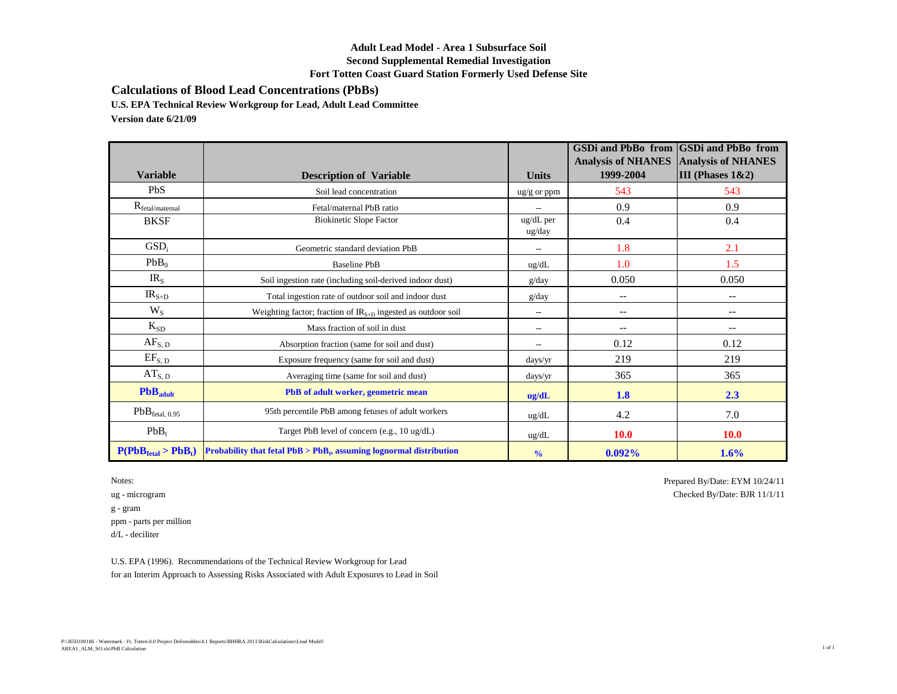## **Adult Lead Model - Area 1 Subsurface Soil Second Supplemental Remedial Investigation Fort Totten Coast Guard Station Formerly Used Defense Site**

**Calculations of Blood Lead Concentrations (PbBs)**

**U.S. EPA Technical Review Workgroup for Lead, Adult Lead Committee**

**Version date 6/21/09**

|                             |                                                                        |                          | <b>GSDi and PbBo from</b><br><b>Analysis of NHANES</b> | <b>GSDi</b> and PbBo from<br><b>Analysis of NHANES</b> |
|-----------------------------|------------------------------------------------------------------------|--------------------------|--------------------------------------------------------|--------------------------------------------------------|
| <b>Variable</b>             | <b>Description of Variable</b>                                         | <b>Units</b>             | 1999-2004                                              | III (Phases $1&2$ )                                    |
| PbS                         | Soil lead concentration                                                | $\frac{u g}{g}$ or ppm   | 543                                                    | 543                                                    |
| $R_{\text{fetal/maternal}}$ | Fetal/maternal PbB ratio                                               |                          | 0.9                                                    | 0.9                                                    |
| <b>BKSF</b>                 | <b>Biokinetic Slope Factor</b>                                         | ug/dL per<br>ug/day      | 0.4                                                    | 0.4                                                    |
| GSD <sub>i</sub>            | Geometric standard deviation PbB                                       | $\overline{a}$           | 1.8                                                    | 2.1                                                    |
| PbB <sub>0</sub>            | <b>Baseline PbB</b>                                                    | ug/dL                    | 1.0                                                    | 1.5                                                    |
| IR <sub>S</sub>             | Soil ingestion rate (including soil-derived indoor dust)               | g/day                    | 0.050                                                  | 0.050                                                  |
| $IRS+D$                     | Total ingestion rate of outdoor soil and indoor dust                   | g/day                    | $-$                                                    | $\overline{\phantom{a}}$                               |
| $W_{S}$                     | Weighting factor; fraction of $IR_{S+D}$ ingested as outdoor soil      | $\overline{\phantom{a}}$ | $\overline{\phantom{a}}$                               | $--$                                                   |
| $K_{SD}$                    | Mass fraction of soil in dust                                          | $\overline{\phantom{a}}$ | $-$                                                    | $\overline{\phantom{m}}$                               |
| $AF_{S, D}$                 | Absorption fraction (same for soil and dust)                           | $\overline{\phantom{a}}$ | 0.12                                                   | 0.12                                                   |
| $EF_{S, D}$                 | Exposure frequency (same for soil and dust)                            | days/yr                  | 219                                                    | 219                                                    |
| $AT_{S, D}$                 | Averaging time (same for soil and dust)                                | days/yr                  | 365                                                    | 365                                                    |
| PbB <sub>adult</sub>        | PbB of adult worker, geometric mean                                    | ug/dL                    | 1.8                                                    | 2.3                                                    |
| PbB <sub>ftetal, 0.95</sub> | 95th percentile PbB among fetuses of adult workers                     | ug/dL                    | 4.2                                                    | 7.0                                                    |
| $PbB_t$                     | Target PbB level of concern (e.g., 10 ug/dL)                           | ug/dL                    | <b>10.0</b>                                            | <b>10.0</b>                                            |
| $P(PbBfeat > PbBt)$         | Probability that fetal $PbB > PbB_t$ , assuming lognormal distribution | $\frac{0}{0}$            | 0.092%                                                 | 1.6%                                                   |

 $\mathbf g$  -  $\operatorname{gram}$ ppm - parts per million d/L - deciliter

Notes: Prepared By/Date: EYM 10/24/11 ug - microgram Checked By/Date: BJR 11/1/11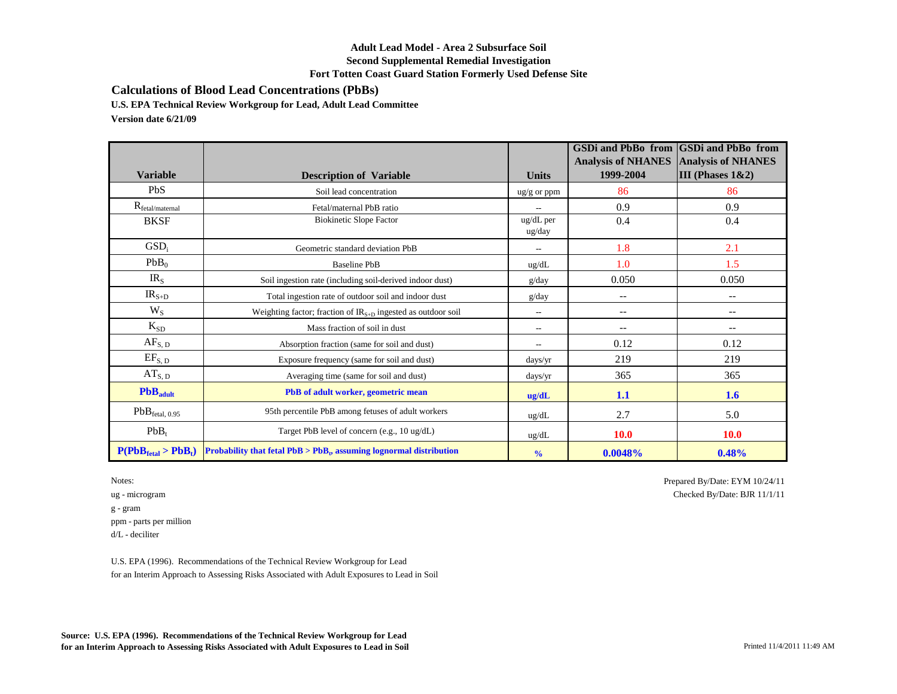### **Adult Lead Model - Area 2 Subsurface Soil Second Supplemental Remedial Investigation Fort Totten Coast Guard Station Formerly Used Defense Site**

**Calculations of Blood Lead Concentrations (PbBs)**

**U.S. EPA Technical Review Workgroup for Lead, Adult Lead Committee**

**Version date 6/21/09**

| <b>Variable</b>             | <b>Description of Variable</b>                                         | <b>Units</b>           | <b>GSDi and PbBo from</b><br><b>Analysis of NHANES</b><br>1999-2004 | <b>GSDi</b> and PbBo from<br><b>Analysis of NHANES</b><br>III (Phases $1&2$ ) |
|-----------------------------|------------------------------------------------------------------------|------------------------|---------------------------------------------------------------------|-------------------------------------------------------------------------------|
| PbS                         | Soil lead concentration                                                | $\frac{u g}{g}$ or ppm | 86                                                                  | 86                                                                            |
| $R_{\text{fetal/maternal}}$ | Fetal/maternal PbB ratio                                               |                        | 0.9                                                                 | 0.9                                                                           |
| <b>BKSF</b>                 | <b>Biokinetic Slope Factor</b>                                         | ug/dL per<br>ug/day    | 0.4                                                                 | 0.4                                                                           |
| GSD <sub>i</sub>            | Geometric standard deviation PbB                                       |                        | 1.8                                                                 | 2.1                                                                           |
| PbB <sub>0</sub>            | <b>Baseline PbB</b>                                                    | ug/dL                  | 1.0                                                                 | 1.5                                                                           |
| IR <sub>S</sub>             | Soil ingestion rate (including soil-derived indoor dust)               | g/day                  | 0.050                                                               | 0.050                                                                         |
| $IRS+D$                     | Total ingestion rate of outdoor soil and indoor dust                   | g/day                  | $-$                                                                 | $\overline{\phantom{a}}$                                                      |
| $W_{S}$                     | Weighting factor; fraction of $IR_{S+D}$ ingested as outdoor soil      | $\overline{a}$         | $\qquad \qquad -$                                                   | $\overline{\phantom{a}}$                                                      |
| $K_{SD}$                    | Mass fraction of soil in dust                                          | $\hspace{0.05cm}$      | $\qquad \qquad -$                                                   | $\overline{\phantom{m}}$                                                      |
| $AF_{S, D}$                 | Absorption fraction (same for soil and dust)                           | $\overline{a}$         | 0.12                                                                | 0.12                                                                          |
| $EF_{S, D}$                 | Exposure frequency (same for soil and dust)                            | days/yr                | 219                                                                 | 219                                                                           |
| $AT_{S, D}$                 | Averaging time (same for soil and dust)                                | days/yr                | 365                                                                 | 365                                                                           |
| PbB <sub>adult</sub>        | PbB of adult worker, geometric mean                                    | ug/dL                  | 1.1                                                                 | 1.6                                                                           |
| PbB <sub>ftetal, 0.95</sub> | 95th percentile PbB among fetuses of adult workers                     | ug/dL                  | 2.7                                                                 | 5.0                                                                           |
| $PbB_t$                     | Target PbB level of concern (e.g., 10 ug/dL)                           | ug/dL                  | <b>10.0</b>                                                         | <b>10.0</b>                                                                   |
| $P(PbBfeat > PbBt)$         | Probability that fetal $PbB > PbB_t$ , assuming lognormal distribution | $\frac{0}{0}$          | 0.0048%                                                             | 0.48%                                                                         |

g - gram ppm - parts per million d/L - deciliter

U.S. EPA (1996). Recommendations of the Technical Review Workgroup for Lead for an Interim Approach to Assessing Risks Associated with Adult Exposures to Lead in Soil

**Source: U.S. EPA (1996). Recommendations of the Technical Review Workgroup for Lead for an Interim Approach to Assessing Risks Associated with Adult Exposures to Lead in Soil** Printed 11/4/2011 11:49 AM

Notes: Prepared By/Date: EYM  $10/24/11$ ug - microgram Checked By/Date: BJR 11/1/11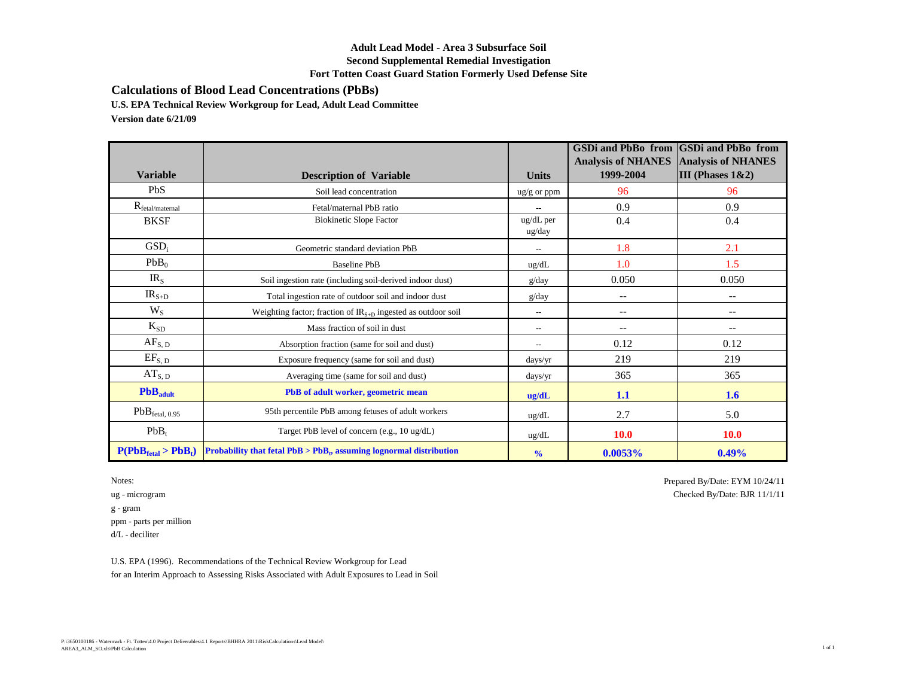## **Adult Lead Model - Area 3 Subsurface Soil Second Supplemental Remedial Investigation Fort Totten Coast Guard Station Formerly Used Defense Site**

**Calculations of Blood Lead Concentrations (PbBs)**

**U.S. EPA Technical Review Workgroup for Lead, Adult Lead Committee**

**Version date 6/21/09**

| <b>Variable</b>             | <b>Description of Variable</b>                                         | <b>Units</b>             | <b>GSDi and PbBo from</b><br><b>Analysis of NHANES</b><br>1999-2004 | <b>GSDi</b> and PbBo from<br><b>Analysis of NHANES</b><br>III (Phases $1&2$ ) |
|-----------------------------|------------------------------------------------------------------------|--------------------------|---------------------------------------------------------------------|-------------------------------------------------------------------------------|
| PbS                         | Soil lead concentration                                                | $\frac{u g}{g}$ or ppm   | 96                                                                  | 96                                                                            |
| $R_{\rm{fetal/maternal}}$   | Fetal/maternal PbB ratio                                               |                          | 0.9                                                                 | 0.9                                                                           |
| <b>BKSF</b>                 | <b>Biokinetic Slope Factor</b>                                         | ug/dL per<br>ug/day      | 0.4                                                                 | 0.4                                                                           |
| GSD <sub>i</sub>            | Geometric standard deviation PbB                                       |                          | 1.8                                                                 | 2.1                                                                           |
| PbB <sub>0</sub>            | <b>Baseline PbB</b>                                                    | ug/dL                    | 1.0                                                                 | 1.5                                                                           |
| IR <sub>S</sub>             | Soil ingestion rate (including soil-derived indoor dust)               | g/day                    | 0.050                                                               | 0.050                                                                         |
| $IRS+D$                     | Total ingestion rate of outdoor soil and indoor dust                   | g/day                    | $-$                                                                 | $\overline{\phantom{a}}$                                                      |
| $W_{S}$                     | Weighting factor; fraction of $IR_{S+D}$ ingested as outdoor soil      | $\overline{\phantom{a}}$ | $\overline{\phantom{a}}$                                            | $\qquad \qquad -$                                                             |
| $K_{SD}$                    | Mass fraction of soil in dust                                          | $\overline{\phantom{a}}$ | $\overline{\phantom{a}}$                                            | $\qquad \qquad -$                                                             |
| AF <sub>S, D</sub>          | Absorption fraction (same for soil and dust)                           | $\overline{\phantom{a}}$ | 0.12                                                                | 0.12                                                                          |
| $EF_{S, D}$                 | Exposure frequency (same for soil and dust)                            | days/yr                  | 219                                                                 | 219                                                                           |
| $AT_{S, D}$                 | Averaging time (same for soil and dust)                                | days/yr                  | 365                                                                 | 365                                                                           |
| PbB <sub>adult</sub>        | PbB of adult worker, geometric mean                                    | ug/dL                    | 1.1                                                                 | 1.6                                                                           |
| PbB <sub>ftetal, 0.95</sub> | 95th percentile PbB among fetuses of adult workers                     | ug/dL                    | 2.7                                                                 | 5.0                                                                           |
| $PbB_t$                     | Target PbB level of concern (e.g., 10 ug/dL)                           | ug/dL                    | <b>10.0</b>                                                         | <b>10.0</b>                                                                   |
| $P(PbBfeat > PbBt)$         | Probability that fetal $PbB > PbB_t$ , assuming lognormal distribution | $\frac{0}{0}$            | 0.0053%                                                             | 0.49%                                                                         |

 $\mathbf g$  -  $\operatorname{gram}$ ppm - parts per million d/L - deciliter

Notes: Prepared By/Date: EYM 10/24/11 ug - microgram Checked By/Date: BJR 11/1/11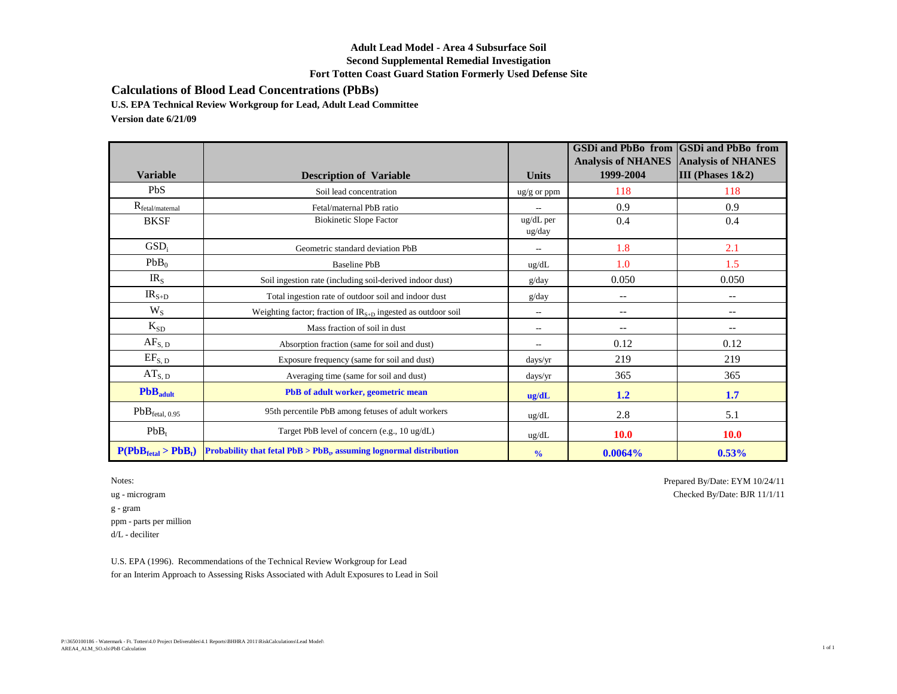## **Adult Lead Model - Area 4 Subsurface Soil Second Supplemental Remedial Investigation Fort Totten Coast Guard Station Formerly Used Defense Site**

**Calculations of Blood Lead Concentrations (PbBs)**

**U.S. EPA Technical Review Workgroup for Lead, Adult Lead Committee**

**Version date 6/21/09**

| <b>Variable</b>                | <b>Description of Variable</b>                                                             | <b>Units</b>             | <b>GSDi and PbBo from</b><br><b>Analysis of NHANES</b><br>1999-2004 | <b>GSDi</b> and PbBo from<br><b>Analysis of NHANES</b><br>III (Phases $1&2$ ) |
|--------------------------------|--------------------------------------------------------------------------------------------|--------------------------|---------------------------------------------------------------------|-------------------------------------------------------------------------------|
| PbS                            | Soil lead concentration                                                                    | $\frac{u g}{g}$ or ppm   | 118                                                                 | 118                                                                           |
| $R_{\text{fetal/maternal}}$    | Fetal/maternal PbB ratio                                                                   |                          | 0.9                                                                 | 0.9                                                                           |
| <b>BKSF</b>                    | <b>Biokinetic Slope Factor</b>                                                             | $\mu$ g/dL per<br>ug/day | 0.4                                                                 | 0.4                                                                           |
| GSD <sub>i</sub>               | Geometric standard deviation PbB                                                           | $\overline{a}$           | 1.8                                                                 | 2.1                                                                           |
| $PbB_0$                        | <b>Baseline PbB</b>                                                                        | ug/dL                    | 1.0                                                                 | 1.5                                                                           |
| IR <sub>S</sub>                | Soil ingestion rate (including soil-derived indoor dust)                                   | g/day                    | 0.050                                                               | 0.050                                                                         |
| $IRS+D$                        | Total ingestion rate of outdoor soil and indoor dust                                       | g/day                    | $-$                                                                 | $\overline{\phantom{a}}$                                                      |
| $W_{S}$                        | Weighting factor; fraction of $IR_{S+D}$ ingested as outdoor soil                          | $\overline{\phantom{a}}$ | $\qquad \qquad -$                                                   | $\overline{\phantom{m}}$                                                      |
| $K_{SD}$                       | Mass fraction of soil in dust                                                              | $\hspace{0.05cm}$        | $-$                                                                 | $\overline{\phantom{a}}$                                                      |
| $AF_{S, D}$                    | Absorption fraction (same for soil and dust)                                               | $\overline{\phantom{a}}$ | 0.12                                                                | 0.12                                                                          |
| $EF_{S, D}$                    | Exposure frequency (same for soil and dust)                                                | days/yr                  | 219                                                                 | 219                                                                           |
| $AT_{S, D}$                    | Averaging time (same for soil and dust)                                                    | days/yr                  | 365                                                                 | 365                                                                           |
| PbB <sub>adult</sub>           | PbB of adult worker, geometric mean                                                        | ug/dL                    | 1.2                                                                 | 1.7                                                                           |
| PbB <sub>ftetal, 0.95</sub>    | 95th percentile PbB among fetuses of adult workers                                         | ug/dL                    | 2.8                                                                 | 5.1                                                                           |
| $PbB_t$                        | Target PbB level of concern (e.g., 10 ug/dL)                                               | ug/dL                    | <b>10.0</b>                                                         | <b>10.0</b>                                                                   |
| $P(PbB_{\text{ftal}} > PbB_t)$ | <b>Probability that fetal <math>PbB &gt; PbB_t</math>, assuming lognormal distribution</b> | $\frac{0}{0}$            | 0.0064%                                                             | 0.53%                                                                         |

 $\mathbf g$  -  $\operatorname{gram}$ ppm - parts per million d/L - deciliter

Notes: Prepared By/Date: EYM 10/24/11 ug - microgram Checked By/Date: BJR 11/1/11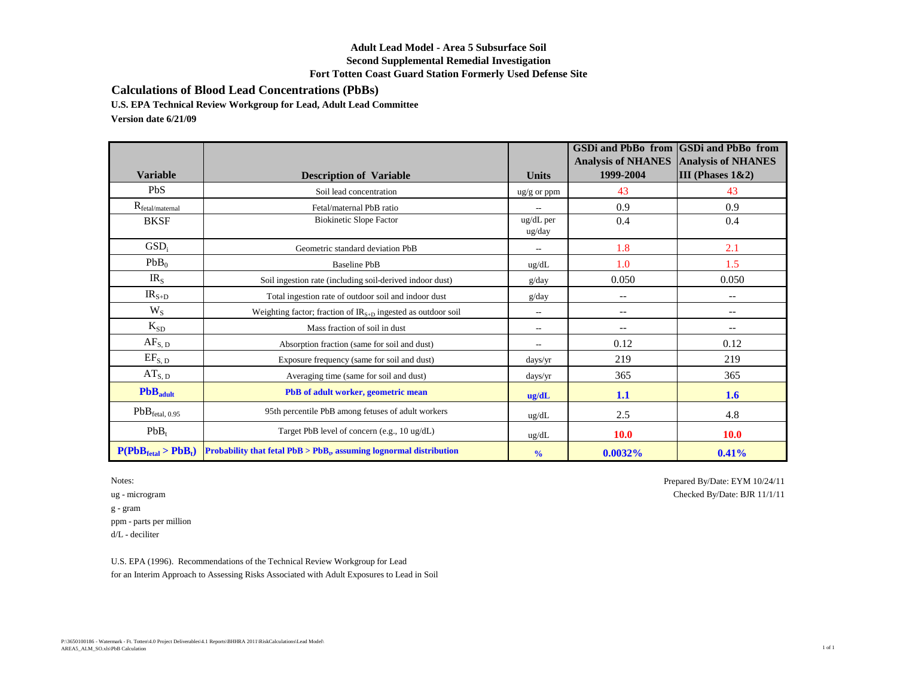## **Adult Lead Model - Area 5 Subsurface Soil Second Supplemental Remedial Investigation Fort Totten Coast Guard Station Formerly Used Defense Site**

**Calculations of Blood Lead Concentrations (PbBs)**

**U.S. EPA Technical Review Workgroup for Lead, Adult Lead Committee**

**Version date 6/21/09**

| <b>Variable</b>             | <b>Description of Variable</b>                                         | <b>Units</b>           | <b>GSDi and PbBo from</b><br><b>Analysis of NHANES</b><br>1999-2004 | <b>GSDi</b> and PbBo from<br><b>Analysis of NHANES</b><br>III (Phases $1&2$ ) |
|-----------------------------|------------------------------------------------------------------------|------------------------|---------------------------------------------------------------------|-------------------------------------------------------------------------------|
| PbS                         | Soil lead concentration                                                | $\frac{u g}{g}$ or ppm | 43                                                                  | 43                                                                            |
| $R_{\text{fetal/maternal}}$ | Fetal/maternal PbB ratio                                               |                        | 0.9                                                                 | 0.9                                                                           |
| <b>BKSF</b>                 | <b>Biokinetic Slope Factor</b>                                         | ug/dL per<br>ug/day    | 0.4                                                                 | 0.4                                                                           |
| GSD <sub>i</sub>            | Geometric standard deviation PbB                                       |                        | 1.8                                                                 | 2.1                                                                           |
| PbB <sub>0</sub>            | <b>Baseline PbB</b>                                                    | ug/dL                  | 1.0                                                                 | 1.5                                                                           |
| IR <sub>S</sub>             | Soil ingestion rate (including soil-derived indoor dust)               | g/day                  | 0.050                                                               | 0.050                                                                         |
| $IRS+D$                     | Total ingestion rate of outdoor soil and indoor dust                   | g/day                  | $-$                                                                 | $\overline{\phantom{a}}$                                                      |
| $W_{S}$                     | Weighting factor; fraction of $IR_{S+D}$ ingested as outdoor soil      | $\overline{a}$         | $\qquad \qquad -$                                                   | $\overline{\phantom{a}}$                                                      |
| $K_{SD}$                    | Mass fraction of soil in dust                                          | $\hspace{0.05cm}$      | $\qquad \qquad -$                                                   | $\overline{\phantom{m}}$                                                      |
| $AF_{S, D}$                 | Absorption fraction (same for soil and dust)                           | $\overline{a}$         | 0.12                                                                | 0.12                                                                          |
| $EF_{S, D}$                 | Exposure frequency (same for soil and dust)                            | days/yr                | 219                                                                 | 219                                                                           |
| $AT_{S, D}$                 | Averaging time (same for soil and dust)                                | days/yr                | 365                                                                 | 365                                                                           |
| PbB <sub>adult</sub>        | PbB of adult worker, geometric mean                                    | ug/dL                  | 1.1                                                                 | 1.6                                                                           |
| PbB <sub>ftetal, 0.95</sub> | 95th percentile PbB among fetuses of adult workers                     | ug/dL                  | 2.5                                                                 | 4.8                                                                           |
| $PbB_t$                     | Target PbB level of concern (e.g., 10 ug/dL)                           | ug/dL                  | <b>10.0</b>                                                         | <b>10.0</b>                                                                   |
| $P(PbBfeat > PbBt)$         | Probability that fetal $PbB > PbB_t$ , assuming lognormal distribution | $\frac{0}{0}$          | 0.0032%                                                             | 0.41%                                                                         |

 $\mathbf g$  -  $\operatorname{gram}$ ppm - parts per million d/L - deciliter

Notes: Prepared By/Date: EYM 10/24/11 ug - microgram Checked By/Date: BJR 11/1/11